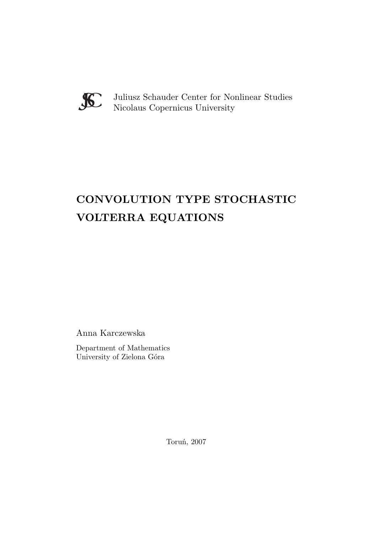

Juliusz Schauder Center for Nonlinear Studies Nicolaus Copernicus University

# **CONVOLUTION TYPE STOCHASTIC VOLTERRA EQUATIONS**

Anna Karczewska

Department of Mathematics University of Zielona Góra

Toruń, 2007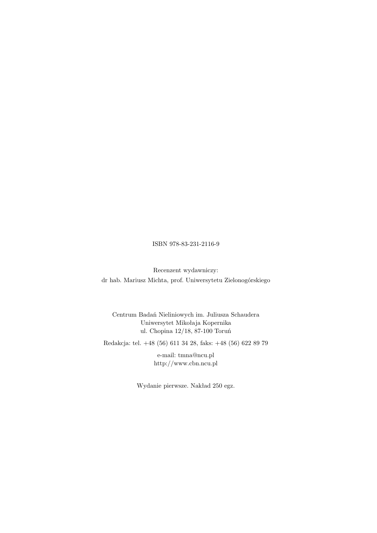## ISBN 978-83-231-2116-9

Recenzent wydawniczy: dr hab. Mariusz Michta, prof. Uniwersytetu Zielonogórskiego

Centrum Badań Nieliniowych im. Juliusza Schaudera Uniwersytet Mikołaja Kopernika ul. Chopina 12/18, 87-100 Toruń

Redakcja: tel. +48 (56) 611 34 28, faks: +48 (56) 622 89 79

e-mail: tmna@ncu.pl http://www.cbn.ncu.pl

Wydanie pierwsze. Nakład 250 egz.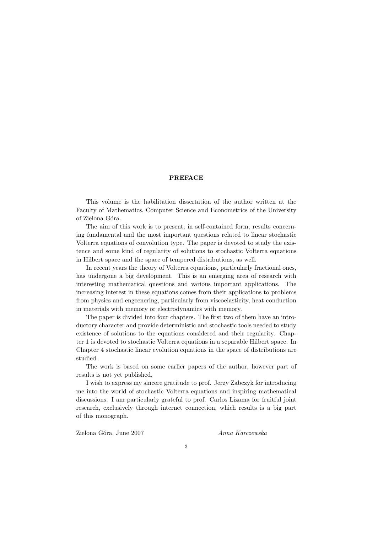## **PREFACE**

This volume is the habilitation dissertation of the author written at the Faculty of Mathematics, Computer Science and Econometrics of the University of Zielona Góra.

The aim of this work is to present, in self-contained form, results concerning fundamental and the most important questions related to linear stochastic Volterra equations of convolution type. The paper is devoted to study the existence and some kind of regularity of solutions to stochastic Volterra equations in Hilbert space and the space of tempered distributions, as well.

In recent years the theory of Volterra equations, particularly fractional ones, has undergone a big development. This is an emerging area of research with interesting mathematical questions and various important applications. The increasing interest in these equations comes from their applications to problems from physics and engeenering, particularly from viscoelasticity, heat conduction in materials with memory or electrodynamics with memory.

The paper is divided into four chapters. The first two of them have an introductory character and provide deterministic and stochastic tools needed to study existence of solutions to the equations considered and their regularity. Chapter 1 is devoted to stochastic Volterra equations in a separable Hilbert space. In Chapter 4 stochastic linear evolution equations in the space of distributions are studied.

The work is based on some earlier papers of the author, however part of results is not yet published.

I wish to express my sincere gratitude to prof. Jerzy Zabczyk for introducing me into the world of stochastic Volterra equations and inspiring mathematical discussions. I am particularly grateful to prof. Carlos Lizama for fruitful joint research, exclusively through internet connection, which results is a big part of this monograph.

Zielona G´ora, June 2007 *Anna Karczewska*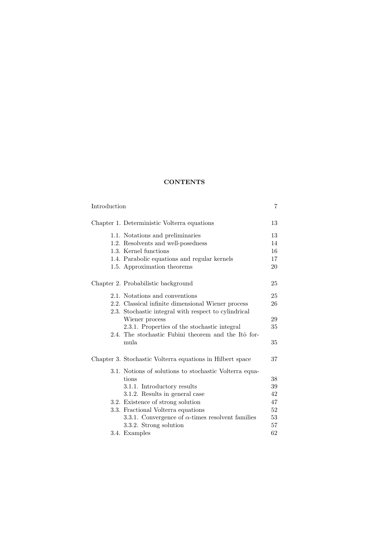## **CONTENTS**

| Introduction |                                                           | 7  |
|--------------|-----------------------------------------------------------|----|
|              | Chapter 1. Deterministic Volterra equations               | 13 |
|              | 1.1. Notations and preliminaries                          | 13 |
|              | 1.2. Resolvents and well-posedness                        | 14 |
|              | 1.3. Kernel functions                                     | 16 |
|              | 1.4. Parabolic equations and regular kernels              | 17 |
|              | 1.5. Approximation theorems                               | 20 |
|              | Chapter 2. Probabilistic background                       | 25 |
|              | 2.1. Notations and conventions                            | 25 |
|              | 2.2. Classical infinite dimensional Wiener process        | 26 |
|              | 2.3. Stochastic integral with respect to cylindrical      |    |
|              | Wiener process                                            | 29 |
|              | 2.3.1. Properties of the stochastic integral              | 35 |
|              | 2.4. The stochastic Fubini theorem and the Itô for-       |    |
|              | mula                                                      | 35 |
|              | Chapter 3. Stochastic Volterra equations in Hilbert space | 37 |
|              | 3.1. Notions of solutions to stochastic Volterra equa-    |    |
|              | tions                                                     | 38 |
|              | 3.1.1. Introductory results                               | 39 |
|              | 3.1.2. Results in general case                            | 42 |
|              | 3.2. Existence of strong solution                         | 47 |
|              | 3.3. Fractional Volterra equations                        | 52 |
|              | 3.3.1. Convergence of $\alpha$ -times resolvent families  | 53 |
|              | 3.3.2. Strong solution                                    | 57 |
|              | 3.4. Examples                                             | 62 |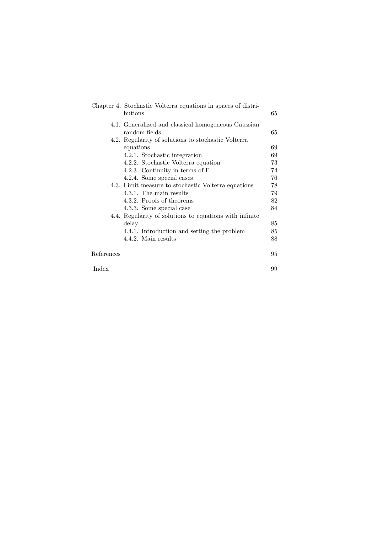|            | Chapter 4. Stochastic Volterra equations in spaces of distri-<br>butions | 65 |
|------------|--------------------------------------------------------------------------|----|
|            | 4.1. Generalized and classical homogeneous Gaussian<br>random fields     | 65 |
|            | 4.2. Regularity of solutions to stochastic Volterra                      |    |
|            | equations                                                                | 69 |
|            | 4.2.1. Stochastic integration                                            | 69 |
|            | 4.2.2. Stochastic Volterra equation                                      | 73 |
|            | 4.2.3. Continuity in terms of $\Gamma$                                   | 74 |
|            | 4.2.4. Some special cases                                                | 76 |
|            | 4.3. Limit measure to stochastic Volterra equations                      | 78 |
|            | 4.3.1. The main results                                                  | 79 |
|            | 4.3.2. Proofs of theorems                                                | 82 |
|            | 4.3.3. Some special case                                                 | 84 |
|            | 4.4. Regularity of solutions to equations with infinite                  |    |
|            | delay                                                                    | 85 |
|            | 4.4.1. Introduction and setting the problem                              | 85 |
|            | 4.4.2. Main results                                                      | 88 |
| References |                                                                          | 95 |
| Index      |                                                                          | 99 |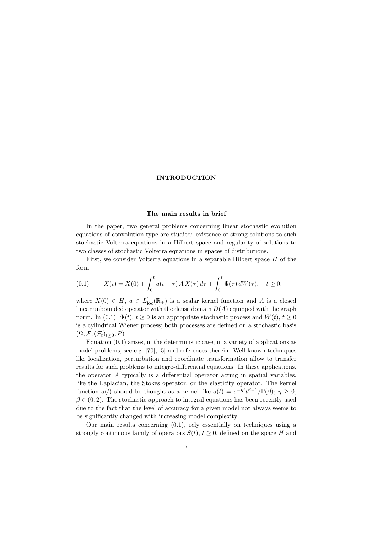## **INTRODUCTION**

## **The main results in brief**

In the paper, two general problems concerning linear stochastic evolution equations of convolution type are studied: existence of strong solutions to such stochastic Volterra equations in a Hilbert space and regularity of solutions to two classes of stochastic Volterra equations in spaces of distributions.

First, we consider Volterra equations in a separable Hilbert space *H* of the form

(0.1) 
$$
X(t) = X(0) + \int_0^t a(t - \tau) A X(\tau) d\tau + \int_0^t \Psi(\tau) dW(\tau), \quad t \ge 0,
$$

where  $X(0) \in H$ ,  $a \in L^1_{loc}(\mathbb{R}_+)$  is a scalar kernel function and *A* is a closed linear unbounded operator with the dense domain  $D(A)$  equipped with the graph norm. In (0.1),  $\Psi(t)$ ,  $t \ge 0$  is an appropriate stochastic process and  $W(t)$ ,  $t \ge 0$ is a cylindrical Wiener process; both processes are defined on a stochastic basis  $(\Omega, \mathcal{F}, (\mathcal{F}_t)_{t>0}, P).$ 

Equation (0.1) arises, in the deterministic case, in a variety of applications as model problems, see e.g. [70], [5] and references therein. Well-known techniques like localization, perturbation and coordinate transformation allow to transfer results for such problems to integro-differential equations. In these applications, the operator *A* typically is a differential operator acting in spatial variables, like the Laplacian, the Stokes operator, or the elasticity operator. The kernel function *a*(*t*) should be thought as a kernel like  $a(t) = e^{-\eta t}t^{\beta-1}/\Gamma(\beta); \eta \ge 0$ ,  $\beta \in (0, 2)$ . The stochastic approach to integral equations has been recently used due to the fact that the level of accuracy for a given model not always seems to be significantly changed with increasing model complexity.

Our main results concerning (0.1), rely essentially on techniques using a strongly continuous family of operators  $S(t)$ ,  $t \geq 0$ , defined on the space *H* and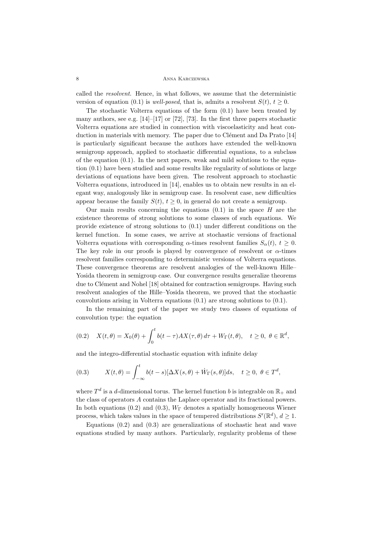8 Anna Karczewska

called the *resolvent*. Hence, in what follows, we assume that the deterministic version of equation (0.1) is *well-posed*, that is, admits a resolvent  $S(t)$ ,  $t \geq 0$ .

The stochastic Volterra equations of the form (0.1) have been treated by many authors, see e.g.  $[14]-[17]$  or  $[72]$ ,  $[73]$ . In the first three papers stochastic Volterra equations are studied in connection with viscoelasticity and heat conduction in materials with memory. The paper due to Clément and Da Prato  $[14]$ is particularly significant because the authors have extended the well-known semigroup approach, applied to stochastic differential equations, to a subclass of the equation  $(0.1)$ . In the next papers, weak and mild solutions to the equation (0.1) have been studied and some results like regularity of solutions or large deviations of equations have been given. The resolvent approach to stochastic Volterra equations, introduced in [14], enables us to obtain new results in an elegant way, analogously like in semigroup case. In resolvent case, new difficulties appear because the family  $S(t)$ ,  $t \geq 0$ , in general do not create a semigroup.

Our main results concerning the equations  $(0.1)$  in the space *H* are the existence theorems of strong solutions to some classes of such equations. We provide existence of strong solutions to (0.1) under different conditions on the kernel function. In some cases, we arrive at stochastic versions of fractional Volterra equations with corresponding *α*-times resolvent families  $S_\alpha(t)$ ,  $t \geq 0$ . The key role in our proofs is played by convergence of resolvent or  $\alpha$ -times resolvent families corresponding to deterministic versions of Volterra equations. These convergence theorems are resolvent analogies of the well-known Hille– Yosida theorem in semigroup case. Our convergence results generalize theorems due to Clément and Nohel [18] obtained for contraction semigroups. Having such resolvent analogies of the Hille–Yosida theorem, we proved that the stochastic convolutions arising in Volterra equations (0.1) are strong solutions to (0.1).

In the remaining part of the paper we study two classes of equations of convolution type: the equation

(0.2) 
$$
X(t,\theta) = X_0(\theta) + \int_0^t b(t-\tau)AX(\tau,\theta) d\tau + W_{\Gamma}(t,\theta), \quad t \ge 0, \ \theta \in \mathbb{R}^d,
$$

and the integro-differential stochastic equation with infinite delay

(0.3) 
$$
X(t,\theta) = \int_{-\infty}^{t} b(t-s)[\Delta X(s,\theta) + \dot{W}_{\Gamma}(s,\theta)]ds, \quad t \ge 0, \ \theta \in T^d,
$$

where  $T^d$  is a *d*-dimensional torus. The kernel function *b* is integrable on  $\mathbb{R}_+$  and the class of operators *A* contains the Laplace operator and its fractional powers. In both equations (0.2) and (0.3),  $W_{\Gamma}$  denotes a spatially homogeneous Wiener process, which takes values in the space of tempered distributions  $S'(\mathbb{R}^d)$ ,  $d \geq 1$ .

Equations  $(0.2)$  and  $(0.3)$  are generalizations of stochastic heat and wave equations studied by many authors. Particularly, regularity problems of these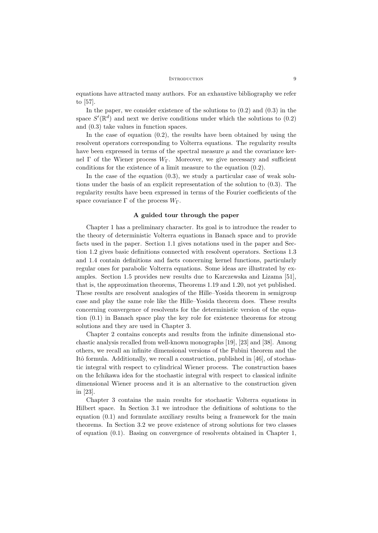#### INTRODUCTION 9

equations have attracted many authors. For an exhaustive bibliography we refer to [57].

In the paper, we consider existence of the solutions to  $(0.2)$  and  $(0.3)$  in the space  $S'(\mathbb{R}^d)$  and next we derive conditions under which the solutions to  $(0.2)$ and (0.3) take values in function spaces.

In the case of equation  $(0.2)$ , the results have been obtained by using the resolvent operators corresponding to Volterra equations. The regularity results have been expressed in terms of the spectral measure  $\mu$  and the covariance kernel Γ of the Wiener process *W*Γ. Moreover, we give necessary and sufficient conditions for the existence of a limit measure to the equation (0.2).

In the case of the equation  $(0.3)$ , we study a particular case of weak solutions under the basis of an explicit representation of the solution to (0.3). The regularity results have been expressed in terms of the Fourier coefficients of the space covariance  $\Gamma$  of the process  $W_{\Gamma}$ .

#### **A guided tour through the paper**

Chapter 1 has a preliminary character. Its goal is to introduce the reader to the theory of deterministic Volterra equations in Banach space and to provide facts used in the paper. Section 1.1 gives notations used in the paper and Section 1.2 gives basic definitions connected with resolvent operators. Sections 1.3 and 1.4 contain definitions and facts concerning kernel functions, particularly regular ones for parabolic Volterra equations. Some ideas are illustrated by examples. Section 1.5 provides new results due to Karczewska and Lizama [51], that is, the approximation theorems, Theorems 1.19 and 1.20, not yet published. These results are resolvent analogies of the Hille–Yosida theorem in semigroup case and play the same role like the Hille–Yosida theorem does. These results concerning convergence of resolvents for the deterministic version of the equation (0.1) in Banach space play the key role for existence theorems for strong solutions and they are used in Chapter 3.

Chapter 2 contains concepts and results from the infinite dimensional stochastic analysis recalled from well-known monographs [19], [23] and [38]. Among others, we recall an infinite dimensional versions of the Fubini theorem and the Itô formula. Additionally, we recall a construction, published in  $[46]$ , of stochastic integral with respect to cylindrical Wiener process. The construction bases on the Ichikawa idea for the stochastic integral with respect to classical infinite dimensional Wiener process and it is an alternative to the construction given in [23].

Chapter 3 contains the main results for stochastic Volterra equations in Hilbert space. In Section 3.1 we introduce the definitions of solutions to the equation (0.1) and formulate auxiliary results being a framework for the main theorems. In Section 3.2 we prove existence of strong solutions for two classes of equation (0.1). Basing on convergence of resolvents obtained in Chapter 1,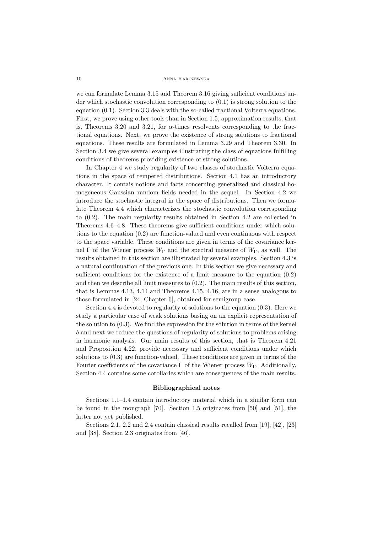#### 10 Anna Karczewska

we can formulate Lemma 3.15 and Theorem 3.16 giving sufficient conditions under which stochastic convolution corresponding to (0.1) is strong solution to the equation (0.1). Section 3.3 deals with the so-called fractional Volterra equations. First, we prove using other tools than in Section 1.5, approximation results, that is, Theorems 3.20 and 3.21, for  $\alpha$ -times resolvents corresponding to the fractional equations. Next, we prove the existence of strong solutions to fractional equations. These results are formulated in Lemma 3.29 and Theorem 3.30. In Section 3.4 we give several examples illustrating the class of equations fulfilling conditions of theorems providing existence of strong solutions.

In Chapter 4 we study regularity of two classes of stochastic Volterra equations in the space of tempered distributions. Section 4.1 has an introductory character. It contais notions and facts concerning generalized and classical homogeneous Gaussian random fields needed in the sequel. In Section 4.2 we introduce the stochastic integral in the space of distributions. Then we formulate Theorem 4.4 which characterizes the stochastic convolution corresponding to (0.2). The main regularity results obtained in Section 4.2 are collected in Theorems 4.6–4.8. These theorems give sufficient conditions under which solutions to the equation (0.2) are function-valued and even continuous with respect to the space variable. These conditions are given in terms of the covariance kernel Γ of the Wiener process  $W_{\Gamma}$  and the spectral measure of  $W_{\Gamma}$ , as well. The results obtained in this section are illustrated by several examples. Section 4.3 is a natural continuation of the previous one. In this section we give necessary and sufficient conditions for the existence of a limit measure to the equation (0.2) and then we describe all limit measures to (0.2). The main results of this section, that is Lemmas 4.13, 4.14 and Theorems 4.15, 4.16, are in a sense analogous to those formulated in [24, Chapter 6], obtained for semigroup case.

Section 4.4 is devoted to regularity of solutions to the equation (0.3). Here we study a particular case of weak solutions basing on an explicit representation of the solution to (0.3). We find the expression for the solution in terms of the kernel *b* and next we reduce the questions of regularity of solutions to problems arising in harmonic analysis. Our main results of this section, that is Theorem 4.21 and Proposition 4.22, provide necessary and sufficient conditions under which solutions to (0.3) are function-valued. These conditions are given in terms of the Fourier coefficients of the covariance  $\Gamma$  of the Wiener process  $W_{\Gamma}$ . Additionally, Section 4.4 contains some corollaries which are consequences of the main results.

#### **Bibliographical notes**

Sections 1.1–1.4 contain introductory material which in a similar form can be found in the mongraph [70]. Section 1.5 originates from [50] and [51], the latter not yet published.

Sections 2.1, 2.2 and 2.4 contain classical results recalled from [19], [42], [23] and [38]. Section 2.3 originates from [46].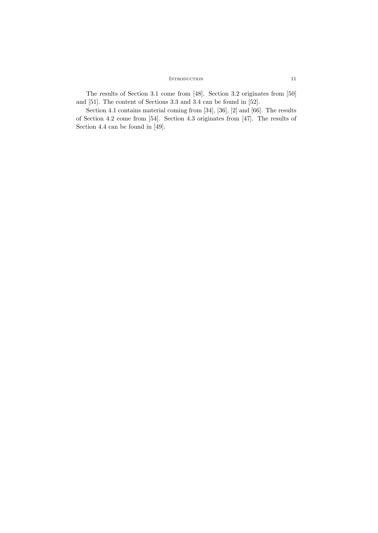## INTRODUCTION 11

The results of Section 3.1 come from [48]. Section 3.2 originates from [50] and [51]. The content of Sections 3.3 and 3.4 can be found in [52].

Section 4.1 contains material coming from [34], [36], [2] and [66]. The results of Section 4.2 come from [54]. Section 4.3 originates from [47]. The results of Section 4.4 can be found in [49].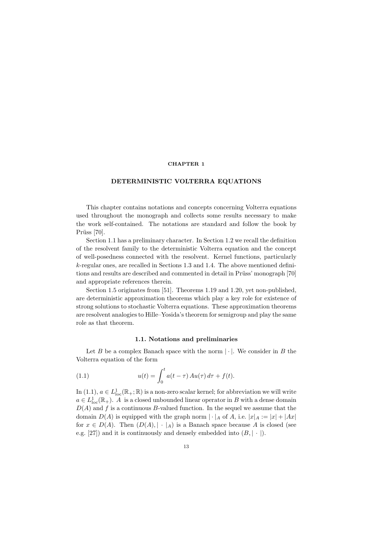## **CHAPTER 1**

#### **DETERMINISTIC VOLTERRA EQUATIONS**

This chapter contains notations and concepts concerning Volterra equations used throughout the monograph and collects some results necessary to make the work self-contained. The notations are standard and follow the book by Prüss  $[70]$ .

Section 1.1 has a preliminary character. In Section 1.2 we recall the definition of the resolvent family to the deterministic Volterra equation and the concept of well-posedness connected with the resolvent. Kernel functions, particularly *k*-regular ones, are recalled in Sections 1.3 and 1.4. The above mentioned definitions and results are described and commented in detail in Prüss' monograph [70] and appropriate references therein.

Section 1.5 originates from [51]. Theorems 1.19 and 1.20, yet non-published, are deterministic approximation theorems which play a key role for existence of strong solutions to stochastic Volterra equations. These approximation theorems are resolvent analogies to Hille–Yosida's theorem for semigroup and play the same role as that theorem.

## **1.1. Notations and preliminaries**

Let *B* be a complex Banach space with the norm  $|\cdot|$ . We consider in *B* the Volterra equation of the form

(1.1) 
$$
u(t) = \int_0^t a(t - \tau) A u(\tau) d\tau + f(t).
$$

In (1.1),  $a \in L^1_{loc}(\mathbb{R}_+;\mathbb{R})$  is a non-zero scalar kernel; for abbreviation we will write  $a \in L^1_{loc}(\mathbb{R}_+).$  *A* is a closed unbounded linear operator in *B* with a dense domain *D*(*A*) and *f* is a continuous *B*-valued function. In the sequel we assume that the domain  $D(A)$  is equipped with the graph norm  $|\cdot|_A$  of A, i.e.  $|x|_A := |x| + |Ax|$ for  $x \in D(A)$ . Then  $(D(A), \vert \cdot \vert_A)$  is a Banach space because A is closed (see e.g. [27]) and it is continuously and densely embedded into  $(B, | \cdot |)$ .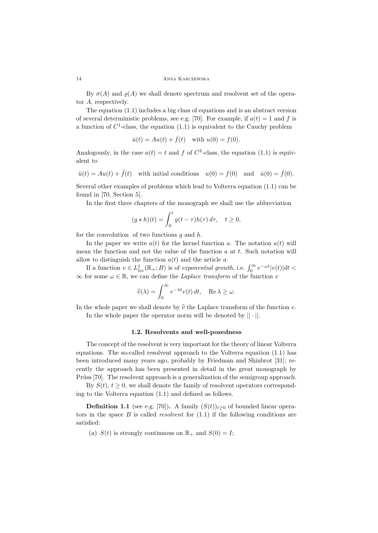By  $\sigma(A)$  and  $\rho(A)$  we shall denote spectrum and resolvent set of the operator *A*, respectively.

The equation (1.1) includes a big class of equations and is an abstract version of several deterministic problems, see e.g. [70]. For example, if  $a(t) = 1$  and f is a function of  $C^1$ -class, the equation  $(1.1)$  is equivalent to the Cauchy problem

$$
\dot{u}(t) = Au(t) + \dot{f}(t)
$$
 with  $u(0) = f(0)$ .

Analogously, in the case  $a(t) = t$  and  $f$  of  $C^2$ -class, the equation (1.1) is equivalent to

$$
\ddot{u}(t) = Au(t) + \ddot{f}(t) \quad \text{with initial conditions} \quad u(0) = f(0) \quad \text{and} \quad \dot{u}(0) = \dot{f}(0).
$$

Several other examples of problems which lead to Volterra equation (1.1) can be found in [70, Section 5].

In the first three chapters of the monograph we shall use the abbreviation

$$
(g * h)(t) = \int_0^t g(t - \tau)h(\tau) d\tau, \quad t \ge 0,
$$

for the convolution of two functions *g* and *h*.

In the paper we write  $a(t)$  for the kernel function a. The notation  $a(t)$  will mean the function and not the value of the function *a* at *t*. Such notation will allow to distinguish the function  $a(t)$  and the article  $a$ .

If a function  $v \in L^1_{loc}(\mathbb{R}_+; B)$  is of *exponential growth*, i.e.  $\int_0^\infty e^{-\omega t} |v(t)| dt <$ *<sup>∞</sup>* for some *<sup>ω</sup> <sup>∈</sup>* <sup>R</sup>, we can define the *Laplace transform* of the function *<sup>v</sup>*

$$
\widehat{v}(\lambda) = \int_0^\infty e^{-\lambda t} v(t) dt, \quad \text{Re }\lambda \ge \omega.
$$

In the whole paper we shall denote by  $\hat{v}$  the Laplace transform of the function  $v$ . In the whole paper the operator norm will be denoted by *|| · ||*.

## **1.2. Resolvents and well-posedness**

The concept of the resolvent is very important for the theory of linear Volterra equations. The so-called resolvent approach to the Volterra equation (1.1) has been introduced many years ago, probably by Friedman and Shinbrot [31]; recently the approach has been presented in detail in the great monograph by Prüss [70]. The resolvent approach is a generalization of the semigroup approach.

By  $S(t)$ ,  $t \geq 0$ , we shall denote the family of resolvent operators corresponding to the Volterra equation (1.1) and defined as follows.

**Definition 1.1** (see e.g. [70]). A family  $(S(t))_{t\geq0}$  of bounded linear operators in the space *B* is called *resolvent* for (1.1) if the following conditions are satisfied:

(a)  $S(t)$  is strongly continuous on  $\mathbb{R}_+$  and  $S(0) = I$ ;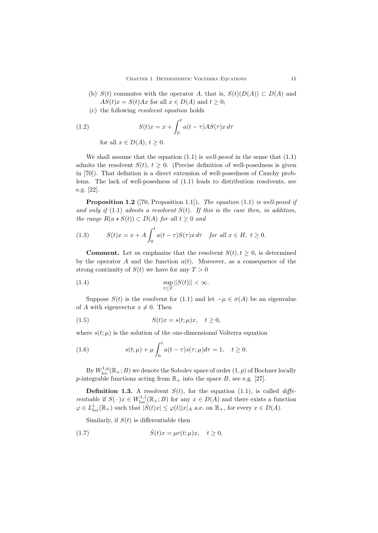- (b)  $S(t)$  commutes with the operator *A*, that is,  $S(t)(D(A)) \subset D(A)$  and  $AS(t)x = S(t)Ax$  for all  $x \in D(A)$  and  $t \geq 0$ ;
- (c) the following *resolvent equation* holds

(1.2) 
$$
S(t)x = x + \int_0^t a(t - \tau)AS(\tau)x d\tau
$$
  
for all  $x \in D(A)$ ,  $t \ge 0$ .

We shall assume that the equation (1.1) is *well-posed* in the sense that (1.1) admits the resolvent  $S(t)$ ,  $t \geq 0$ . (Precise definition of well-posedness is given in [70]). That defintion is a direct extension of well-posedness of Cauchy problems. The lack of well-posedness of (1.1) leads to distribution resolvents, see e.g. [22].

**Proposition 1.2** ([70, Proposition 1.1])**.** *The equation* (1.1) *is well-posed if and only if* (1.1) *admits a resolvent S*(*t*)*. If this is the case then, in addition, the range*  $R(a \star S(t)) \subset D(A)$  *for all*  $t \geq 0$  *and* 

(1.3) 
$$
S(t)x = x + A \int_0^t a(t-\tau)S(\tau)x d\tau \text{ for all } x \in H, t \ge 0.
$$

**Comment.** Let us emphasize that the resolvent  $S(t)$ ,  $t \geq 0$ , is determined by the operator *A* and the function  $a(t)$ . Moreover, as a consequence of the strong continuity of  $S(t)$  we have for any  $T > 0$ 

(1.4) 
$$
\sup_{t \leq T} ||S(t)|| < \infty.
$$

Suppose *S*(*t*) is the resolvent for (1.1) and let  $-\mu \in \sigma(A)$  be an eigenvalue of *A* with eigenvector  $x \neq 0$ . Then

(1.5) 
$$
S(t)x = s(t; \mu)x, \quad t \ge 0,
$$

where  $s(t; \mu)$  is the solution of the one-dimensional Volterra equation

(1.6) 
$$
s(t; \mu) + \mu \int_0^t a(t - \tau) s(\tau; \mu) d\tau = 1, \quad t \ge 0.
$$

By  $W^{1,p}_{\text{loc}}(\mathbb{R}_+;B)$  we denote the Sobolev space of order  $(1,p)$  of Bochner locally *p*-integrable functions acting from  $\mathbb{R}_+$  into the space *B*, see e.g. [27].

**Definition 1.3.** A resolvent  $S(t)$ , for the equation (1.1), is called *differentiable* if  $S(\cdot)x \in W^{1,1}_{loc}(\mathbb{R}_+; B)$  for any  $x \in D(A)$  and there exists a function  $\varphi \in L^1_{\text{loc}}(\mathbb{R}_+)$  such that  $|\dot{S}(t)x| \leq \varphi(t)|x|_A$  a.e. on  $\mathbb{R}_+$ , for every  $x \in D(A)$ .

Similarly, if  $S(t)$  is differentiable then

(1.7) 
$$
\dot{S}(t)x = \mu r(t;\mu)x, \quad t \ge 0,
$$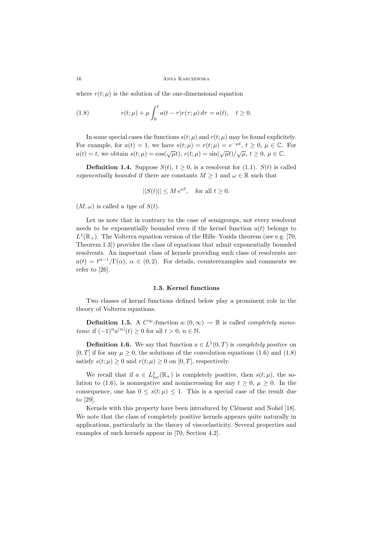where  $r(t; \mu)$  is the solution of the one-dimensional equation

(1.8) 
$$
r(t; \mu) + \mu \int_0^t a(t - \tau) r(\tau; \mu) d\tau = a(t), \quad t \ge 0.
$$

In some special cases the functions  $s(t; \mu)$  and  $r(t; \mu)$  may be found explicitely. For example, for  $a(t) = 1$ , we have  $s(t; \mu) = r(t; \mu) = e^{-\mu t}, t \geq 0, \mu \in \mathbb{C}$ . For  $a(t) = t$ , we obtain  $s(t; \mu) = \cos(\sqrt{\mu}t)$ ,  $r(t; \mu) = \sin(\sqrt{\mu}t)/\sqrt{\mu}$ ,  $t \ge 0$ ,  $\mu \in \mathbb{C}$ .

**Definition 1.4.** Suppose  $S(t)$ ,  $t \geq 0$ , is a resolvent for (1.1).  $S(t)$  is called *exponentially bounded* if there are constants  $M \geq 1$  and  $\omega \in \mathbb{R}$  such that

$$
||S(t)||\leq M\,e^{\omega t},\quad\text{for all }t\geq 0.
$$

 $(M, \omega)$  is called a *type* of  $S(t)$ .

Let us note that in contrary to the case of semigroups, not every resolvent needs to be exponentially bounded even if the kernel function  $a(t)$  belongs to  $L^1(\mathbb{R}_+)$ . The Volterra equation version of the Hille–Yosida theorem (see e.g. [70, Theorem 1.3]) provides the class of equations that admit exponentially bounded resolvents. An important class of kernels providing such class of resolvents are  $a(t) = t^{\alpha-1}/\Gamma(\alpha)$ ,  $\alpha \in (0, 2)$ . For details, counterexamples and comments we refer to [26].

#### **1.3. Kernel functions**

Two classes of kernel functions defined below play a prominent role in the theory of Volterra equations.

**Definition 1.5.** A  $C^{\infty}$ -function  $a: (0, \infty) \rightarrow \mathbb{R}$  is called *completely monotonic* if  $(-1)^n a^{(n)}(t) \ge 0$  for all  $t > 0$ ,  $n \in \mathbb{N}$ .

**Definition 1.6.** We say that function  $a \in L^1(0,T)$  is *completely positive* on [0, T] if for any  $\mu \geq 0$ , the solutions of the convolution equations (1.6) and (1.8) satisfy  $s(t; \mu) \geq 0$  and  $r(t; \mu) \geq 0$  on [0, *T*], respectively.

We recall that if  $a \in L^1_{loc}(\mathbb{R}_+)$  is completely positive, then  $s(t; \mu)$ , the solution to (1.6), is nonnegative and nonincreasing for any  $t \geq 0$ ,  $\mu \geq 0$ . In the consequence, one has  $0 \leq s(t; \mu) \leq 1$ . This is a special case of the result due to [29].

Kernels with this property have been introduced by Clément and Nohel [18]. We note that the class of completely positive kernels appears quite naturally in applications, particularly in the theory of viscoelasticity. Several properties and examples of such kernels appear in [70, Section 4.2].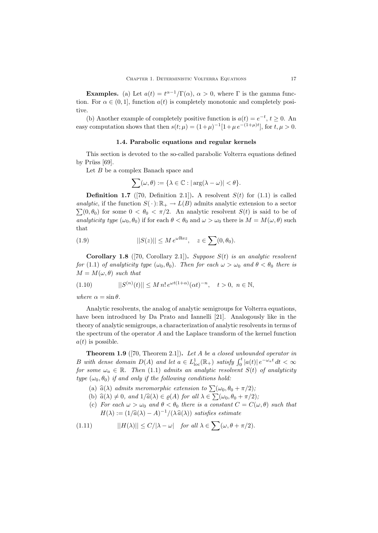**Examples.** (a) Let  $a(t) = t^{\alpha-1}/\Gamma(\alpha)$ ,  $\alpha > 0$ , where  $\Gamma$  is the gamma function. For  $\alpha \in (0,1]$ , function  $a(t)$  is completely monotonic and completely positive.

(b) Another example of completely positive function is  $a(t) = e^{-t}$ ,  $t \ge 0$ . An easy computation shows that then  $s(t; \mu) = (1+\mu)^{-1}[1+\mu e^{-(1+\mu)t}]$ , for  $t, \mu > 0$ .

#### **1.4. Parabolic equations and regular kernels**

This section is devoted to the so-called parabolic Volterra equations defined by Prüss  $[69]$ .

Let *B* be a complex Banach space and

$$
\sum(\omega,\theta) := \{\lambda \in \mathbb{C} : |\arg(\lambda - \omega)| < \theta\}.
$$

**Definition 1.7** ([70, Definition 2.1]). A resolvent  $S(t)$  for (1.1) is called *analytic*, if the function  $S(\cdot): \mathbb{R}_+ \to L(B)$  admits analytic extension to a sector  $\sum(0,\theta_0)$  for some  $0 < \theta_0 < \pi/2$ . An analytic resolvent  $S(t)$  is said to be of *analyticity type*  $(\omega_0, \theta_0)$  if for each  $\theta < \theta_0$  and  $\omega > \omega_0$  there is  $M = M(\omega, \theta)$  such that

(1.9) 
$$
||S(z)|| \leq M e^{\omega \text{Re} z}, \quad z \in \sum (0, \theta_0).
$$

**Corollary 1.8** ([70, Corollary 2.1])**.** *Suppose S*(*t*) *is an analytic resolvent for* (1.1) *of analyticity type*  $(\omega_0, \theta_0)$ *. Then for each*  $\omega > \omega_0$  *and*  $\theta < \theta_0$  *there is*  $M = M(\omega, \theta)$  *such that* 

(1.10) 
$$
||S^{(n)}(t)|| \leq M n! e^{\omega t (1+\alpha)} (\alpha t)^{-n}, \quad t > 0, \ n \in \mathbb{N},
$$

*where*  $\alpha = \sin \theta$ *.* 

Analytic resolvents, the analog of analytic semigroups for Volterra equations, have been introduced by Da Prato and Iannelli [21]. Analogously like in the theory of analytic semigroups, a characterization of analytic resolvents in terms of the spectrum of the operator *A* and the Laplace transform of the kernel function  $a(t)$  is possible.

**Theorem 1.9** ([70, Theorem 2.1])**.** *Let A be a closed unbounded operator in* B with dense domain  $D(A)$  and let  $a \in L^1_{loc}(\mathbb{R}_+)$  satisfy  $\int_0^t |a(t)| e^{-\omega_a t} dt < \infty$ *for some*  $\omega_a \in \mathbb{R}$ *. Then* (1.1) *admits an analytic resolvent*  $S(t)$  *of analyticity type*  $(\omega_0, \theta_0)$  *if and only if the following conditions hold:* 

- (a)  $\hat{a}(\lambda)$  *admits meromorphic extension to*  $\sum(\omega_0, \theta_0 + \pi/2)$ ;
- (b)  $\hat{a}(\lambda) \neq 0$ *, and*  $1/\hat{a}(\lambda) \in \varrho(A)$  *for all*  $\lambda \in \sum(\omega_0, \theta_0 + \pi/2)$ *;*
- (c) *For each*  $\omega > \omega_0$  *and*  $\theta < \theta_0$  *there is a constant*  $C = C(\omega, \theta)$  *such that*  $H(\lambda) := (1/\hat{a}(\lambda) - A)^{-1}/(\lambda \hat{a}(\lambda))$  *satisfies estimate*

(1.11) 
$$
||H(\lambda)|| \le C/|\lambda - \omega| \quad \text{for all } \lambda \in \sum (\omega, \theta + \pi/2).
$$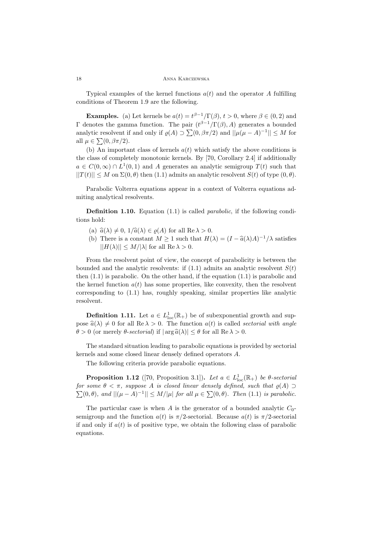Typical examples of the kernel functions  $a(t)$  and the operator A fulfilling conditions of Theorem 1.9 are the following.

**Examples.** (a) Let kernels be  $a(t) = t^{\beta-1}/\Gamma(\beta)$ ,  $t > 0$ , where  $\beta \in (0, 2)$  and Γ denotes the gamma function. The pair (*t <sup>β</sup>−*1*/*Γ(*β*)*, A*) generates a bounded analytic resolvent if and only if  $\varrho(A) \supset \sum (0, \beta \pi/2)$  and  $||\mu(\mu - A)^{-1}|| \leq M$  for all  $\mu \in \sum(0, \beta \pi/2)$ .

(b) An important class of kernels  $a(t)$  which satisfy the above conditions is the class of completely monotonic kernels. By [70, Corollary 2.4] if additionally  $a \in C(0,\infty) \cap L^1(0,1)$  and *A* generates an analytic semigroup  $T(t)$  such that  $||T(t)|| \leq M$  on  $\Sigma(0, \theta)$  then (1.1) admits an analytic resolvent  $S(t)$  of type  $(0, \theta)$ .

Parabolic Volterra equations appear in a context of Volterra equations admiting analytical resolvents.

**Definition 1.10.** Equation (1.1) is called *parabolic*, if the following conditions hold:

- (a)  $\hat{a}(\lambda) \neq 0$ ,  $1/\hat{a}(\lambda) \in \rho(A)$  for all Re  $\lambda > 0$ .
- (b) There is a constant  $M \geq 1$  such that  $H(\lambda) = (I \hat{a}(\lambda)A)^{-1}/\lambda$  satisfies  $||H(\lambda)|| \leq M/|\lambda|$  for all Re  $\lambda > 0$ .

From the resolvent point of view, the concept of parabolicity is between the bounded and the analytic resolvents: if  $(1.1)$  admits an analytic resolvent  $S(t)$ then  $(1.1)$  is parabolic. On the other hand, if the equation  $(1.1)$  is parabolic and the kernel function  $a(t)$  has some properties, like convexity, then the resolvent corresponding to (1.1) has, roughly speaking, similar properties like analytic resolvent.

**Definition 1.11.** Let  $a \in L^1_{loc}(\mathbb{R}_+)$  be of subexponential growth and suppose  $\hat{a}(\lambda) \neq 0$  for all  $\text{Re }\lambda > 0$ . The function  $a(t)$  is called *sectorial with angle θ* > 0 (or merely *θ*-*sectorial*) if  $|\arg \hat{a}(\lambda)| ≤ θ$  for all Re  $\lambda > 0$ .

The standard situation leading to parabolic equations is provided by sectorial kernels and some closed linear densely defined operators *A*.

The following criteria provide parabolic equations.

**Proposition 1.12** ([70, Proposition 3.1]). *Let*  $a \in L^1_{loc}(\mathbb{R}_+)$  *be*  $\theta$ -sectorial *for some*  $\theta < \pi$ *, suppose A is closed linear densely defined, such that*  $\varrho(A)$  *⊃*  $\sum(0, θ)$ *, and*  $||(μ − A)^{-1}|| ≤ M/|μ|$  *for all*  $μ ∈ \sum(0, θ)$ *. Then* (1.1) *is parabolic.* 

The particular case is when *A* is the generator of a bounded analytic  $C_0$ semigroup and the function  $a(t)$  is  $\pi/2$ -sectorial. Because  $a(t)$  is  $\pi/2$ -sectorial if and only if  $a(t)$  is of positive type, we obtain the following class of parabolic equations.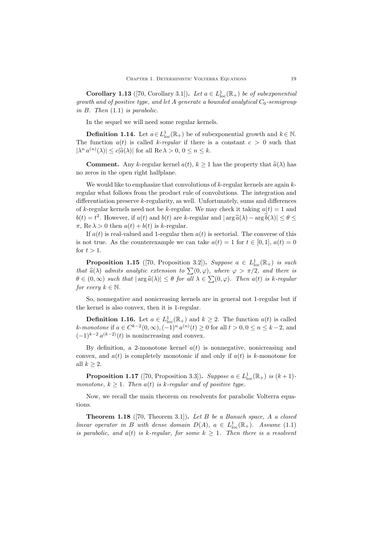**Corollary 1.13** ([70, Corollary 3.1]). Let  $a \in L^1_{loc}(\mathbb{R}_+)$  be of subexponential *growth and of positive type, and let A generate a bounded analytical C*0*-semigroup in B. Then* (1.1) *is parabolic.*

In the sequel we will need some regular kernels.

**Definition 1.14.** Let  $a \in L^1_{loc}(\mathbb{R}_+)$  be of subexponential growth and  $k \in \mathbb{N}$ . The function  $a(t)$  is called *k*-*regular* if there is a constant  $c > 0$  such that  $|\lambda^n a^{(n)}(\lambda)| \leq c |\hat{a}(\lambda)|$  for all  $\text{Re }\lambda > 0, 0 \leq n \leq k$ .

**Comment.** Any *k*-regular kernel  $a(t)$ ,  $k \ge 1$  has the property that  $\hat{a}(\lambda)$  has no zeros in the open right halfplane.

We would like to emphasize that convolutions of *k*-regular kernels are again *k*regular what follows from the product rule of convolutions. The integration and differentiation preserve *k*-regularity, as well. Unfortunately, sums and differences of *k*-regular kernels need not be *k*-regular. We may check it taking  $a(t) = 1$  and  $b(t) = t^2$ . However, if  $a(t)$  and  $b(t)$  are *k*-regular and  $|\arg \hat{a}(\lambda) - \arg \hat{b}(\lambda)| \le \theta \le$ <br>  $\pi$ , Bo  $\lambda > 0$  then  $a(t) + b(t)$  is *k* regular.  $\pi$ , Re  $\lambda > 0$  then  $a(t) + b(t)$  is *k*-regular.

If  $a(t)$  is real-valued and 1-regular then  $a(t)$  is sectorial. The converse of this is not true. As the counterexample we can take  $a(t) = 1$  for  $t \in [0, 1]$ ,  $a(t) = 0$ for  $t > 1$ .

**Proposition 1.15** ([70, Proposition 3.2]). *Suppose*  $a \in L^1_{loc}(\mathbb{R}_+)$  *is such that*  $\hat{a}(\lambda)$  *admits analytic extension to*  $\sum(0,\varphi)$ *, where*  $\varphi > \pi/2$ *, and there is*  $\theta \in (0, \infty)$  *such that*  $|\arg \hat{a}(\lambda)| \leq \theta$  *for all*  $\lambda \in \sum (0, \varphi)$ *. Then a(t) is k-regular for every*  $k \in \mathbb{N}$ *.* 

So, nonnegative and nonicreasing kernels are in general not 1-regular but if the kernel is also convex, then it is 1-regular.

**Definition 1.16.** Let  $a \in L^1_{loc}(\mathbb{R}_+)$  and  $k \geq 2$ . The function  $a(t)$  is called k-monotone if  $a \in C^{k-2}(0, \infty), (-1)^n a^{(n)}(t) \ge 0$  for all  $t > 0, 0 \le n \le k-2$ , and  $(-1)^{k-2} a^{(k-2)}(t)$  is nonincreasing and convex.

By definition, a 2-monotone kernel  $a(t)$  is nonnegative, nonicreasing and convex, and *a*(*t*) is completely monotonic if and only if *a*(*t*) is *k*-monotone for all  $k \geq 2$ .

**Proposition 1.17** ([70, Proposition 3.3]). *Suppose*  $a \in L^1_{loc}(\mathbb{R}_+)$  *is*  $(k+1)$ *monotone,*  $k \geq 1$ *. Then*  $a(t)$  *is k-regular and of positive type.* 

Now, we recall the main theorem on resolvents for parabolic Volterra equations.

**Theorem 1.18** ([70, Theorem 3.1])**.** *Let B be a Banach space, A a closed linear operator in B with dense domain*  $D(A)$ *,*  $a \in L^1_{loc}(\mathbb{R}_+)$ *. Assume* (1.1) *is parabolic, and*  $a(t)$  *is k-regular, for some*  $k \geq 1$ *. Then there is a resolvent*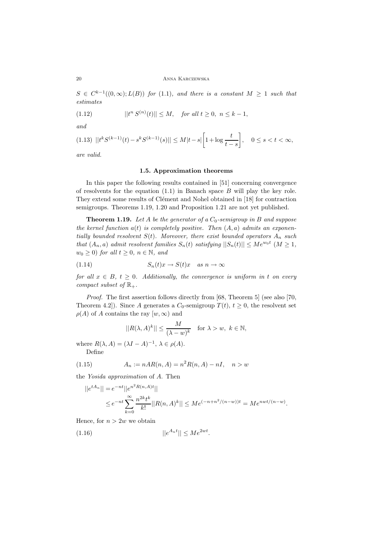$S \in C^{k-1}((0,\infty);L(B))$  *for* (1.1)*, and there is a constant*  $M \geq 1$  *such that estimates*

(1.12) 
$$
||t^n S^{(n)}(t)|| \le M, \text{ for all } t \ge 0, n \le k - 1,
$$

*and*

$$
(1.13)\ \ ||t^{k}S^{(k-1)}(t)-s^{k}S^{(k-1)}(s)||\leq M|t-s|\bigg[1+\log\frac{t}{t-s}\bigg],\quad 0\leq s
$$

*are valid.*

#### **1.5. Approximation theorems**

In this paper the following results contained in [51] concerning convergence of resolvents for the equation (1.1) in Banach space *B* will play the key role. They extend some results of Clément and Nohel obtained in [18] for contraction semigroups. Theorems 1.19, 1.20 and Proposition 1.21 are not yet published.

**Theorem 1.19.** *Let A be the generator of a C*0*-semigroup in B and suppose the kernel function a*(*t*) *is completely positive. Then* (*A, a*) *admits an exponentially bounded resolvent*  $S(t)$ *. Moreover, there exist bounded operators*  $A_n$  *such that*  $(A_n, a)$  *admit resolvent families*  $S_n(t)$  *satisfying*  $||S_n(t)|| \le Me^{w_0 t}$   $(M \ge 1,$ *<sup>w</sup>*<sup>0</sup> *<sup>≥</sup>* 0) *for all <sup>t</sup> <sup>≥</sup>* <sup>0</sup>*, <sup>n</sup> <sup>∈</sup>* <sup>N</sup>*, and*

(1.14) 
$$
S_n(t)x \to S(t)x \quad as \quad n \to \infty
$$

*for all*  $x \in B$ ,  $t \geq 0$ *. Additionally, the convergence is uniform in t on every compact subset of*  $\mathbb{R}_+$ *.* 

*Proof.* The first assertion follows directly from [68, Theorem 5] (see also [70, Theorem 4.2]). Since *A* generates a  $C_0$ -semigroup  $T(t)$ ,  $t \geq 0$ , the resolvent set  $\rho(A)$  of *A* contains the ray  $[w, \infty)$  and

$$
||R(\lambda, A)^k|| \le \frac{M}{(\lambda - w)^k} \quad \text{for } \lambda > w, \ k \in \mathbb{N},
$$

where  $R(\lambda, A) = (\lambda I - A)^{-1}, \lambda \in \rho(A)$ . Define

(1.15) 
$$
A_n := nAR(n, A) = n^2R(n, A) - nI, \quad n > w
$$

the *Yosida approximation* of *A*. Then

$$
||e^{tA_n}|| = e^{-nt}||e^{n^2 R(n,A)t}||
$$
  
\n
$$
\leq e^{-nt} \sum_{k=0}^{\infty} \frac{n^{2k} t^k}{k!} ||R(n,A)^k|| \leq Me^{(-n+n^2/(n-w))t} = Me^{nwt/(n-w)}.
$$

Hence, for  $n > 2w$  we obtain

$$
||e^{A_n t}|| \le Me^{2wt}.
$$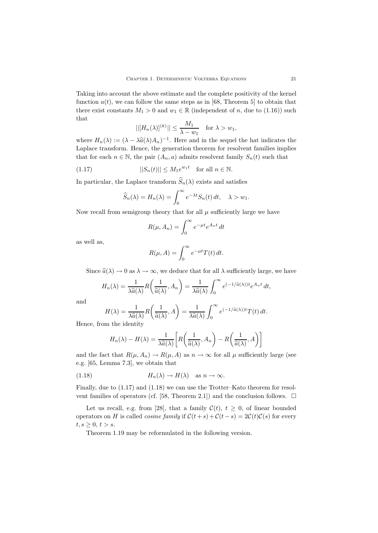Taking into account the above estimate and the complete positivity of the kernel function  $a(t)$ , we can follow the same steps as in [68, Theorem 5] to obtain that there exist constants  $M_1 > 0$  and  $w_1 \in \mathbb{R}$  (independent of *n*, due to (1.16)) such that

$$
||[H_n(\lambda)]^{(k)}|| \le \frac{M_1}{\lambda - w_1} \quad \text{for } \lambda > w_1,
$$

where  $H_n(\lambda) := (\lambda - \lambda \hat{a}(\lambda)A_n)^{-1}$ . Here and in the sequel the hat indicates the Laplace transform Hones the sequentian theorem for resolvent families implies Laplace transform. Hence, the generation theorem for resolvent families implies that for each  $n \in \mathbb{N}$ , the pair  $(A_n, a)$  admits resolvent family  $S_n(t)$  such that

(1.17) 
$$
||S_n(t)|| \leq M_1 e^{w_1 t} \text{ for all } n \in \mathbb{N}.
$$

In particular, the Laplace transform  $\hat{S}_n(\lambda)$  exists and satisfies

$$
\widehat{S}_n(\lambda) = H_n(\lambda) = \int_0^\infty e^{-\lambda t} S_n(t) dt, \quad \lambda > w_1.
$$

Now recall from semigroup theory that for all  $\mu$  sufficiently large we have

$$
R(\mu, A_n) = \int_0^\infty e^{-\mu t} e^{A_n t} dt
$$

as well as,

$$
R(\mu, A) = \int_0^\infty e^{-\mu t} T(t) dt.
$$

Since  $\hat{a}(\lambda) \rightarrow 0$  as  $\lambda \rightarrow \infty$ , we deduce that for all  $\lambda$  sufficiently large, we have

$$
H_n(\lambda) = \frac{1}{\lambda \widehat{a}(\lambda)} R\left(\frac{1}{\widehat{a}(\lambda)}, A_n\right) = \frac{1}{\lambda \widehat{a}(\lambda)} \int_0^\infty e^{(-1/\widehat{a}(\lambda))t} e^{A_n t} dt,
$$

and

H(
$$
\lambda
$$
) =  $\frac{1}{\lambda \widehat{a}(\lambda)} R\left(\frac{1}{\widehat{a}(\lambda)}, A\right) = \frac{1}{\lambda \widehat{a}(\lambda)} \int_0^\infty e^{(-1/\widehat{a}(\lambda))t} T(t) dt$ .  
Hence, from the identity

$$
H_n(\lambda) - H(\lambda) = \frac{1}{\lambda \widehat{a}(\lambda)} \bigg[ R\bigg(\frac{1}{\widehat{a}(\lambda)}, A_n\bigg) - R\bigg(\frac{1}{\widehat{a}(\lambda)}, A\bigg) \bigg]
$$

and the fact that  $R(\mu, A_n) \to R(\mu, A)$  as  $n \to \infty$  for all  $\mu$  sufficiently large (see e.g. [65, Lemma 7.3], we obtain that

(1.18) 
$$
H_n(\lambda) \to H(\lambda) \quad \text{as } n \to \infty.
$$

Finally, due to (1.17) and (1.18) we can use the Trotter–Kato theorem for resolvent families of operators (cf. [58, Theorem 2.1]) and the conclusion follows.  $\Box$ 

Let us recall, e.g. from [28], that a family  $C(t)$ ,  $t \geq 0$ , of linear bounded operators on *H* is called *cosine family* if  $C(t + s) + C(t - s) = 2C(t)C(s)$  for every  $t, s \geq 0, t > s.$ 

Theorem 1.19 may be reformulated in the following version.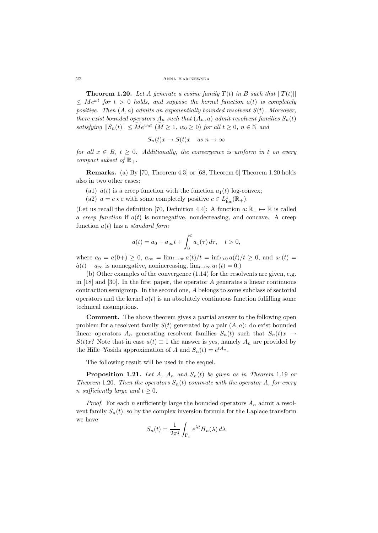22 ANNA KARCZEWSKA

**Theorem 1.20.** Let A generate a cosine family  $T(t)$  in B such that  $||T(t)||$  $\leq Me^{\omega t}$  *for*  $t > 0$  *holds, and suppose the kernel function*  $a(t)$  *is completely positive. Then* (*A, a*) *admits an exponentially bounded resolvent S*(*t*)*. Moreover, there exist bounded operators*  $A_n$  *such that*  $(A_n, a)$  *admit resolvent families*  $S_n(t)$ *satisfying*  $||S_n(t)|| \leq \widetilde{M}e^{w_0t}$  ( $\widetilde{M} \geq 1$ ,  $w_0 \geq 0$ ) *for all*  $t \geq 0$ ,  $n \in \mathbb{N}$  and

$$
S_n(t)x \to S(t)x \quad as \; n \to \infty
$$

*for all*  $x \in B$ ,  $t \geq 0$ . Additionally, the convergence is uniform in t on every *compact subset of*  $\mathbb{R}_+$ *.* 

**Remarks.** (a) By [70, Theorem 4.3] or [68, Theorem 6] Theorem 1.20 holds also in two other cases:

- (a1)  $a(t)$  is a creep function with the function  $a_1(t)$  log-convex;
- (a2)  $a = c \star c$  with some completely positive  $c \in L^1_{loc}(\mathbb{R}_+).$

(Let us recall the definition [70, Definition 4.4]: A function  $a: \mathbb{R}_+ \mapsto \mathbb{R}$  is called a *creep function* if *a*(*t*) is nonnegative, nondecreasing, and concave. A creep function *a*(*t*) has a *standard form*

$$
a(t) = a_0 + a_{\infty}t + \int_0^t a_1(\tau) d\tau, \quad t > 0,
$$

where  $a_0 = a(0+) \geq 0$ ,  $a_{\infty} = \lim_{t \to \infty} \frac{a(t)}{t} = \inf_{t > 0} \frac{a(t)}{t} \geq 0$ , and  $a_1(t) =$  $\dot{a}(t) - a_{\infty}$  is nonnegative, nonincreasing,  $\lim_{t \to \infty} a_1(t) = 0.$ )

(b) Other examples of the convergence (1.14) for the resolvents are given, e.g. in [18] and [30]. In the first paper, the operator *A* generates a linear continuous contraction semigroup. In the second one, *A* belongs to some subclass of sectorial operators and the kernel  $a(t)$  is an absolutely continuous function fulfilling some technical assumptions.

**Comment.** The above theorem gives a partial answer to the following open problem for a resolvent family  $S(t)$  generated by a pair  $(A, a)$ : do exist bounded linear operators  $A_n$  generating resolvent families  $S_n(t)$  such that  $S_n(t)x \to$ *S*(*t*)*x*? Note that in case  $a(t) \equiv 1$  the answer is yes, namely  $A_n$  are provided by the Hille–Yosida approximation of *A* and  $S_n(t) = e^{tA_n}$ .

The following result will be used in the sequel.

**Proposition 1.21.** Let A,  $A_n$  and  $S_n(t)$  be given as in Theorem 1.19 or *Theorem* 1.20*. Then the operators*  $S_n(t)$  *commute with the operator A, for every n* sufficiently large and  $t \geq 0$ .

*Proof.* For each *n* sufficiently large the bounded operators  $A_n$  admit a resolvent family  $S_n(t)$ , so by the complex inversion formula for the Laplace transform we have

$$
S_n(t) = \frac{1}{2\pi i} \int_{\Gamma_n} e^{\lambda t} H_n(\lambda) d\lambda
$$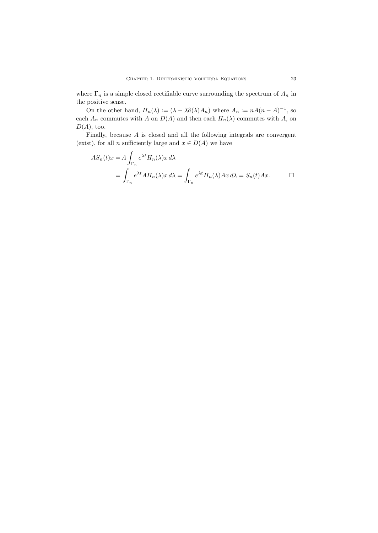where  $\Gamma_n$  is a simple closed rectifiable curve surrounding the spectrum of  $A_n$  in the positive sense.

On the other hand,  $H_n(\lambda) := (\lambda - \lambda \hat{a}(\lambda)A_n)$  where  $A_n := nA(n - A)^{-1}$ , so each  $A_n$  commutes with *A* on  $D(A)$  and then each  $H_n(\lambda)$  commutes with *A*, on *D*(*A*), too.

Finally, because *A* is closed and all the following integrals are convergent (exist), for all *n* sufficiently large and  $x \in D(A)$  we have

$$
AS_n(t)x = A \int_{\Gamma_n} e^{\lambda t} H_n(\lambda)x \,d\lambda
$$
  
= 
$$
\int_{\Gamma_n} e^{\lambda t} AH_n(\lambda)x \,d\lambda = \int_{\Gamma_n} e^{\lambda t} H_n(\lambda)Ax \,d\lambda = S_n(t)Ax.
$$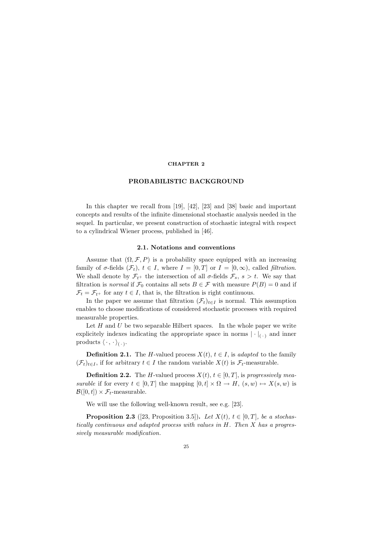## **CHAPTER 2**

#### **PROBABILISTIC BACKGROUND**

In this chapter we recall from [19], [42], [23] and [38] basic and important concepts and results of the infinite dimensional stochastic analysis needed in the sequel. In particular, we present construction of stochastic integral with respect to a cylindrical Wiener process, published in [46].

## **2.1. Notations and conventions**

Assume that  $(\Omega, \mathcal{F}, P)$  is a probability space equipped with an increasing family of  $\sigma$ -fields  $(\mathcal{F}_t)$ ,  $t \in I$ , where  $I = [0, T]$  or  $I = [0, \infty)$ , called *filtration*. We shall denote by  $\mathcal{F}_{t+}$  the intersection of all  $\sigma$ -fields  $\mathcal{F}_s$ ,  $s > t$ . We say that filtration is *normal* if  $\mathcal{F}_0$  contains all sets  $B \in \mathcal{F}$  with measure  $P(B) = 0$  and if  $\mathcal{F}_t = \mathcal{F}_{t^+}$  for any  $t \in I$ , that is, the filtration is right continuous.

In the paper we assume that filtration  $(\mathcal{F}_t)_{t \in I}$  is normal. This assumption enables to choose modifications of considered stochastic processes with required measurable properties.

Let  $H$  and  $U$  be two separable Hilbert spaces. In the whole paper we write explicitely indexes indicating the appropriate space in norms  $|\cdot|_{(\cdot)}$  and inner products  $\langle \cdot, \cdot \rangle_{(\cdot)}$ .

**Definition 2.1.** The *H*-valued process  $X(t)$ ,  $t \in I$ , is *adapted* to the family  $(\mathcal{F}_t)_{t \in I}$ , if for arbitrary  $t \in I$  the random variable  $X(t)$  is  $\mathcal{F}_t$ -measurable.

**Definition 2.2.** The *H*-valued process  $X(t)$ ,  $t \in [0, T]$ , is *progressively measurable* if for every  $t \in [0, T]$  the mapping  $[0, t] \times \Omega \to H$ ,  $(s, w) \mapsto X(s, w)$  is  $\mathcal{B}([0,t]) \times \mathcal{F}_t$ -measurable.

We will use the following well-known result, see e.g. [23].

**Proposition 2.3** ([23, Proposition 3.5]). Let  $X(t)$ ,  $t \in [0, T]$ , be a stochas*tically continuous and adapted process with values in H. Then X has a progressively measurable modification.*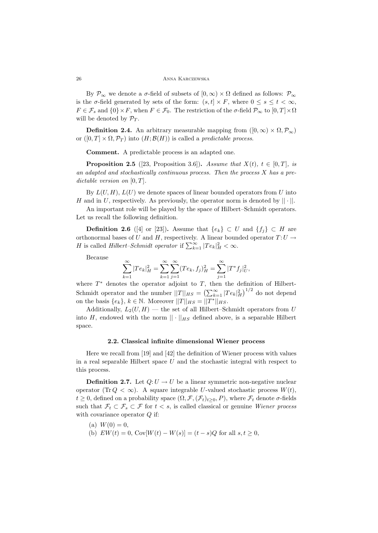By  $\mathcal{P}_\infty$  we denote a *σ*-field of subsets of  $[0, \infty) \times \Omega$  defined as follows:  $\mathcal{P}_\infty$ is the *σ*-field generated by sets of the form:  $(s, t] \times F$ , where  $0 \le s \le t < \infty$ ,  $F \in \mathcal{F}_s$  and  $\{0\} \times F$ , when  $F \in \mathcal{F}_0$ . The restriction of the *σ*-field  $\mathcal{P}_\infty$  to  $[0, T] \times \Omega$ will be denoted by  $\mathcal{P}_T$ .

**Definition 2.4.** An arbitrary measurable mapping from  $([0, \infty) \times \Omega, \mathcal{P}_\infty)$ or  $([0, T] \times \Omega, \mathcal{P}_T)$  into  $(H; \mathcal{B}(H))$  is called a *predictable process*.

**Comment.** A predictable process is an adapted one.

**Proposition 2.5** ([23, Proposition 3.6])**.** *Assume that*  $X(t)$ *,*  $t \in [0, T]$ *, is an adapted and stochastically continuous process. Then the process X has a predictable version on*  $[0, T]$ *.* 

By  $L(U, H)$ ,  $L(U)$  we denote spaces of linear bounded operators from *U* into *<sup>H</sup>* and in *<sup>U</sup>*, respectively. As previously, the operator norm is denoted by *|| · ||*.

An important role will be played by the space of Hilbert–Schmidt operators. Let us recall the following definition.

**Definition 2.6** ([4] or [23]). Assume that  ${e_k}$  ⊂ *U* and  ${f_j}$  ⊂ *H* are orthonormal bases of *U* and *H*, respectively. A linear bounded operator  $T: U \rightarrow$ *H* is called *Hilbert–Schmidt operator* if  $\sum_{k=1}^{\infty} |Te_k|^2$  <  $\infty$ .

Because

$$
\sum_{k=1}^{\infty} |Te_k|_H^2 = \sum_{k=1}^{\infty} \sum_{j=1}^{\infty} (Te_k, f_j)_H^2 = \sum_{j=1}^{\infty} |T^* f_j|_U^2,
$$

where  $T^*$  denotes the operator adjoint to  $T$ , then the definition of Hilbert-Schmidt operator and the number  $||T||_{HS} = \left(\sum_{k=1}^{\infty} |Te_k|^2_H\right)^{1/2}$  do not depend on the basis  $\{e_k\}$ ,  $k \in \mathbb{N}$ . Moreover  $||T||_{HS} = ||T^*||_{HS}$ .

Additionally,  $L_2(U, H)$  — the set of all Hilbert–Schmidt operators from *U* into *H*, endowed with the norm  $|| \cdot ||_{HS}$  defined above, is a separable Hilbert space.

#### **2.2. Classical infinite dimensional Wiener process**

Here we recall from [19] and [42] the definition of Wiener process with values in a real separable Hilbert space *U* and the stochastic integral with respect to this process.

**Definition 2.7.** Let  $Q: U \to U$  be a linear symmetric non-negative nuclear operator (Tr  $Q < \infty$ ). A square integrable *U*-valued stochastic process  $W(t)$ ,  $t \geq 0$ , defined on a probability space  $(\Omega, \mathcal{F}, (\mathcal{F}_t)_{t>0}, P)$ , where  $\mathcal{F}_t$  denote  $\sigma$ -fields such that  $\mathcal{F}_t \subset \mathcal{F}_s \subset \mathcal{F}$  for  $t < s$ , is called classical or genuine *Wiener process* with covariance operator *Q* if:

- $(a) W(0) = 0,$
- (b)  $EW(t) = 0$ ,  $Cov[W(t) W(s)] = (t s)Q$  for all  $s, t \geq 0$ ,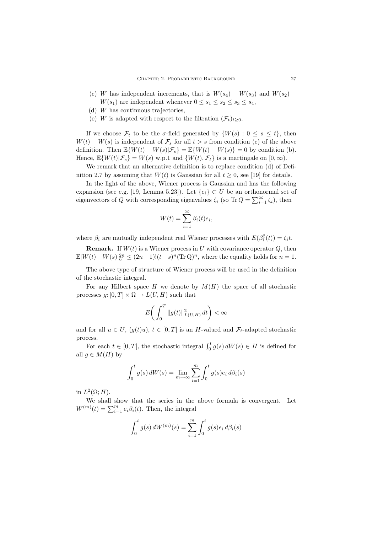- (c) *W* has independent increments, that is  $W(s_4) W(s_3)$  and  $W(s_2)$  *− W*( $s_1$ ) are independent whenever  $0 \leq s_1 \leq s_2 \leq s_3 \leq s_4$ ,
- (d) *W* has continuous trajectories,
- (e) *W* is adapted with respect to the filtration  $(\mathcal{F}_t)_{t>0}$ .

If we choose  $\mathcal{F}_t$  to be the *σ*-field generated by  $\{W(s):0\leq s\leq t\}$ , then  $W(t) - W(s)$  is independent of  $\mathcal{F}_s$  for all  $t > s$  from condition (c) of the above definition. Then  $\mathbb{E}\{W(t) - W(s)|\mathcal{F}_s\} = \mathbb{E}\{W(t) - W(s)\} = 0$  by condition (b). Hence,  $\mathbb{E}\{W(t)|\mathcal{F}_s\} = W(s)$  w.p.1 and  $\{W(t), \mathcal{F}_t\}$  is a martingale on  $[0, \infty)$ .

We remark that an alternative definition is to replace condition (d) of Definition 2.7 by assuming that  $W(t)$  is Gaussian for all  $t \geq 0$ , see [19] for details.

In the light of the above, Wiener process is Gaussian and has the following expansion (see e.g. [19, Lemma 5.23]). Let  $\{e_i\} \subset U$  be an orthonormal set of eigenvectors of *Q* with corresponding eigenvalues  $\zeta_i$  (so Tr  $Q = \sum_{i=1}^{\infty} \zeta_i$ ), then

$$
W(t) = \sum_{i=1}^{\infty} \beta_i(t)e_i,
$$

where  $\beta_i$  are mutually independent real Wiener processes with  $E(\beta_i^2(t)) = \zeta_i t$ .

**Remark.** If  $W(t)$  is a Wiener process in *U* with covariance operator  $Q$ , then  $\mathbb{E}|W(t) - W(s)|_{U}^{2n} \leq (2n-1)!(t-s)^{n}(\text{Tr }\mathbf{Q})^{n}$ , where the equality holds for  $n = 1$ .

The above type of structure of Wiener process will be used in the definition of the stochastic integral.

For any Hilbert space  $H$  we denote by  $M(H)$  the space of all stochastic processes  $g: [0, T] \times \Omega \to L(U, H)$  such that

$$
E\bigg(\int_0^T\|g(t)\|_{L(U,H)}^2\,dt\bigg)<\infty
$$

and for all  $u \in U$ ,  $(g(t)u)$ ,  $t \in [0, T]$  is an *H*-valued and  $\mathcal{F}_t$ -adapted stochastic process.

For each  $t \in [0, T]$ , the stochastic integral  $\int_0^t g(s) dW(s) \in H$  is defined for all  $g \in M(H)$  by

$$
\int_0^t g(s) dW(s) = \lim_{m \to \infty} \sum_{i=1}^m \int_0^t g(s) e_i d\beta_i(s)
$$

in  $L^2(\Omega; H)$ .

We shall show that the series in the above formula is convergent. Let  $W^{(m)}(t) = \sum_{i=1}^{m} e_i \beta_i(t)$ . Then, the integral

$$
\int_0^t g(s) dW^{(m)}(s) = \sum_{i=1}^m \int_0^t g(s)e_i d\beta_i(s)
$$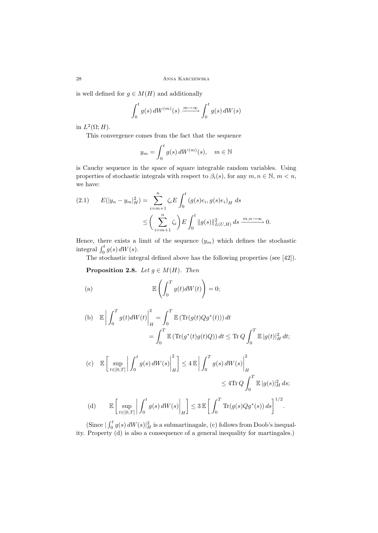is well defined for  $g \in M(H)$  and additionally

$$
\int_0^t g(s) dW^{(m)}(s) \xrightarrow{m \to \infty} \int_0^t g(s) dW(s)
$$

in  $L^2(\Omega; H)$ .

This convergence comes from the fact that the sequence

$$
y_m = \int_0^t g(s) dW^{(m)}(s), \quad m \in \mathbb{N}
$$

is Cauchy sequence in the space of square integrable random variables. Using properties of stochastic integrals with respect to  $\beta_i(s)$ , for any  $m, n \in \mathbb{N}$ ,  $m < n$ , we have:

$$
(2.1) \tE(|y_n - y_m|_H^2) = \sum_{i=m+1}^n \zeta_i E \int_0^t (g(s)e_i, g(s)e_i)_H ds
$$
  

$$
\leq \left(\sum_{i=m+1}^n \zeta_i\right) E \int_0^t ||g(s)||_{L(U,H)}^2 ds \xrightarrow{m,n \to \infty} 0.
$$

Hence, there exists a limit of the sequence  $(y_m)$  which defines the stochastic integral  $\int_0^t g(s) dW(s)$ .

The stochastic integral defined above has the following properties (see [42]).

**Proposition 2.8.** *Let*  $g \in M(H)$ *. Then* 

(a) 
$$
\mathbb{E}\left(\int_0^T g(t)dW(t)\right) = 0;
$$

(b) 
$$
\mathbb{E}\left|\int_0^T g(t)dW(t)\right|_H^2 = \int_0^T \mathbb{E}\left(\text{Tr}(g(t)Qg^*(t))\right)dt
$$

$$
= \int_0^T \mathbb{E}\left(\text{Tr}(g^*(t)g(t)Q)\right)dt \leq \text{Tr }Q\int_0^T \mathbb{E}|g(t)|_H^2 dt;
$$

(c) 
$$
\mathbb{E}\left[\sup_{t\in[0,T]}\left|\int_0^t g(s) dW(s)\right|_H^2\right] \le 4 \mathbb{E}\left|\int_0^T g(s) dW(s)\right|_H^2
$$
  
\n
$$
\le 4 \text{Tr }Q \int_0^T \mathbb{E}|g(s)|_H^2 ds;
$$
  
\n(d) 
$$
\mathbb{E}\left[\sup_{t\in[0,T]}\left|\int_0^t g(s) dW(s)\right|_H\right] \le 3 \mathbb{E}\left[\int_0^T \text{Tr}(g(s)Qg^*(s)) ds\right]^{1/2}.
$$

(Since  $|\int_0^t g(s) dW(s)|_H^2$  is a submartinagale, (c) follows from Doob's inequality. Property (d) is also a consequence of a general inequality for martingales.)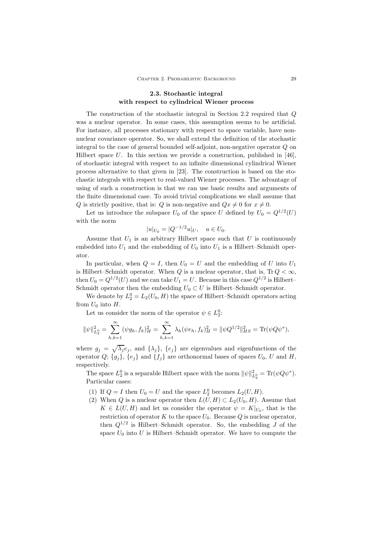## **2.3. Stochastic integral with respect to cylindrical Wiener process**

The construction of the stochastic integral in Section 2.2 required that *Q* was a nuclear operator. In some cases, this assumption seems to be artificial. For instance, all processes stationary with respect to space variable, have nonnuclear covariance operator. So, we shall extend the definition of the stochastic integral to the case of general bounded self-adjoint, non-negative operator *Q* on Hilbert space *U*. In this section we provide a construction, published in [46], of stochastic integral with respect to an infinite dimensional cylindrical Wiener process alternative to that given in [23]. The construction is based on the stochastic integrals with respect to real-valued Wiener processes. The advantage of using of such a construction is that we can use basic results and arguments of the finite dimensional case. To avoid trivial complications we shall assume that *Q* is strictly positive, that is: *Q* is non-negative and  $Qx \neq 0$  for  $x \neq 0$ .

Let us introduce the subspace  $U_0$  of the space  $U$  defined by  $U_0 = Q^{1/2}(U)$ with the norm

$$
|u|_{U_0} = |Q^{-1/2}u|_U, \quad u \in U_0.
$$

Assume that  $U_1$  is an arbitrary Hilbert space such that  $U$  is continuously embedded into  $U_1$  and the embedding of  $U_0$  into  $U_1$  is a Hilbert–Schmidt operator.

In particular, when  $Q = I$ , then  $U_0 = U$  and the embedding of *U* into  $U_1$ is Hilbert–Schmidt operator. When  $Q$  is a nuclear operator, that is,  $Tr Q < \infty$ , then  $U_0 = Q^{1/2}(U)$  and we can take  $U_1 = U$ . Because in this case  $Q^{1/2}$  is Hilbert– Schmidt operator then the embedding  $U_0 \subset U$  is Hilbert–Schmidt operator.

We denote by  $L_2^0 = L_2(U_0, H)$  the space of Hilbert–Schmidt operators acting from  $U_0$  into  $H$ .

Let us consider the norm of the operator  $\psi \in L_2^0$ :

$$
\|\psi\|_{L_2^0}^2 = \sum_{h,k=1}^\infty (\psi g_h, f_k)_H^2 = \sum_{h,k=1}^\infty \lambda_h (\psi e_h, f_k)_H^2 = \|\psi Q^{1/2}\|_{HS}^2 = \text{Tr}(\psi Q \psi^*),
$$

where  $g_j = \sqrt{\lambda_j} e_j$ , and  $\{\lambda_j\}$ ,  $\{e_j\}$  are eigenvalues and eigenfunctions of the operator  $Q$ ;  $\{g_j\}$ ,  $\{e_j\}$  and  $\{f_j\}$  are orthonormal bases of spaces  $U_0$ ,  $U$  and  $H$ , respectively.

The space  $L_2^0$  is a separable Hilbert space with the norm  $\|\psi\|_{L_2^0}^2 = \text{Tr}(\psi Q \psi^*).$ Particular cases:

- (1) If  $Q = I$  then  $U_0 = U$  and the space  $L_2^0$  becomes  $L_2(U, H)$ .
- (2) When *Q* is a nuclear operator then  $L(U, H) \subset L_2(U_0, H)$ . Assume that  $K \in L(U, H)$  and let us consider the operator  $\psi = K|_{U_0}$ , that is the restriction of operator  $K$  to the space  $U_0$ . Because  $Q$  is nuclear operator, then  $Q^{1/2}$  is Hilbert–Schmidt operator. So, the embedding *J* of the space  $U_0$  into  $U$  is Hilbert–Schmidt operator. We have to compute the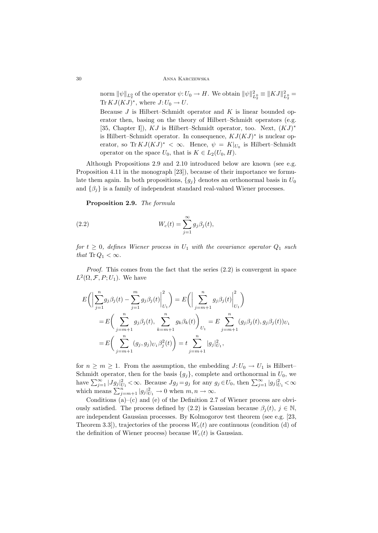#### 30 Anna Karczewska

norm  $\|\psi\|_{L_2^0}$  of the operator  $\psi: U_0 \to H$ . We obtain  $\|\psi\|_{L_2^0}^2 \equiv \|KJ\|_{L_2^0}^2 =$ Tr  $KJ(KJ)^*$ , where  $J:U_0 \to U$ .

Because *J* is Hilbert–Schmidt operator and *K* is linear bounded operator then, basing on the theory of Hilbert–Schmidt operators (e.g. [35, Chapter I]), *KJ* is Hilbert–Schmidt operator, too. Next, (*KJ*)*<sup>∗</sup>* is Hilbert–Schmidt operator. In consequence, *KJ*(*KJ*)*<sup>∗</sup>* is nuclear operator, so  $\text{Tr } KJ(KJ)^* < \infty$ . Hence,  $\psi = K|_{U_0}$  is Hilbert–Schmidt operator on the space  $U_0$ , that is  $K \in L_2(U_0, H)$ .

Although Propositions 2.9 and 2.10 introduced below are known (see e.g. Proposition 4.11 in the monograph [23]), because of their importance we formulate them again. In both propositions,  ${g_j}$  denotes an orthonormal basis in  $U_0$ and  $\{\beta_i\}$  is a family of independent standard real-valued Wiener processes.

**Proposition 2.9.** *The formula*

(2.2) 
$$
W_c(t) = \sum_{j=1}^{\infty} g_j \beta_j(t),
$$

*for*  $t \geq 0$ *, defines Wiener process in*  $U_1$  *with the covariance operator*  $Q_1$  *such that*  $\text{Tr } Q_1 < \infty$ *.* 

*Proof.* This comes from the fact that the series  $(2.2)$  is convergent in space  $L^2(\Omega, \mathcal{F}, P; U_1)$ . We have

$$
E\left(\left|\sum_{j=1}^{n}g_{j}\beta_{j}(t)-\sum_{j=1}^{m}g_{j}\beta_{j}(t)\right|_{U_{1}}^{2}\right) = E\left(\left|\sum_{j=m+1}^{n}g_{j}\beta_{j}(t)\right|_{U_{1}}^{2}\right)
$$
  
\n
$$
= E\left(\sum_{j=m+1}^{n}g_{j}\beta_{j}(t), \sum_{k=m+1}^{n}g_{k}\beta_{k}(t)\right)_{U_{1}} = E\sum_{j=m+1}^{n}(g_{j}\beta_{j}(t), g_{j}\beta_{j}(t))_{U_{1}}
$$
  
\n
$$
= E\left(\sum_{j=m+1}^{n}(g_{j},g_{j})_{U_{1}}\beta_{j}^{2}(t)\right) = t\sum_{j=m+1}^{n}|g_{j}|_{U_{1}}^{2},
$$

for  $n \geq m \geq 1$ . From the assumption, the embedding  $J: U_0 \to U_1$  is Hilbert– Schmidt operator, then for the basis  ${g_j}$ , complete and orthonormal in  $U_0$ , we have  $\sum_{j=1}^{\infty} |Jg_j|_{U_1}^2 < \infty$ . Because  $Jg_j = g_j$  for any  $g_j \in U_0$ , then  $\sum_{j=1}^{\infty} |g_j|_{U_1}^2 < \infty$ which means  $\sum_{j=m+1}^{n} |g_j|^2_{U_1} \to 0$  when  $m, n \to \infty$ .

Conditions  $(a)$ – $(c)$  and  $(e)$  of the Definition 2.7 of Wiener process are obviously satisfied. The process defined by (2.2) is Gaussian because  $\beta_i(t)$ ,  $j \in \mathbb{N}$ , are independent Gaussian processes. By Kolmogorov test theorem (see e.g. [23, Theorem 3.3]), trajectories of the process  $W_c(t)$  are continuous (condition (d) of the definition of Wiener process) because  $W_c(t)$  is Gaussian.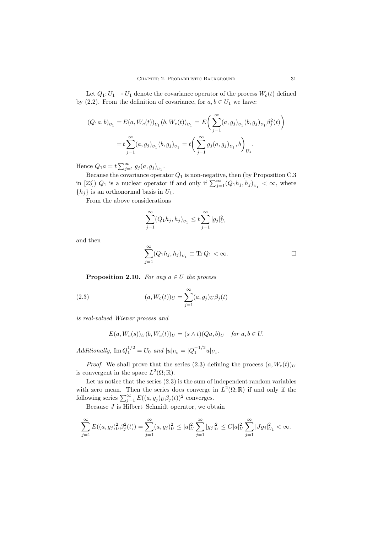Let  $Q_1: U_1 \to U_1$  denote the covariance operator of the process  $W_c(t)$  defined by (2.2). From the definition of covariance, for  $a, b \in U_1$  we have:

$$
(Q_1a, b)_{U_1} = E(a, W_c(t))_{U_1} (b, W_c(t))_{U_1} = E\left(\sum_{j=1}^{\infty} (a, g_j)_{U_1} (b, g_j)_{U_1} \beta_j^2(t)\right)
$$
  
=  $t \sum_{j=1}^{\infty} (a, g_j)_{U_1} (b, g_j)_{U_1} = t \left(\sum_{j=1}^{\infty} g_j (a, g_j)_{U_1}, b\right)_{U_1}.$ 

Hence  $Q_1 a = t \sum_{j=1}^{\infty} g_j(a, g_j)_{U_1}$ .

Because the covariance operator *Q*<sup>1</sup> is non-negative, then (by Proposition C.3 in [23])  $Q_1$  is a nuclear operator if and only if  $\sum_{j=1}^{\infty} (Q_1 h_j, h_j)_{U_1} < \infty$ , where  ${h_j}$  is an orthonormal basis in  $U_1$ .

From the above considerations

$$
\sum_{j=1}^{\infty} (Q_1 h_j, h_j)_{U_1} \leq t \sum_{j=1}^{\infty} |g_j|_{U_1}^2
$$

and then

$$
\sum_{j=1}^{\infty} (Q_1 h_j, h_j)_{U_1} \equiv \text{Tr } Q_1 < \infty. \Box
$$

**Proposition 2.10.** *For any*  $a \in U$  *the process* 

(2.3) 
$$
(a, W_c(t))_U = \sum_{j=1}^{\infty} (a, g_j)_U \beta_j(t)
$$

*is real-valued Wiener process and*

$$
E(a, W_c(s))_U(b, W_c(t))_U = (s \wedge t)(Qa, b)_U \quad \text{for } a, b \in U.
$$

*Additionally,*  $\text{Im } Q_1^{1/2} = U_0$  *and*  $|u|_{U_0} = |Q_1^{-1/2}u|_{U_1}$ .

*Proof.* We shall prove that the series (2.3) defining the process  $(a, W_c(t))_U$ is convergent in the space  $L^2(\Omega;\mathbb{R})$ .

Let us notice that the series  $(2.3)$  is the sum of independent random variables with zero mean. Then the series does converge in  $L^2(\Omega;\mathbb{R})$  if and only if the following series  $\sum_{j=1}^{\infty} E((a, g_j)_U \beta_j(t))^2$  converges.

Because *J* is Hilbert–Schmidt operator, we obtain

$$
\sum_{j=1}^{\infty} E((a,g_j)_{U}^{2} \beta_j^{2}(t)) = \sum_{j=1}^{\infty} (a,g_j)_{U}^{2} \leq |a|_{U}^{2} \sum_{j=1}^{\infty} |g_j|_{U}^{2} \leq C|a|_{U}^{2} \sum_{j=1}^{\infty} |Jg_j|_{U_1}^{2} < \infty.
$$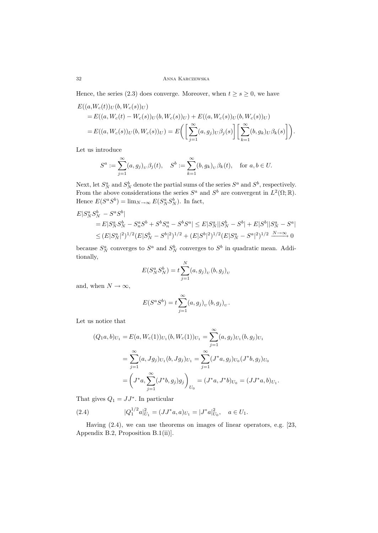Hence, the series (2.3) does converge. Moreover, when  $t \geq s \geq 0$ , we have

$$
E((a,W_c(t))_U(b,W_c(s))_U)
$$
  
=  $E((a,W_c(t)-W_c(s))_U(b,W_c(s))_U) + E((a,W_c(s))_U(b,W_c(s))_U)$   
=  $E((a,W_c(s))_U(b,W_c(s))_U) = E\left(\left[\sum_{j=1}^{\infty} (a,g_j)_U\beta_j(s)\right] \left[\sum_{k=1}^{\infty} (b,g_k)_U\beta_k(s)\right]\right).$ 

Let us introduce

$$
S^a := \sum_{j=1}^{\infty} (a, g_j)_v \beta_j(t), \quad S^b := \sum_{k=1}^{\infty} (b, g_k)_v \beta_k(t), \quad \text{for } a, b \in U.
$$

Next, let  $S_N^a$  and  $S_N^b$  denote the partial sums of the series  $S^a$  and  $S^b$ , respectively. From the above considerations the series  $S^a$  and  $S^b$  are convergent in  $L^2(\Omega;\mathbb{R})$ . Hence  $E(S^a S^b) = \lim_{N \to \infty} E(S_N^a S_N^b)$ . In fact,

$$
E|S_N^a S_N^b - S^a S^b|
$$
  
=  $E|S_N^a S_N^b - S_n^a S^b + S^b S_n^a - S^b S^a| \le E|S_N^a||S_N^b - S^b| + E|S^b||S_N^a - S^a|$   

$$
\le (E|S_N^a|^2)^{1/2} (E|S_N^b - S^b|^2)^{1/2} + (E|S^b|^2)^{1/2} (E|S_N^a - S^a|^2)^{1/2} \xrightarrow{N \to \infty} 0
$$

because  $S_N^a$  converges to  $S^a$  and  $S_N^b$  converges to  $S^b$  in quadratic mean. Additionally,

$$
E(S_N^a S_N^b) = t \sum_{j=1}^N (a, g_j)_U (b, g_j)_U
$$

and, when  $N \to \infty$ ,

$$
E(S^aS^b) = t \sum_{j=1}^{\infty} (a,g_j)_U (b,g_j)_U.
$$

Let us notice that

$$
(Q_1a, b)_{U_1} = E(a, W_c(1))_{U_1} (b, W_c(1))_{U_1} = \sum_{j=1}^{\infty} (a, g_j)_{U_1} (b, g_j)_{U_1}
$$
  

$$
= \sum_{j=1}^{\infty} (a, Jg_j)_{U_1} (b, Jg_j)_{U_1} = \sum_{j=1}^{\infty} (J^*a, g_j)_{U_0} (J^*b, g_j)_{U_0}
$$
  

$$
= \left( J^*a, \sum_{j=1}^{\infty} (J^*b, g_j)g_j \right)_{U_0} = (J^*a, J^*b)_{U_0} = (JJ^*a, b)_{U_1}.
$$

That gives  $Q_1 = JJ^*$ . In particular

(2.4) 
$$
|Q_1^{1/2}a|_{U_1}^2 = (JJ^*a, a)_{U_1} = |J^*a|_{U_0}^2, \quad a \in U_1.
$$

Having (2.4), we can use theorems on images of linear operators, e.g. [23, Appendix B.2, Proposition B.1(ii)].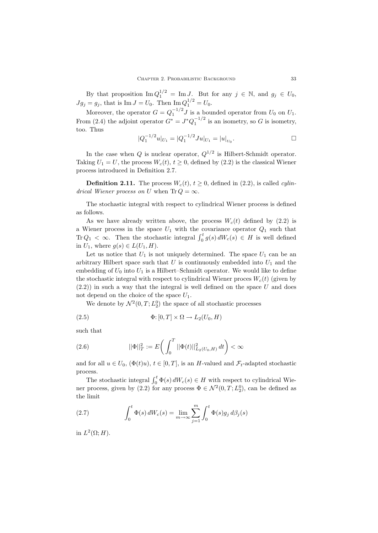By that proposition  $\text{Im } Q_1^{1/2} = \text{Im } J$ . But for any  $j \in \mathbb{N}$ , and  $g_j \in U_0$ ,  $Jg_j = g_j$ , that is Im  $J = U_0$ . Then Im  $Q_1^{1/2} = U_0$ .

Moreover, the operator  $G = Q_1^{-1/2} J$  is a bounded operator from  $U_0$  on  $U_1$ . From (2.4) the adjoint operator  $G^* = J^* Q_1^{-1/2}$  is an isometry, so *G* is isometry, too. Thus

$$
|Q_1^{-1/2}u|_{U_1} = |Q_1^{-1/2}Ju|_{U_1} = |u|_{U_0}.
$$

In the case when *Q* is nuclear operator,  $Q^{1/2}$  is Hilbert-Schmidt operator. Taking  $U_1 = U$ , the process  $W_c(t)$ ,  $t \geq 0$ , defined by (2.2) is the classical Wiener process introduced in Definition 2.7.

**Definition 2.11.** The process  $W_c(t)$ ,  $t \geq 0$ , defined in (2.2), is called *cylindrical Wiener process on U* when  $\text{Tr } Q = \infty$ .

The stochastic integral with respect to cylindrical Wiener process is defined as follows.

As we have already written above, the process  $W_c(t)$  defined by  $(2.2)$  is a Wiener process in the space  $U_1$  with the covariance operator  $Q_1$  such that Tr  $Q_1 < \infty$ . Then the stochastic integral  $\int_0^t g(s) dW_c(s) \in H$  is well defined in  $U_1$ , where  $g(s) \in L(U_1, H)$ .

Let us notice that  $U_1$  is not uniquely determined. The space  $U_1$  can be an arbitrary Hilbert space such that  $U$  is continuously embedded into  $U_1$  and the embedding of  $U_0$  into  $U_1$  is a Hilbert–Schmidt operator. We would like to define the stochastic integral with respect to cylindrical Wiener proces  $W_c(t)$  (given by  $(2.2)$ ) in such a way that the integral is well defined on the space U and does not depend on the choice of the space *U*1.

We denote by  $\mathcal{N}^2(0,T;L_2^0)$  the space of all stochastic processes

(2.5) 
$$
\Phi: [0, T] \times \Omega \to L_2(U_0, H)
$$

such that

(2.6) 
$$
||\Phi||_T^2 := E\bigg(\int_0^T ||\Phi(t)||^2_{L_2(U_0, H)} dt\bigg) < \infty
$$

and for all  $u \in U_0$ ,  $(\Phi(t)u)$ ,  $t \in [0, T]$ , is an *H*-valued and  $\mathcal{F}_t$ -adapted stochastic process.

The stochastic integral  $\int_0^t \Phi(s) dW_c(s) \in H$  with respect to cylindrical Wiener process, given by (2.2) for any process  $\Phi \in \mathcal{N}^2(0,T;L_2^0)$ , can be defined as the limit

(2.7) 
$$
\int_0^t \Phi(s) dW_c(s) = \lim_{m \to \infty} \sum_{j=1}^m \int_0^t \Phi(s) g_j d\beta_j(s)
$$

in  $L^2(\Omega; H)$ .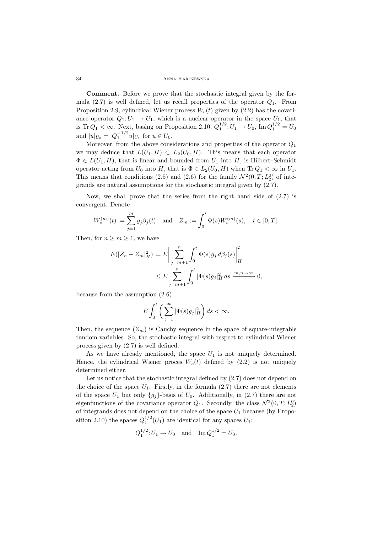34 Anna Karczewska

**Comment.** Before we prove that the stochastic integral given by the formula (2.7) is well defined, let us recall properties of the operator *Q*1. From Proposition 2.9, cylindrical Wiener process  $W_c(t)$  given by (2.2) has the covariance operator  $Q_1: U_1 \to U_1$ , which is a nuclear operator in the space  $U_1$ , that is Tr  $Q_1 < \infty$ . Next, basing on Proposition 2.10,  $Q_1^{1/2}: U_1 \to U_0$ , Im  $Q_1^{1/2} = U_0$ and  $|u|_{U_0} = |Q_1^{-1/2}u|_{U_1}$  for  $u \in U_0$ .

Moreover, from the above considerations and properties of the operator *Q*<sup>1</sup> we may deduce that  $L(U_1, H) \subset L_2(U_0, H)$ . This means that each operator  $\Phi \in L(U_1, H)$ , that is linear and bounded from  $U_1$  into  $H$ , is Hilbert–Schmidt operator acting from  $U_0$  into  $H$ , that is  $\Phi \in L_2(U_0, H)$  when  $\text{Tr } Q_1 < \infty$  in  $U_1$ . This means that conditions (2.5) and (2.6) for the family  $\mathcal{N}^2(0,T;L_2^0)$  of integrands are natural assumptions for the stochastic integral given by (2.7).

Now, we shall prove that the series from the right hand side of (2.7) is convergent. Denote

$$
W_c^{(m)}(t) := \sum_{j=1}^m g_j \beta_j(t) \text{ and } Z_m := \int_0^t \Phi(s) W_c^{(m)}(s), \quad t \in [0, T].
$$

Then, for  $n \geq m \geq 1$ , we have

$$
E(|Z_n - Z_m|_H^2) = E \Big| \sum_{j=m+1}^n \int_0^t \Phi(s) g_j \, d\beta_j(s) \Big|_H^2
$$
  

$$
\leq E \sum_{j=m+1}^n \int_0^t |\Phi(s) g_j|_H^2 \, ds \xrightarrow{m,n \to \infty} 0,
$$

because from the assumption (2.6)

$$
E\int_0^t \bigg(\sum_{j=1}^\infty |\Phi(s)g_j|_H^2\bigg)\,ds < \infty.
$$

Then, the sequence  $(Z_m)$  is Cauchy sequence in the space of square-integrable random variables. So, the stochastic integral with respect to cylindrical Wiener process given by (2.7) is well defined.

As we have already mentioned, the space  $U_1$  is not uniquely determined. Hence, the cylindrical Wiener proces  $W_c(t)$  defined by  $(2.2)$  is not uniquely determined either.

Let us notice that the stochastic integral defined by (2.7) does not depend on the choice of the space  $U_1$ . Firstly, in the formula  $(2.7)$  there are not elements of the space  $U_1$  but only  $\{g_j\}$ -basis of  $U_0$ . Additionally, in (2.7) there are not eigenfunctions of the covariance operator  $Q_1$ . Secondly, the class  $\mathcal{N}^2(0,T;L_2^0)$ of integrands does not depend on the choice of the space  $U_1$  because (by Proposition 2.10) the spaces  $Q_1^{1/2}(U_1)$  are identical for any spaces  $U_1$ :

$$
Q_1^{1/2}
$$
:  $U_1 \to U_0$  and  $\text{Im } Q_1^{1/2} = U_0$ .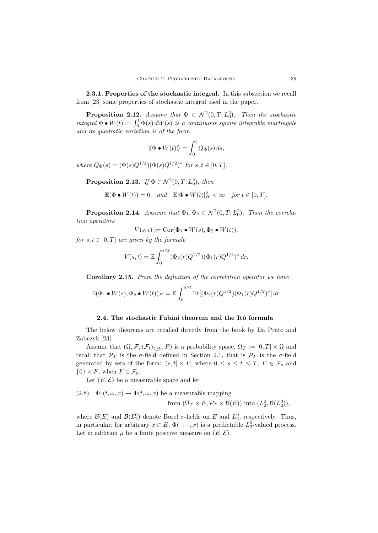**2.3.1. Properties of the stochastic integral.** In this subsection we recall from [23] some properties of stochastic integral used in the paper.

**Proposition 2.12.** *Assume that*  $\Phi \in \mathcal{N}^2(0,T;L_0^2)$ *. Then the stochastic*  $integral \Phi \bullet W(t) := \int_0^t \Phi(s) dW(s)$  *is a continuous square integrable martingale and its quadratic variation is of the form*

$$
\langle \! \langle \Phi \bullet W(t) \rangle \! \rangle = \int_0^t Q_\Phi(s) \, ds,
$$

*where*  $Q_{\Phi}(s) = (\Phi(s)Q^{1/2})(\Phi(s)Q^{1/2})^*$  *for*  $s, t \in [0, T]$ *.* 

**Proposition 2.13.** *If*  $\Phi \in \mathcal{N}^2(0,T;L_0^2)$ *, then* 

$$
\mathbb{E}(\Phi \bullet W(t)) = 0 \quad and \quad \mathbb{E}|\Phi \bullet W(t)|^2_H < \infty \quad \text{for } t \in [0, T].
$$

**Proposition 2.14.** *Assume that*  $\Phi_1, \Phi_2 \in \mathcal{N}^2(0,T; L_0^2)$ *. Then the correlation operators*

$$
V(s,t):=\mathrm{Cor}(\Phi_1\bullet W(s),\Phi_2\bullet W(t)),
$$

*for*  $s, t \in [0, T]$  *are given by the formula* 

$$
V(s,t) = \mathbb{E} \int_0^{s \wedge t} (\Phi_2(r)Q^{1/2})(\Phi_1(r)Q^{1/2})^* dr.
$$

**Corollary 2.15.** *From the definition of the correlation operator we have*

$$
\mathbb{E}(\Phi_1 \bullet W(s), \Phi_2 \bullet W(t))_H = \mathbb{E} \int_0^{s \wedge t} \operatorname{Tr}[(\Phi_2(r)Q^{1/2})(\Phi_1(r)Q^{1/2})^*] dr.
$$

#### 2.4. The stochastic Fubini theorem and the Itô formula

The below theorems are recalled directly from the book by Da Prato and Zabczyk [23].

Assume that  $(\Omega, \mathcal{F}, (\mathcal{F}_t)_{t>0}, P)$  is a probability space,  $\Omega_T := [0, T] \times \Omega$  and recall that *<sup>P</sup><sup>T</sup>* is the *<sup>σ</sup>*-field defined in Section 2.1, that is *<sup>P</sup><sup>T</sup>* is the *<sup>σ</sup>*-field generated by sets of the form:  $(s, t] \times F$ , where  $0 \le s \le t \le T$ ,  $F \in \mathcal{F}_s$  and  ${0} \times F$ , when  $F \in \mathcal{F}_0$ .

Let  $(E, \mathcal{E})$  be a measurable space and let

(2.8)  $\Phi: (t, \omega, x) \to \Phi(t, \omega, x)$  be a measurable mapping

from 
$$
(\Omega_T \times E, \mathcal{P}_T \times \mathcal{B}(E))
$$
 into  $(L_2^0, \mathcal{B}(L_2^0))$ ,

where  $\mathcal{B}(E)$  and  $\mathcal{B}(L_2^0)$  denote Borel  $\sigma$ -fields on  $E$  and  $L_2^0$ , respectively. Thus, in particular, for arbitrary  $x \in E$ ,  $\Phi(\cdot, \cdot, x)$  is a predictable  $L_2^0$ -valued process. Let in addition  $\mu$  be a finite positive measure on  $(E, \mathcal{E})$ .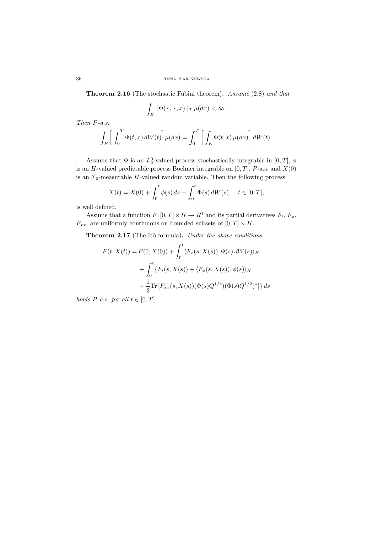**Theorem 2.16** (The stochastic Fubini theorem)**.** *Assume* (2.8) *and that*

$$
\int_{E} ||\Phi(\,\cdot\,,\,\cdot\,,x)||_{T} \,\mu(dx) < \infty.
$$

*Then P-a.s.*

$$
\int_{E} \left[ \int_{0}^{T} \Phi(t, x) dW(t) \right] \mu(dx) = \int_{0}^{T} \left[ \int_{E} \Phi(t, x) \mu(dx) \right] dW(t).
$$

Assume that  $\Phi$  is an  $L_2^0$ -valued process stochastically integrable in  $[0, T]$ ,  $\phi$ is an *H*-valued predictable process Bochner integrable on  $[0, T]$ , *P*-a.s. and *X*(0) is an  $\mathcal{F}_0$ -measurable *H*-valued random variable. Then the following process

$$
X(t) = X(0) + \int_0^t \phi(s) \, ds + \int_0^t \Phi(s) \, dW(s), \quad t \in [0, T],
$$

is well defined.

Assume that a function  $F: [0, T] \times H \to R^1$  and its partial derivatives  $F_t$ ,  $F_x$ ,  $F_{xx}$ , are uniformly continuous on bounded subsets of  $[0, T] \times H$ .

**Theorem 2.17** (The Itˆo formula)**.** *Under the above conditions*

$$
F(t, X(t)) = F(0, X(0)) + \int_0^t \langle F_x(s, X(s)), \Phi(s) dW(s) \rangle_H
$$
  
+ 
$$
\int_0^t \{F_t(s, X(s)) + \langle F_x(s, X(s)), \phi(s) \rangle_H
$$
  
+ 
$$
\frac{1}{2} \text{Tr} [F_{xx}(s, X(s)) (\Phi(s) Q^{1/2}) (\Phi(s) Q^{1/2})^* ] \} ds
$$

*holds*  $P$ *-a.s. for all*  $t \in [0, T]$ *.*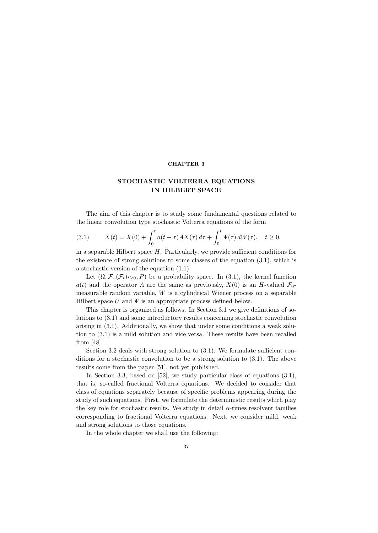## **CHAPTER 3**

# **STOCHASTIC VOLTERRA EQUATIONS IN HILBERT SPACE**

The aim of this chapter is to study some fundamental questions related to the linear convolution type stochastic Volterra equations of the form

(3.1) 
$$
X(t) = X(0) + \int_0^t a(t - \tau) A X(\tau) d\tau + \int_0^t \Psi(\tau) dW(\tau), \quad t \ge 0,
$$

in a separable Hilbert space *H*. Particularly, we provide sufficient conditions for the existence of strong solutions to some classes of the equation (3.1), which is a stochastic version of the equation (1.1).

Let  $(\Omega, \mathcal{F}, (\mathcal{F}_t)_{t>0}, P)$  be a probability space. In (3.1), the kernel function  $a(t)$  and the operator *A* are the same as previously,  $X(0)$  is an *H*-valued  $\mathcal{F}_0$ measurable random variable, *W* is a cylindrical Wiener process on a separable Hilbert space  $U$  and  $\Psi$  is an appropriate process defined below.

This chapter is organized as follows. In Section 3.1 we give definitions of solutions to (3.1) and some introductory results concerning stochastic convolution arising in (3.1). Additionally, we show that under some conditions a weak solution to (3.1) is a mild solution and vice versa. These results have been recalled from [48].

Section 3.2 deals with strong solution to (3.1). We formulate sufficient conditions for a stochastic convolution to be a strong solution to (3.1). The above results come from the paper [51], not yet published.

In Section 3.3, based on [52], we study particular class of equations  $(3.1)$ , that is, so-called fractional Volterra equations. We decided to consider that class of equations separately because of specific problems appearing during the study of such equations. First, we formulate the deterministic results which play the key role for stochastic results. We study in detail  $\alpha$ -times resolvent families corresponding to fractional Volterra equations. Next, we consider mild, weak and strong solutions to those equations.

In the whole chapter we shall use the following: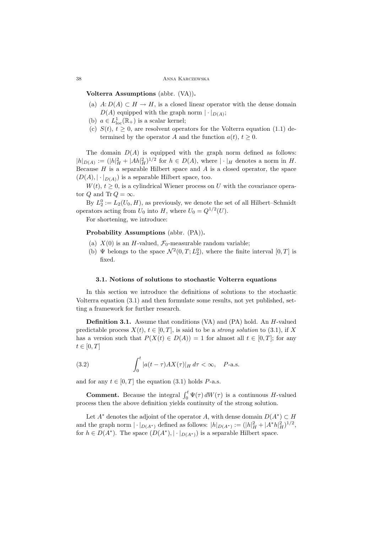#### 38 Anna Karczewska

**Volterra Assumptions** (abbr. (VA))**.**

- (a)  $A: D(A) \subset H \to H$ , is a closed linear operator with the dense domain  $D(A)$  equipped with the graph norm  $|\cdot|_{D(A)}$ ;
- (b)  $a \in L^1_{loc}(\mathbb{R}_+)$  is a scalar kernel;
- (c)  $S(t)$ ,  $t \geq 0$ , are resolvent operators for the Volterra equation (1.1) determined by the operator *A* and the function  $a(t)$ ,  $t \geq 0$ .

The domain  $D(A)$  is equipped with the graph norm defined as follows:  $|h|_{D(A)} := (|h|_H^2 + |Ah|_H^2)^{1/2}$  for  $h \in D(A)$ , where  $|\cdot|_H$  denotes a norm in H. Because *H* is a separable Hilbert space and *A* is a closed operator, the space  $(D(A), |\cdot|_{D(A)})$  is a separable Hilbert space, too.

 $W(t)$ ,  $t \geq 0$ , is a cylindrical Wiener process on *U* with the covariance operator *Q* and Tr  $Q = \infty$ .

By  $L_2^0 := L_2(U_0, H)$ , as previously, we denote the set of all Hilbert–Schmidt operators acting from  $U_0$  into  $H$ , where  $U_0 = Q^{1/2}(U)$ .

For shortening, we introduce:

**Probability Assumptions** (abbr. (PA))**.**

- (a)  $X(0)$  is an *H*-valued,  $\mathcal{F}_0$ -measurable random variable;
- (b)  $\Psi$  belongs to the space  $\mathcal{N}^2(0,T;L_2^0)$ , where the finite interval  $[0,T]$  is fixed.

### **3.1. Notions of solutions to stochastic Volterra equations**

In this section we introduce the definitions of solutions to the stochastic Volterra equation (3.1) and then formulate some results, not yet published, setting a framework for further research.

**Definition 3.1.** Assume that conditions (VA) and (PA) hold. An *H*-valued predictable process  $X(t), t \in [0, T]$ , is said to be a *strong solution* to (3.1), if X has a version such that  $P(X(t) \in D(A)) = 1$  for almost all  $t \in [0, T]$ ; for any  $t \in [0, T]$ 

(3.2) 
$$
\int_0^t |a(t-\tau)AX(\tau)|_H d\tau < \infty, \quad P\text{-a.s.}
$$

and for any  $t \in [0, T]$  the equation (3.1) holds *P*-a.s.

**Comment.** Because the integral  $\int_0^t \Psi(\tau) dW(\tau)$  is a continuous *H*-valued process then the above definition yields continuity of the strong solution.

Let  $A^*$  denotes the adjoint of the operator *A*, with dense domain  $D(A^*) \subset H$ and the graph norm  $|\cdot|_{D(A^*)}$  defined as follows:  $|h|_{D(A^*)}:=(|h|_H^2+|A^*h|_H^2)^{1/2}$ , for  $h \in D(A^*)$ . The space  $(D(A^*)$ ,  $|\cdot|_{D(A^*)})$  is a separable Hilbert space.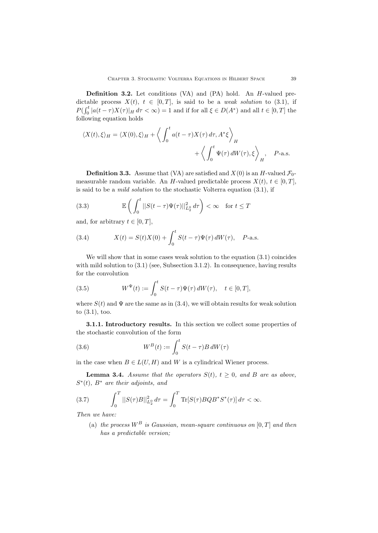**Definition 3.2.** Let conditions (VA) and (PA) hold. An *H*-valued predictable process  $X(t)$ ,  $t \in [0, T]$ , is said to be a *weak solution* to (3.1), if  $P(\int_0^t |a(t-\tau)X(\tau)|_H d\tau < \infty) = 1$  and if for all  $\xi \in D(A^*)$  and all  $t \in [0, T]$  the following equation holds

$$
\langle X(t), \xi \rangle_H = \langle X(0), \xi \rangle_H + \left\langle \int_0^t a(t - \tau) X(\tau) d\tau, A^* \xi \right\rangle_H
$$
  
 
$$
+ \left\langle \int_0^t \Psi(\tau) dW(\tau), \xi \right\rangle_H, \quad P\text{-a.s.}
$$

**Definition 3.3.** Assume that (VA) are satisfied and  $X(0)$  is an *H*-valued  $\mathcal{F}_0$ measurable random variable. An *H*-valued predictable process  $X(t)$ ,  $t \in [0, T]$ , is said to be a *mild solution* to the stochastic Volterra equation (3.1), if

(3.3) 
$$
\mathbb{E}\left(\int_0^t ||S(t-\tau)\Psi(\tau)||_{L_2^0}^2 d\tau\right) < \infty \quad \text{for } t \leq T
$$

and, for arbitrary  $t \in [0, T]$ ,

(3.4) 
$$
X(t) = S(t)X(0) + \int_0^t S(t-\tau)\Psi(\tau) dW(\tau), \quad P\text{-a.s.}
$$

We will show that in some cases weak solution to the equation  $(3.1)$  coincides with mild solution to  $(3.1)$  (see, Subsection 3.1.2). In consequence, having results for the convolution

(3.5) 
$$
W^{\Psi}(t) := \int_0^t S(t-\tau)\Psi(\tau) dW(\tau), \quad t \in [0,T],
$$

where  $S(t)$  and  $\Psi$  are the same as in (3.4), we will obtain results for weak solution to (3.1), too.

**3.1.1. Introductory results.** In this section we collect some properties of the stochastic convolution of the form

(3.6) 
$$
W^{B}(t) := \int_{0}^{t} S(t - \tau) B dW(\tau)
$$

in the case when  $B \in L(U, H)$  and W is a cylindrical Wiener process.

**Lemma 3.4.** *Assume that the operators*  $S(t)$ *,*  $t \geq 0$ *, and B are as above, S∗*(*t*)*, B<sup>∗</sup> are their adjoints, and*

(3.7) 
$$
\int_0^T ||S(\tau)B||_{L_2^0}^2 d\tau = \int_0^T \text{Tr}[S(\tau)BQB^*S^*(\tau)] d\tau < \infty.
$$

*Then we have:*

(a) *the process*  $W^B$  *is Gaussian, mean-square continuous on*  $[0, T]$  *and then has a predictable version;*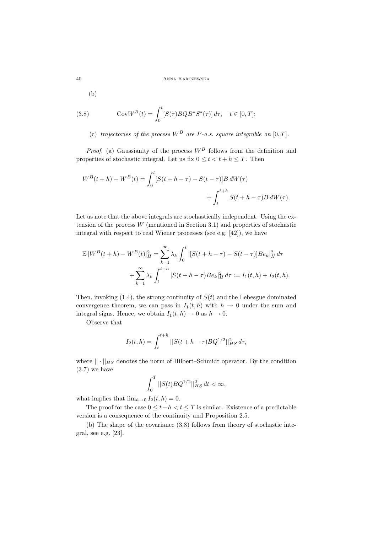(b)

(3.8) 
$$
\text{Cov}W^{B}(t) = \int_{0}^{t} [S(\tau)BQB^{*}S^{*}(\tau)] d\tau, \quad t \in [0, T];
$$

(c) *trajectories of the process*  $W^B$  *are*  $P$ *-a.s. square integrable on*  $[0, T]$ *.* 

*Proof.* (a) Gaussianity of the process *W<sup>B</sup>* follows from the definition and properties of stochastic integral. Let us fix  $0 \le t < t + h \le T$ . Then

$$
W^{B}(t+h) - W^{B}(t) = \int_{0}^{t} [S(t+h-\tau) - S(t-\tau)]B dW(\tau) + \int_{t}^{t+h} S(t+h-\tau)B dW(\tau).
$$

Let us note that the above integrals are stochastically independent. Using the extension of the process *W* (mentioned in Section 3.1) and properties of stochastic integral with respect to real Wiener processes (see e.g. [42]), we have

$$
\mathbb{E}|W^{B}(t+h) - W^{B}(t)|_{H}^{2} = \sum_{k=1}^{\infty} \lambda_{k} \int_{0}^{t} |[S(t+h-\tau) - S(t-\tau)]Be_{k}|_{H}^{2} d\tau
$$

$$
+ \sum_{k=1}^{\infty} \lambda_{k} \int_{t}^{t+h} |S(t+h-\tau)Be_{k}|_{H}^{2} d\tau := I_{1}(t,h) + I_{2}(t,h).
$$

Then, invoking  $(1.4)$ , the strong continuity of  $S(t)$  and the Lebesgue dominated convergence theorem, we can pass in  $I_1(t, h)$  with  $h \to 0$  under the sum and integral signs. Hence, we obtain  $I_1(t, h) \to 0$  as  $h \to 0$ .

Observe that

$$
I_2(t, h) = \int_{t}^{t+h} ||S(t+h-\tau)BQ^{1/2}||_{HS}^2 d\tau,
$$

where  $|| \cdot ||_{HS}$  denotes the norm of Hilbert–Schmidt operator. By the condition  $(3.7)$  we have

$$
\int_0^T ||S(t)BQ^{1/2}||_{HS}^2 dt < \infty,
$$

what implies that  $\lim_{h\to 0} I_2(t, h) = 0$ .

The proof for the case  $0 \leq t - h < t \leq T$  is similar. Existence of a predictable version is a consequence of the continuity and Proposition 2.5.

(b) The shape of the covariance (3.8) follows from theory of stochastic integral, see e.g. [23].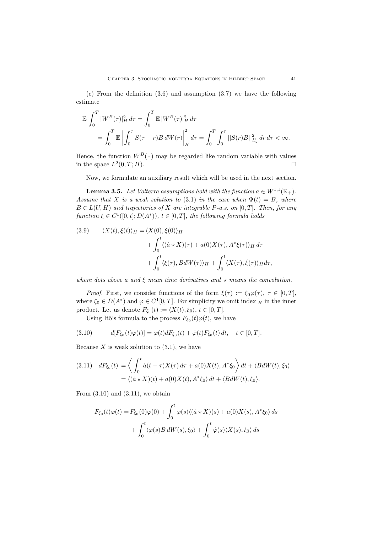(c) From the definition (3.6) and assumption (3.7) we have the following estimate

$$
\mathbb{E} \int_0^T |W^B(\tau)|_H^2 d\tau = \int_0^T \mathbb{E} |W^B(\tau)|_H^2 d\tau \n= \int_0^T \mathbb{E} \left| \int_0^{\tau} S(\tau - r) B dW(r) \right|_H^2 d\tau = \int_0^T \int_0^{\tau} ||S(r)B||_{L_2^0}^2 dr d\tau < \infty.
$$

Hence, the function  $W^B(\cdot)$  may be regarded like random variable with values in the space  $L^2(0,T;H)$ .

Now, we formulate an auxiliary result which will be used in the next section.

**Lemma 3.5.** *Let Volterra assumptions hold with the function*  $a \in W^{1,1}(\mathbb{R}_+).$ *Assume that X is a weak solution to* (3.1) *in the case when*  $\Psi(t) = B$ *, where*  $B \in L(U, H)$  *and trajectories of X are integrable P-a.s. on* [0*,T*]. *Then, for any function*  $\xi \in C^1([0,t]; D(A^*)), t \in [0,T],$  *the following formula holds* 

(3.9) 
$$
\langle X(t), \xi(t) \rangle_H = \langle X(0), \xi(0) \rangle_H
$$

$$
+ \int_0^t \langle (\dot{a} \star X)(\tau) + a(0)X(\tau), A^* \xi(\tau) \rangle_H d\tau
$$

$$
+ \int_0^t \langle \xi(\tau), B dW(\tau) \rangle_H + \int_0^t \langle X(\tau), \dot{\xi}(\tau) \rangle_H d\tau,
$$

*where dots above a and*  $\xi$  *mean time derivatives and*  $\star$  *means the convolution.* 

*Proof.* First, we consider functions of the form  $\xi(\tau) := \xi_0 \varphi(\tau)$ ,  $\tau \in [0, T]$ , where  $\xi_0 \in D(A^*)$  and  $\varphi \in C^1[0,T]$ . For simplicity we omit index  $H$  in the inner product. Let us denote  $F_{\xi_0}(t) := \langle X(t), \xi_0 \rangle, t \in [0, T].$ 

Using Itô's formula to the process  $F_{\xi_0}(t)\varphi(t)$ , we have

(3.10) 
$$
d[F_{\xi_0}(t)\varphi(t)] = \varphi(t)dF_{\xi_0}(t) + \dot{\varphi}(t)F_{\xi_0}(t) dt, \quad t \in [0, T].
$$

Because  $X$  is weak solution to  $(3.1)$ , we have

(3.11) 
$$
dF_{\xi_0}(t) = \left\langle \int_0^t \dot{a}(t-\tau)X(\tau) d\tau + a(0)X(t), A^*\xi_0 \right\rangle dt + \left\langle BdW(t), \xi_0 \right\rangle
$$

$$
= \left\langle (\dot{a} \star X)(t) + a(0)X(t), A^*\xi_0 \right\rangle dt + \left\langle BdW(t), \xi_0 \right\rangle.
$$

From  $(3.10)$  and  $(3.11)$ , we obtain

$$
F_{\xi_0}(t)\varphi(t) = F_{\xi_0}(0)\varphi(0) + \int_0^t \varphi(s)\langle(\dot{a} \star X)(s) + a(0)X(s), A^*\xi_0\rangle ds
$$

$$
+ \int_0^t \langle \varphi(s)B dW(s), \xi_0 \rangle + \int_0^t \dot{\varphi}(s)\langle X(s), \xi_0 \rangle ds
$$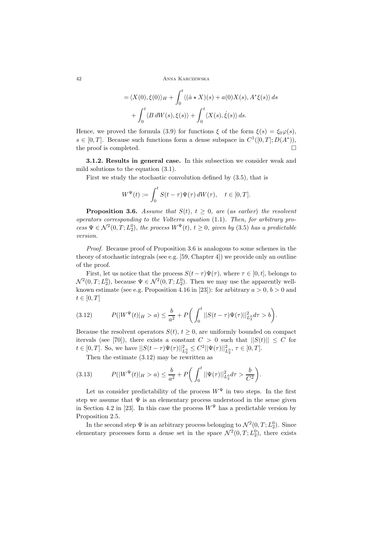$$
= \langle X(0), \xi(0) \rangle_H + \int_0^t \langle (\dot{a} \star X)(s) + a(0)X(s), A^* \xi(s) \rangle ds
$$
  
+ 
$$
\int_0^t \langle B dW(s), \xi(s) \rangle + \int_0^t \langle X(s), \dot{\xi}(s) \rangle ds.
$$

Hence, we proved the formula (3.9) for functions  $\xi$  of the form  $\xi(s) = \xi_0 \varphi(s)$ , *s*  $\in$  [0*,T*]. Because such functions form a dense subspace in  $C^1([0, T]; D(A^*))$ , the proof is completed. the proof is completed.

**3.1.2. Results in general case.** In this subsection we consider weak and mild solutions to the equation (3.1).

First we study the stochastic convolution defined by (3.5), that is

$$
W^{\Psi}(t) := \int_0^t S(t-\tau)\Psi(\tau) dW(\tau), \quad t \in [0,T].
$$

**Proposition 3.6.** *Assume that*  $S(t)$ *,*  $t \geq 0$ *, are (as earlier) the resolvent operators corresponding to the Volterra equation* (1.1)*. Then, for arbitrary process*  $\Psi \in \mathcal{N}^2(0,T; L_2^0)$ *, the process*  $W^{\Psi}(t)$ *,*  $t \geq 0$ *, given by* (3.5) *has a predictable version.*

*Proof.* Because proof of Proposition 3.6 is analogous to some schemes in the theory of stochastic integrals (see e.g. [59, Chapter 4]) we provide only an outline of the proof.

First, let us notice that the process  $S(t - \tau)\Psi(\tau)$ , where  $\tau \in [0, t]$ , belongs to  $\mathcal{N}^2(0,T;L_2^0)$ , because  $\Psi \in \mathcal{N}^2(0,T;L_2^0)$ . Then we may use the apparently wellknown estimate (see e.g. Proposition 4.16 in [23]): for arbitrary  $a > 0, b > 0$  and  $t ∈ [0, T]$ 

(3.12) 
$$
P(|W^{\Psi}(t)|_{H}>a) \leq \frac{b}{a^2} + P\bigg(\int_0^t ||S(t-\tau)\Psi(\tau)||_{L_2^0}^2 d\tau > b\bigg).
$$

Because the resolvent operators  $S(t)$ ,  $t \geq 0$ , are uniformly bounded on compact itervals (see [70]), there exists a constant  $C > 0$  such that  $||S(t)|| \leq C$  for  $t \in [0, T]$ . So, we have  $||S(t - \tau)\Psi(\tau)||_{L_2^0}^2 \leq C^2 ||\Psi(\tau)||_{L_2^0}^2$ ,  $\tau \in [0, T]$ .

Then the estimate (3.12) may be rewritten as

(3.13) 
$$
P(|W^{\Psi}(t)|_{H}>a) \leq \frac{b}{a^2} + P\bigg(\int_0^t ||\Psi(\tau)||_{L_2^0}^2 d\tau > \frac{b}{C^2}\bigg).
$$

Let us consider predictability of the process  $W^{\Psi}$  in two steps. In the first step we assume that  $\Psi$  is an elementary process understood in the sense given in Section 4.2 in [23]. In this case the process  $W^{\Psi}$  has a predictable version by Proposition 2.5.

In the second step  $\Psi$  is an arbitrary process belonging to  $\mathcal{N}^2(0,T;L_2^0)$ . Since elementary processes form a dense set in the space  $\mathcal{N}^2(0,T;L_2^0)$ , there exists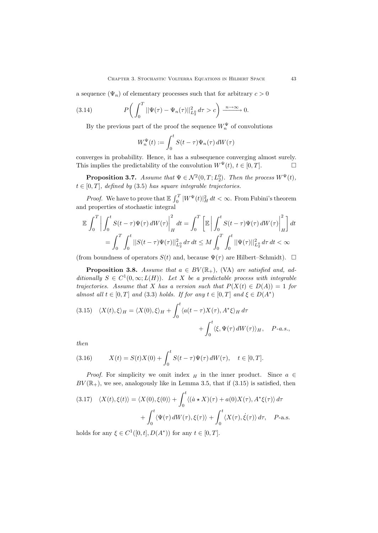a sequence  $(\Psi_n)$  of elementary processes such that for arbitrary  $c > 0$ 

(3.14) 
$$
P\bigg(\int_0^T ||\Psi(\tau)-\Psi_n(\tau)||_{L_2^0}^2 d\tau > c\bigg) \xrightarrow{n \to \infty} 0.
$$

By the previous part of the proof the sequence  $W_n^{\Psi}$  of convolutions

$$
W_n^{\Psi}(t) := \int_0^t S(t - \tau) \Psi_n(\tau) dW(\tau)
$$

converges in probability. Hence, it has a subsequence converging almost surely. This implies the predictability of the convolution  $W^{\Psi}(t)$ ,  $t \in [0, T]$ .

**Proposition 3.7.** *Assume that*  $\Psi \in \mathcal{N}^2(0,T;L_2^0)$ *. Then the process*  $W^{\Psi}(t)$ *,*  $t \in [0, T]$ *, defined by* (3.5) *has square integrable trajectories.* 

*Proof.* We have to prove that  $\mathbb{E} \int_0^T |W^{\Psi}(t)|_H^2 dt < \infty$ . From Fubini's theorem and properties of stochastic integral

$$
\mathbb{E} \int_0^T \left| \int_0^t S(t - \tau) \Psi(\tau) dW(\tau) \right|_H^2 dt = \int_0^T \left[ \mathbb{E} \left| \int_0^t S(t - \tau) \Psi(\tau) dW(\tau) \right|_H^2 \right] dt
$$
  
= 
$$
\int_0^T \int_0^t ||S(t - \tau) \Psi(\tau)||_{L_2^0}^2 d\tau dt \le M \int_0^T \int_0^t ||\Psi(\tau)||_{L_2^0}^2 d\tau dt < \infty
$$

(from boundness of operators  $S(t)$  and, because  $\Psi(\tau)$  are Hilbert–Schmidt).  $\square$ 

**Proposition 3.8.** *Assume that*  $a \in BV(\mathbb{R}_+)$ , (VA) *are satisfied and, additionally*  $S \in C^1(0, \infty; L(H))$ *. Let X be a predictable process with integrable trajectories.* Assume that *X* has a version such that  $P(X(t) \in D(A)) = 1$  for *almost all*  $t \in [0, T]$  *and* (3.3) *holds. If for any*  $t \in [0, T]$  *and*  $\xi \in D(A^*)$ 

(3.15) 
$$
\langle X(t), \xi \rangle_H = \langle X(0), \xi \rangle_H + \int_0^t \langle a(t - \tau)X(\tau), A^* \xi \rangle_H d\tau + \int_0^t \langle \xi, \Psi(\tau) dW(\tau) \rangle_H, \quad P-a.s.,
$$

*then*

(3.16) 
$$
X(t) = S(t)X(0) + \int_0^t S(t-\tau)\Psi(\tau) dW(\tau), \quad t \in [0,T].
$$

*Proof.* For simplicity we omit index  $_H$  in the inner product. Since  $a \in$  $BV(\mathbb{R}_+)$ , we see, analogously like in Lemma 3.5, that if  $(3.15)$  is satisfied, then

(3.17) 
$$
\langle X(t), \xi(t) \rangle = \langle X(0), \xi(0) \rangle + \int_0^t \langle (\dot{a} \star X)(\tau) + a(0)X(\tau), A^* \xi(\tau) \rangle d\tau + \int_0^t \langle \Psi(\tau) dW(\tau), \xi(\tau) \rangle + \int_0^t \langle X(\tau), \dot{\xi}(\tau) \rangle d\tau, \quad P\text{-a.s.}
$$

holds for any  $\xi \in C^1([0,t], D(A^*))$  for any  $t \in [0,T]$ .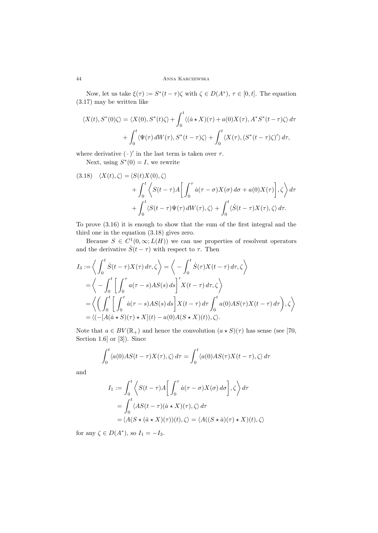Now, let us take  $\xi(\tau) := S^*(t - \tau)\zeta$  with  $\zeta \in D(A^*)$ ,  $\tau \in [0, t]$ . The equation (3.17) may be written like

$$
\langle X(t), S^*(0)\zeta \rangle = \langle X(0), S^*(t)\zeta \rangle + \int_0^t \langle (\dot{a} \star X)(\tau) + a(0)X(\tau), A^*S^*(t - \tau)\zeta \rangle d\tau + \int_0^t \langle \Psi(\tau) dW(\tau), S^*(t - \tau)\zeta \rangle + \int_0^t \langle X(\tau), (S^*(t - \tau)\zeta)' \rangle d\tau,
$$

where derivative  $(\cdot)'$  in the last term is taken over  $\tau$ .

Next, using  $S^*(0) = I$ , we rewrite

(3.18) 
$$
\langle X(t), \zeta \rangle = \langle S(t)X(0), \zeta \rangle + \int_0^t \left\langle S(t-\tau)A \left[ \int_0^{\tau} \dot{a}(\tau - \sigma)X(\sigma) d\sigma + a(0)X(\tau) \right], \zeta \right\rangle d\tau + \int_0^t \left\langle S(t-\tau)\Psi(\tau) dW(\tau), \zeta \right\rangle + \int_0^t \left\langle \dot{S}(t-\tau)X(\tau), \zeta \right\rangle d\tau.
$$

To prove (3.16) it is enough to show that the sum of the first integral and the third one in the equation (3.18) gives zero.

Because  $S \in C^1(0, \infty; L(H))$  we can use properties of resolvent operators and the derivative  $\dot{S}(t-\tau)$  with respect to  $\tau$ . Then

$$
I_3 := \left\langle \int_0^t \dot{S}(t-\tau)X(\tau) d\tau, \zeta \right\rangle = \left\langle -\int_0^t \dot{S}(\tau)X(t-\tau) d\tau, \zeta \right\rangle
$$
  
=  $\left\langle -\int_0^t \left[ \int_0^{\tau} a(\tau - s)AS(s) ds \right]'X(t-\tau) d\tau, \zeta \right\rangle$   
=  $\left\langle \left( \int_0^t \left[ \int_0^{\tau} \dot{a}(\tau - s)AS(s) ds \right] X(t-\tau) d\tau \int_0^t a(0)AS(\tau)X(t-\tau) d\tau \right), \zeta \right\rangle$   
=  $\left\langle (-[A(\dot{a} \star S)(\tau) \star X](t) - a(0)A(S \star X)(t)), \zeta \right\rangle.$ 

Note that  $a \in BV(\mathbb{R}_+)$  and hence the convolution  $(a \star S)(\tau)$  has sense (see [70, Section 1.6] or [3]). Since

$$
\int_0^t \langle a(0)AS(t-\tau)X(\tau), \zeta \rangle d\tau = \int_0^t \langle a(0)AS(\tau)X(t-\tau), \zeta \rangle d\tau
$$

and

$$
I_1 := \int_0^t \left\langle S(t-\tau)A \left[ \int_0^{\tau} \dot{a}(\tau - \sigma)X(\sigma) d\sigma \right], \zeta \right\rangle d\tau
$$
  
= 
$$
\int_0^t \left\langle AS(t-\tau)(\dot{a} \star X)(\tau), \zeta \right\rangle d\tau
$$
  
= 
$$
\left\langle A(S \star (\dot{a} \star X)(\tau))(t), \zeta \right\rangle = \left\langle A((S \star \dot{a})(\tau) \star X)(t), \zeta \right\rangle
$$

for any  $\zeta \in D(A^*),$  so  $I_1 = -I_3$ .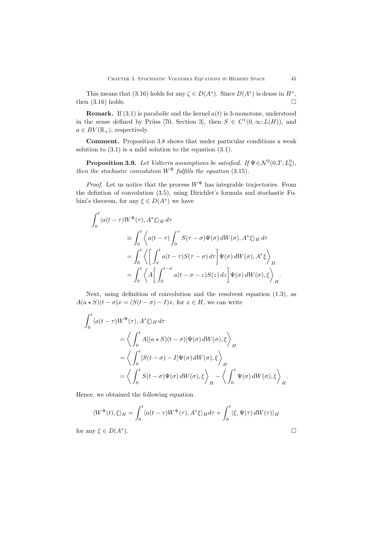This means that (3.16) holds for any  $\zeta \in D(A^*)$ . Since  $D(A^*)$  is dense in  $H^*$ , n (3.16) holds. then  $(3.16)$  holds.

**Remark.** If  $(3.1)$  is parabolic and the kernel  $a(t)$  is 3-monotone, understood in the sense defined by Prüss [70, Section 3], then  $S \in C^1(0,\infty;L(H))$ , and  $a \in BV(\mathbb{R}_+)$ , respectively.

**Comment.** Proposition 3.8 shows that under particular conditions a weak solution to (3.1) is a mild solution to the equation (3.1).

**Proposition 3.9.** *Let Volterra assumptions be satisfied. If*  $\Psi \in \mathcal{N}^2(0,T; L_2^0)$ *, then the stochastic convolution*  $W^{\Psi}$  *fulfills the equation* (3.15)*.* 

*Proof.* Let us notice that the process  $W^{\Psi}$  has integrable trajectories. From the defintion of convolution (3.5), using Dirichlet's formula and stochastic Fubini's theorem, for any  $\xi \in D(A^*)$  we have

$$
\int_0^t \langle a(t-\tau)W^{\Psi}(\tau), A^*\xi \rangle_H d\tau
$$
  
\n
$$
\equiv \int_0^t \langle a(t-\tau) \int_0^{\tau} S(\tau-\sigma) \Psi(\sigma) dW(\sigma), A^*\xi \rangle_H d\tau
$$
  
\n
$$
= \int_0^t \langle \left[ \int_{\sigma}^t a(t-\tau)S(\tau-\sigma) d\tau \right] \Psi(\sigma) dW(\sigma), A^*\xi \rangle_H
$$
  
\n
$$
= \int_0^t \langle A \left[ \int_0^{t-\sigma} a(t-\sigma-z)S(z) dz \right] \Psi(\sigma) dW(\sigma), \xi \rangle_H.
$$

Next, using definition of convolution and the resolvent equation (1.3), as  $A(a \star S)(t - \sigma)x = (S(t - \sigma) - I)x$ , for  $x \in H$ , we can write

$$
\int_0^t \langle a(t-\tau)W^{\Psi}(\tau), A^*\xi \rangle_H d\tau
$$
\n
$$
= \left\langle \int_0^t A[(a * S)(t-\sigma)]\Psi(\sigma) dW(\sigma), \xi \right\rangle_H
$$
\n
$$
= \left\langle \int_0^t [S(t-\sigma) - I]\Psi(\sigma) dW(\sigma), \xi \right\rangle_H
$$
\n
$$
= \left\langle \int_0^t S(t-\sigma)\Psi(\sigma) dW(\sigma), \xi \right\rangle_H - \left\langle \int_0^t \Psi(\sigma) dW(\sigma), \xi \right\rangle_H.
$$

Hence, we obtained the following equation

$$
\langle W^{\Psi}(t), \xi \rangle_{H} = \int_{0}^{t} \langle a(t-\tau)W^{\Psi}(\tau), A^{*}\xi \rangle_{H} d\tau + \int_{0}^{t} \langle \xi, \Psi(\tau) dW(\tau) \rangle_{H}
$$
  
for any  $\xi \in D(A^{*}).$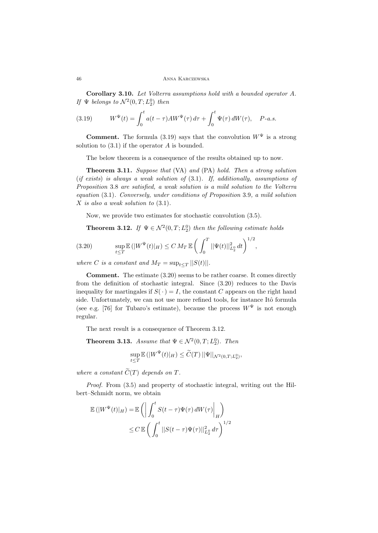**Corollary 3.10.** *Let Volterra assumptions hold with a bounded operator A. If*  $\Psi$  *belongs to*  $\mathcal{N}^2(0,T;L_2^0)$  *then* 

(3.19) 
$$
W^{\Psi}(t) = \int_0^t a(t-\tau)AW^{\Psi}(\tau) d\tau + \int_0^t \Psi(\tau) dW(\tau), \quad P-a.s.
$$

**Comment.** The formula (3.19) says that the convolution  $W^{\Psi}$  is a strong solution to (3.1) if the operator *A* is bounded.

The below theorem is a consequence of the results obtained up to now.

**Theorem 3.11.** *Suppose that* (VA) *and* (PA) *hold. Then a strong solution* (*if exists*) *is always a weak solution of* (3.1)*. If, additionally, assumptions of Proposition* 3.8 *are satisfied, a weak solution is a mild solution to the Volterra equation* (3.1)*. Conversely, under conditions of Proposition* 3.9*, a mild solution X is also a weak solution to* (3.1)*.*

Now, we provide two estimates for stochastic convolution (3.5).

**Theorem 3.12.** *If*  $\Psi \in \mathcal{N}^2(0,T;L_2^0)$  *then the following estimate holds* 

(3.20) 
$$
\sup_{t\leq T} \mathbb{E}(|W^{\Psi}(t)|_{H}) \leq C M_{T} \mathbb{E}\left(\int_{0}^{T} ||\Psi(t)||_{L_{2}^{0}}^{2} dt\right)^{1/2},
$$

*where C is a constant and*  $M_T = \sup_{t \le T} ||S(t)||$ *.* 

**Comment.** The estimate (3.20) seems to be rather coarse. It comes directly from the definition of stochastic integral. Since (3.20) reduces to the Davis inequality for martingales if  $S(\cdot) = I$ , the constant *C* appears on the right hand side. Unfortunately, we can not use more refined tools, for instance Itô formula (see e.g. [76] for Tubaro's estimate), because the process  $W^{\Psi}$  is not enough regular.

The next result is a consequence of Theorem 3.12.

**Theorem 3.13.** *Assume that*  $\Psi \in \mathcal{N}^2(0,T;L_2^0)$ *. Then* 

$$
\sup_{t\leq T} \mathbb{E} \left( |W^{\Psi}(t)|_H \right) \leq \widetilde{C}(T) \left| \Psi \right| |_{\mathcal{N}^2(0,T;L_2^0)},
$$

*where a constant*  $\widetilde{C}(T)$  *depends on*  $T$ *.* 

*Proof.* From (3.5) and property of stochastic integral, writing out the Hilbert–Schmidt norm, we obtain

$$
\mathbb{E}(|W^{\Psi}(t)|_{H}) = \mathbb{E}\left(\left|\int_{0}^{t} S(t-\tau)\Psi(\tau) dW(\tau)\right|_{H}\right)
$$
  

$$
\leq C \mathbb{E}\left(\left|\int_{0}^{t} |S(t-\tau)\Psi(\tau)||_{L_{2}}^{2} d\tau\right|^{1/2}\right)
$$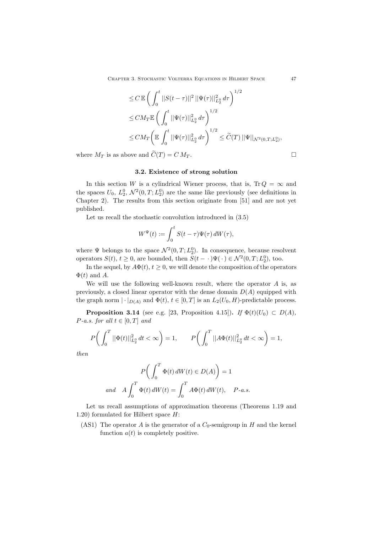Chapter 3. Stochastic Volterra Equations in Hilbert Space 47

$$
\leq C \mathbb{E} \left( \int_0^t ||S(t - \tau)||^2 ||\Psi(\tau)||_{L_2^0}^2 d\tau \right)^{1/2}
$$
  
\n
$$
\leq C M_T \mathbb{E} \left( \int_0^t ||\Psi(\tau)||_{L_2^0}^2 d\tau \right)^{1/2}
$$
  
\n
$$
\leq C M_T \left( \mathbb{E} \int_0^t ||\Psi(\tau)||_{L_2^0}^2 d\tau \right)^{1/2} \leq \widetilde{C}(T) ||\Psi||_{\mathcal{N}^2(0,T;L_2^0)},
$$

where  $M_T$  is as above and  $\tilde{C}(T) = C M_T$ .

### **3.2. Existence of strong solution**

In this section *W* is a cylindrical Wiener process, that is,  $Tr Q = \infty$  and the spaces  $U_0$ ,  $L_2^0$ ,  $\mathcal{N}^2(0,T;L_2^0)$  are the same like previously (see definitions in Chapter 2). The results from this section originate from [51] and are not yet published.

Let us recall the stochastic convolution introduced in (3.5)

$$
W^{\Psi}(t) := \int_0^t S(t - \tau) \Psi(\tau) dW(\tau),
$$

where  $\Psi$  belongs to the space  $\mathcal{N}^2(0,T;L_2^0)$ . In consequence, because resolvent operators  $S(t)$ ,  $t \geq 0$ , are bounded, then  $S(t - \cdot) \Psi(\cdot) \in \mathcal{N}^2(0, T; L_2^0)$ , too.

In the sequel, by  $A\Phi(t)$ ,  $t \geq 0$ , we will denote the composition of the operators  $\Phi(t)$  and A.

We will use the following well-known result, where the operator *A* is, as previously, a closed linear operator with the dense domain *D*(*A*) equipped with the graph norm  $|\cdot|_{D(A)}$  and  $\Phi(t)$ ,  $t \in [0, T]$  is an  $L_2(U_0, H)$ -predictable process.

**Proposition 3.14** (see e.g. [23, Proposition 4.15])**.** *If*  $\Phi(t)(U_0) \subset D(A)$ *, P-a.s. for all*  $t \in [0, T]$  *and* 

$$
P\bigg(\int_0^T ||\Phi(t)||^2_{L_2^0} dt < \infty\bigg) = 1, \qquad P\bigg(\int_0^T ||A\Phi(t)||^2_{L_2^0} dt < \infty\bigg) = 1,
$$

*then*

$$
P\bigg(\int_0^T \Phi(t) dW(t) \in D(A)\bigg) = 1
$$
  
and 
$$
A \int_0^T \Phi(t) dW(t) = \int_0^T A\Phi(t) dW(t), \quad P-a.s.
$$

Let us recall assumptions of approximation theorems (Theorems 1.19 and 1.20) formulated for Hilbert space *H*:

(AS1) The operator *A* is the generator of a  $C_0$ -semigroup in *H* and the kernel function  $a(t)$  is completely positive.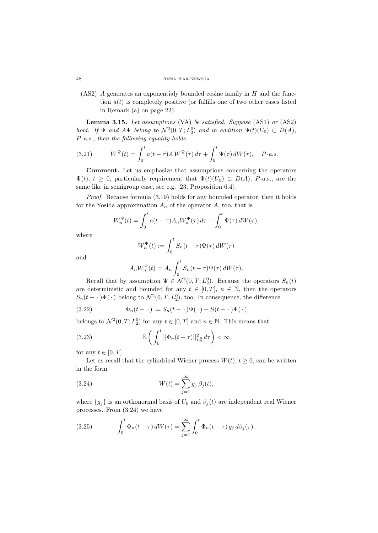### 48 Anna Karczewska

(AS2) *A* generates an exponentialy bounded cosine family in *H* and the function  $a(t)$  is completely positive (or fulfills one of two other cases listed in Remark (a) on page 22).

**Lemma 3.15.** *Let assumptions* (VA) *be satisfied. Suppose* (AS1) *or* (AS2) *hold. If*  $\Psi$  *and*  $A\Psi$  *belong to*  $\mathcal{N}^2(0,T; L_2^0)$  *and in addition*  $\Psi(t)(U_0) \subset D(A)$ *, P-a.s., then the following equality holds*

(3.21) 
$$
W^{\Psi}(t) = \int_0^t a(t-\tau) A W^{\Psi}(\tau) d\tau + \int_0^t \Psi(\tau) dW(\tau), \quad P\text{-}a.s.
$$

**Comment.** Let us emphasize that assumptions concerning the operators  $\Psi(t), t \geq 0$ , particularly requirement that  $\Psi(t)(U_0) \subset D(A), P$ -a.s., are the same like in semigroup case, see e.g. [23, Proposition 6.4].

*Proof.* Because formula (3.19) holds for any bounded operator, then it holds for the Yosida approximation  $A_n$  of the operator  $A$ , too, that is

$$
W_n^{\Psi}(t) = \int_0^t a(t-\tau) A_n W_n^{\Psi}(\tau) d\tau + \int_0^t \Psi(\tau) dW(\tau),
$$

where

$$
W_n^{\Psi}(t) := \int_0^t S_n(t-\tau)\Psi(\tau)\,dW(\tau)
$$

and

$$
A_n W_n^{\Psi}(t) = A_n \int_0^t S_n(t - \tau) \Psi(\tau) dW(\tau).
$$

Recall that by assumption  $\Psi \in \mathcal{N}^2(0,T; L_2^0)$ . Because the operators  $S_n(t)$ are deterministic and bounded for any  $t \in [0, T]$ ,  $n \in \mathbb{N}$ , then the operators  $S_n(t - \cdot) \Psi(\cdot)$  belong to  $\mathcal{N}^2(0,T;L_2^0)$ , too. In consequence, the difference

(3.22) 
$$
\Phi_n(t-\cdot) := S_n(t-\cdot)\Psi(\cdot) - S(t-\cdot)\Psi(\cdot)
$$

belongs to  $\mathcal{N}^2(0,T; L_2^0)$  for any  $t \in [0,T]$  and  $n \in \mathbb{N}$ . This means that

(3.23) 
$$
\mathbb{E}\left(\int_0^t ||\Phi_n(t-\tau)||_{L_2^0}^2 d\tau\right) < \infty
$$

for any  $t \in [0, T]$ .

Let us recall that the cylindrical Wiener process  $W(t)$ ,  $t \geq 0$ , can be written in the form

(3.24) 
$$
W(t) = \sum_{j=1}^{\infty} g_j \,\beta_j(t),
$$

where  ${g_j}$  is an orthonormal basis of  $U_0$  and  $\beta_j(t)$  are independent real Wiener processes. From (3.24) we have

(3.25) 
$$
\int_0^t \Phi_n(t-\tau) dW(\tau) = \sum_{j=1}^\infty \int_0^t \Phi_n(t-\tau) g_j d\beta_j(\tau).
$$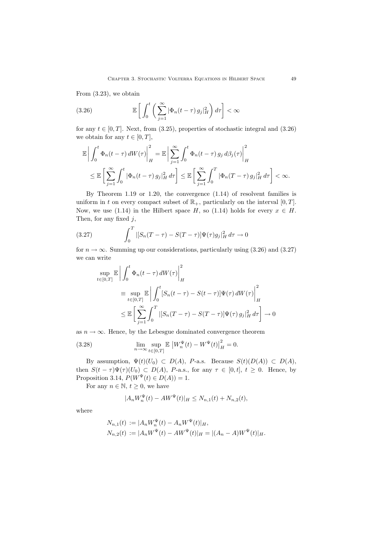From (3.23), we obtain

(3.26) 
$$
\mathbb{E}\left[\int_0^t \left(\sum_{j=1}^\infty |\Phi_n(t-\tau) g_j|_H^2\right) d\tau\right] < \infty
$$

for any  $t \in [0, T]$ . Next, from (3.25), properties of stochastic integral and (3.26) we obtain for any  $t \in [0, T]$ ,

$$
\mathbb{E}\left|\int_0^t \Phi_n(t-\tau) dW(\tau)\right|_H^2 = \mathbb{E}\left|\sum_{j=1}^\infty \int_0^t \Phi_n(t-\tau) g_j d\beta_j(\tau)\right|_H^2
$$
  

$$
\leq \mathbb{E}\left[\sum_{j=1}^\infty \int_0^t |\Phi_n(t-\tau) g_j|_H^2 d\tau\right] \leq \mathbb{E}\left[\sum_{j=1}^\infty \int_0^T |\Phi_n(T-\tau) g_j|_H^2 d\tau\right] < \infty.
$$

By Theorem 1.19 or 1.20, the convergence (1.14) of resolvent families is uniform in *t* on every compact subset of  $\mathbb{R}_+$ , particularly on the interval  $[0, T]$ . Now, we use (1.14) in the Hilbert space *H*, so (1.14) holds for every  $x \in H$ . Then, for any fixed *j*,

(3.27) 
$$
\int_0^T |[S_n(T-\tau) - S(T-\tau)] \Psi(\tau) g_j|_H^2 d\tau \to 0
$$

for  $n \to \infty$ . Summing up our considerations, particularly using (3.26) and (3.27) we can write

$$
\sup_{t \in [0,T]} \mathbb{E} \left| \int_0^t \Phi_n(t-\tau) dW(\tau) \right|_H^2
$$
\n
$$
\equiv \sup_{t \in [0,T]} \mathbb{E} \left| \int_0^t [S_n(t-\tau) - S(t-\tau)] \Psi(\tau) dW(\tau) \right|_H^2
$$
\n
$$
\leq \mathbb{E} \left[ \sum_{j=1}^\infty \int_0^T |[S_n(T-\tau) - S(T-\tau)] \Psi(\tau) g_j|_H^2 d\tau \right] \to 0
$$

as  $n \to \infty$ . Hence, by the Lebesgue dominated convergence theorem

(3.28) 
$$
\lim_{n \to \infty} \sup_{t \in [0,T]} \mathbb{E} |W_n^{\Psi}(t) - W^{\Psi}(t)|_H^2 = 0.
$$

By assumption,  $\Psi(t)(U_0) \subset D(A)$ , *P*-a.s. Because  $S(t)(D(A)) \subset D(A)$ , then  $S(t - \tau)\Psi(\tau)(U_0) \subset D(A)$ , *P*-a.s., for any  $\tau \in [0, t]$ ,  $t \geq 0$ . Hence, by Proposition 3.14,  $P(W^{\Psi}(t) \in D(A)) = 1$ .

For any  $n \in \mathbb{N}$ ,  $t \geq 0$ , we have

$$
|A_n W_n^{\Psi}(t) - A W^{\Psi}(t)|_H \le N_{n,1}(t) + N_{n,2}(t),
$$

where

$$
N_{n,1}(t) := |A_n W_n^{\Psi}(t) - A_n W^{\Psi}(t)|_H,
$$
  
\n
$$
N_{n,2}(t) := |A_n W^{\Psi}(t) - A W^{\Psi}(t)|_H = |(A_n - A) W^{\Psi}(t)|_H.
$$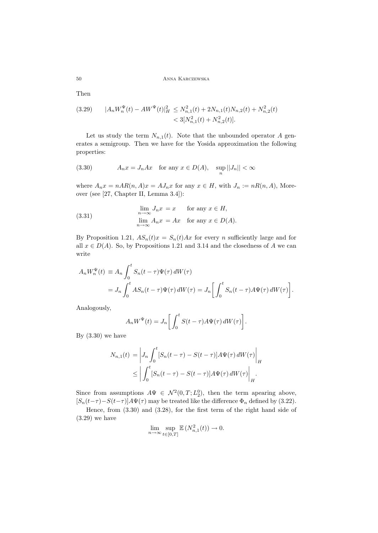Then

$$
(3.29) \t |A_n W_n^{\Psi}(t) - AW^{\Psi}(t)|_H^2 \le N_{n,1}^2(t) + 2N_{n,1}(t)N_{n,2}(t) + N_{n,2}^2(t) < 3[N_{n,1}^2(t) + N_{n,2}^2(t)].
$$

Let us study the term  $N_{n,1}(t)$ . Note that the unbounded operator *A* generates a semigroup. Then we have for the Yosida approximation the following properties:

(3.30) 
$$
A_n x = J_n A x \quad \text{for any } x \in D(A), \quad \sup_n ||J_n|| < \infty
$$

where  $A_n x = nAR(n, A)x = A J_n x$  for any  $x \in H$ , with  $J_n := nR(n, A)$ , Moreover (see [27, Chapter II, Lemma 3.4]):

(3.31) 
$$
\lim_{n \to \infty} J_n x = x \quad \text{for any } x \in H,
$$

$$
\lim_{n \to \infty} A_n x = Ax \quad \text{for any } x \in D(A).
$$

By Proposition 1.21,  $AS_n(t)x = S_n(t)Ax$  for every *n* sufficiently large and for all  $x \in D(A)$ . So, by Propositions 1.21 and 3.14 and the closedness of *A* we can write

$$
A_n W_n^{\Psi}(t) \equiv A_n \int_0^t S_n(t-\tau) \Psi(\tau) dW(\tau)
$$
  
=  $J_n \int_0^t A S_n(t-\tau) \Psi(\tau) dW(\tau) = J_n \left[ \int_0^t S_n(t-\tau) A \Psi(\tau) dW(\tau) \right].$ 

Analogously,

$$
A_n W^{\Psi}(t) = J_n \left[ \int_0^t S(t - \tau) A \Psi(\tau) dW(\tau) \right].
$$

By  $(3.30)$  we have

$$
N_{n,1}(t) = \left| J_n \int_0^t [S_n(t-\tau) - S(t-\tau)] A \Psi(\tau) dW(\tau) \right|_H
$$
  
 
$$
\leq \left| \int_0^t [S_n(t-\tau) - S(t-\tau)] A \Psi(\tau) dW(\tau) \right|_H.
$$

Since from assumptions  $A\Psi \in \mathcal{N}^2(0,T;L_2^0)$ , then the term apearing above,  $[S_n(t-\tau)-S(t-\tau)]A\Psi(\tau)$  may be treated like the difference  $\Phi_n$  defined by (3.22).

Hence, from (3.30) and (3.28), for the first term of the right hand side of (3.29) we have

$$
\lim_{n \to \infty} \sup_{t \in [0,T]} \mathbb{E}\left(N_{n,1}^2(t)\right) \to 0.
$$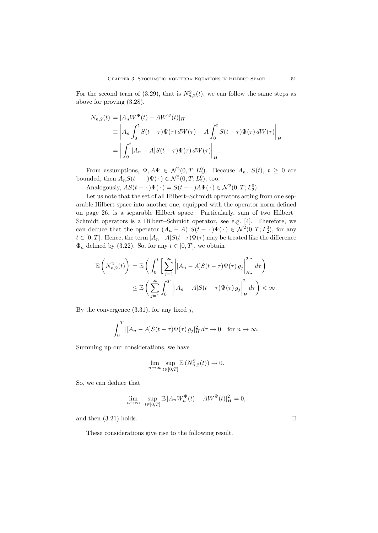For the second term of (3.29), that is  $N_{n,2}^2(t)$ , we can follow the same steps as above for proving (3.28).

$$
N_{n,2}(t) = |A_n W^{\Psi}(t) - AW^{\Psi}(t)|_H
$$
  
\n
$$
\equiv \left| A_n \int_0^t S(t-\tau) \Psi(\tau) dW(\tau) - A \int_0^t S(t-\tau) \Psi(\tau) dW(\tau) \right|_H
$$
  
\n
$$
= \left| \int_0^t [A_n - A] S(t-\tau) \Psi(\tau) dW(\tau) \right|_H.
$$

From assumptions,  $\Psi$ ,  $A\Psi \in \mathcal{N}^2(0,T;L_2^0)$ . Because  $A_n$ ,  $S(t)$ ,  $t \geq 0$  are bounded, then  $A_nS(t - \cdot)\Psi(\cdot) \in \mathcal{N}^2(0,T;L_2^0)$ , too.

Analogously,  $AS(t - \cdot) \Psi(\cdot) = S(t - \cdot) A \Psi(\cdot) \in \mathcal{N}^2(0, T; L_2^0)$ .

Let us note that the set of all Hilbert–Schmidt operators acting from one separable Hilbert space into another one, equipped with the operator norm defined on page 26, is a separable Hilbert space. Particularly, sum of two Hilbert– Schmidt operators is a Hilbert–Schmidt operator, see e.g. [4]. Therefore, we can deduce that the operator  $(A_n - A) S(t - \cdot) \Psi(\cdot) \in \mathcal{N}^2(0,T; L_2^0)$ , for any *t* ∈ [0, *T*]. Hence, the term  $[A_n - A]S(t - \tau)\Psi(\tau)$  may be treated like the difference  $\Phi_n$  defined by (3.22). So, for any  $t \in [0, T]$ , we obtain

$$
\mathbb{E}\left(N_{n,2}^2(t)\right) = \mathbb{E}\left(\int_0^t \left[\sum_{j=1}^\infty \left| [A_n - A]S(t-\tau)\Psi(\tau) g_j \right|_H^2 \right] d\tau\right)
$$
  

$$
\leq \mathbb{E}\left(\sum_{j=1}^\infty \int_0^T \left| [A_n - A]S(t-\tau)\Psi(\tau) g_j \right|_H^2 d\tau\right) < \infty.
$$

By the convergence (3.31), for any fixed *j*,

$$
\int_0^T |[A_n - A]S(t - \tau)\Psi(\tau) g_j|_H^2 d\tau \to 0 \quad \text{for } n \to \infty.
$$

Summing up our considerations, we have

$$
\lim_{n \to \infty} \sup_{t \in [0,T]} \mathbb{E}\left(N_{n,2}^2(t)\right) \to 0.
$$

So, we can deduce that

$$
\lim_{n \to \infty} \sup_{t \in [0,T]} \mathbb{E} |A_n W_n^{\Psi}(t) - A W^{\Psi}(t)|_H^2 = 0,
$$

and then  $(3.21)$  holds.

These considerations give rise to the following result.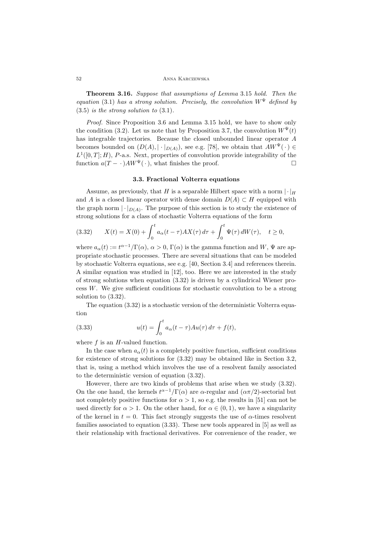#### 52 Anna Karczewska

**Theorem 3.16.** *Suppose that assumptions of Lemma* 3.15 *hold. Then the equation* (3.1) *has a strong solution. Precisely, the convolution*  $W^{\Psi}$  *defined by* (3.5) *is the strong solution to* (3.1)*.*

*Proof.* Since Proposition 3.6 and Lemma 3.15 hold, we have to show only the condition (3.2). Let us note that by Proposition 3.7, the convolution  $W^{\Psi}(t)$ has integrable trajectories. Because the closed unbounded linear operator *A* becomes bounded on  $(D(A), |\cdot|_{D(A)})$ , see e.g. [78], we obtain that  $AW^{\Psi}(\cdot) \in$  $L^1([0,T];H)$ , *P*-a.s. Next, properties of convolution provide integrability of the function  $a(T - \cdot)AW^{\Psi}(\cdot)$ , what finishes the proof.

## **3.3. Fractional Volterra equations**

Assume, as previously, that *H* is a separable Hilbert space with a norm  $\vert \cdot \vert_H$ and *A* is a closed linear operator with dense domain  $D(A) \subset H$  equipped with the graph norm  $|\cdot|_{D(A)}$ . The purpose of this section is to study the existence of strong solutions for a class of stochastic Volterra equations of the form

(3.32) 
$$
X(t) = X(0) + \int_0^t a_\alpha(t - \tau) A X(\tau) d\tau + \int_0^t \Psi(\tau) dW(\tau), \quad t \ge 0,
$$

where  $a_{\alpha}(t) := t^{\alpha-1}/\Gamma(\alpha)$ ,  $\alpha > 0$ ,  $\Gamma(\alpha)$  is the gamma function and *W*,  $\Psi$  are appropriate stochastic processes. There are several situations that can be modeled by stochastic Volterra equations, see e.g. [40, Section 3.4] and references therein. A similar equation was studied in [12], too. Here we are interested in the study of strong solutions when equation  $(3.32)$  is driven by a cylindrical Wiener process *W*. We give sufficient conditions for stochastic convolution to be a strong solution to (3.32).

The equation (3.32) is a stochastic version of the deterministic Volterra equation

(3.33) 
$$
u(t) = \int_0^t a_\alpha(t - \tau) A u(\tau) d\tau + f(t),
$$

where *f* is an *H*-valued function.

In the case when  $a_{\alpha}(t)$  is a completely positive function, sufficient conditions for existence of strong solutions for (3.32) may be obtained like in Section 3.2, that is, using a method which involves the use of a resolvent family associated to the deterministic version of equation (3.32).

However, there are two kinds of problems that arise when we study (3.32). On the one hand, the kernels  $t^{\alpha-1}/\Gamma(\alpha)$  are *α*-regular and  $(\alpha \pi/2)$ -sectorial but not completely positive functions for  $\alpha > 1$ , so e.g. the results in [51] can not be used directly for  $\alpha > 1$ . On the other hand, for  $\alpha \in (0,1)$ , we have a singularity of the kernel in  $t = 0$ . This fact strongly suggests the use of  $\alpha$ -times resolvent families associated to equation (3.33). These new tools appeared in [5] as well as their relationship with fractional derivatives. For convenience of the reader, we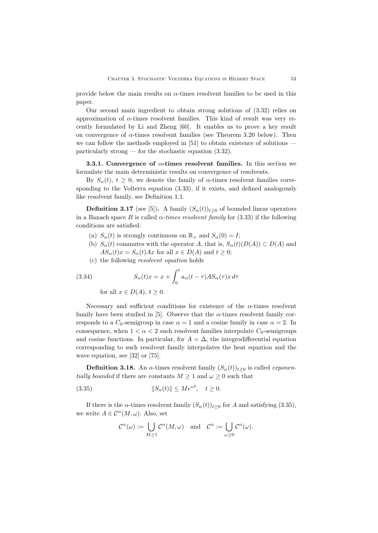provide below the main results on  $\alpha$ -times resolvent families to be used in this paper.

Our second main ingredient to obtain strong solutions of (3.32) relies on approximation of *α*-times resolvent families. This kind of result was very recently formulated by Li and Zheng [60]. It enables us to prove a key result on convergence of  $\alpha$ -times resolvent families (see Theorem 3.20 below). Then we can follow the methods employed in [51] to obtain existence of solutions particularly strong — for the stochastic equation (3.32).

**3.3.1. Convergence of** *α***-times resolvent families.** In this section we formulate the main deterministic results on convergence of resolvents.

By  $S_\alpha(t)$ ,  $t \geq 0$ , we denote the family of *α*-times resolvent families corresponding to the Volterra equation (3.33), if it exists, and defined analogously like resolvent family, see Definition 1.1.

**Definition 3.17** (see [5]). A family  $(S_\alpha(t))_{t>0}$  of bounded linear operators in a Banach space *B* is called  $\alpha$ -times resolvent family for (3.33) if the following conditions are satisfied:

- (a)  $S_\alpha(t)$  is strongly continuous on  $\mathbb{R}_+$  and  $S_\alpha(0) = I$ ;
- (b)  $S_\alpha(t)$  commutes with the operator *A*, that is,  $S_\alpha(t)(D(A)) \subset D(A)$  and  $AS_{\alpha}(t)x = S_{\alpha}(t)Ax$  for all  $x \in D(A)$  and  $t \geq 0$ ;
- (c) the following *resolvent equation* holds

(3.34) 
$$
S_{\alpha}(t)x = x + \int_0^t a_{\alpha}(t-\tau)AS_{\alpha}(\tau)x d\tau
$$
for all  $x \in D(A)$ ,  $t \ge 0$ .

Necessary and sufficient conditions for existence of the  $\alpha$ -times resolvent family have been studied in [5]. Observe that the  $\alpha$ -times resolvent family corresponds to a  $C_0$ -semigroup in case  $\alpha = 1$  and a cosine family in case  $\alpha = 2$ . In consequence, when  $1 < \alpha < 2$  such resolvent families interpolate  $C_0$ -semigroups and cosine functions. In particular, for  $A = \Delta$ , the integrodifferential equation corresponding to such resolvent family interpolates the heat equation and the wave equation, see [32] or [75].

**Definition 3.18.** An  $\alpha$ -times resolvent family  $(S_{\alpha}(t))_{t\geq 0}$  is called *exponentially bounded* if there are constants  $M \geq 1$  and  $\omega \geq 0$  such that

(3.35) 
$$
||S_{\alpha}(t)|| \le Me^{\omega t}, \quad t \ge 0.
$$

If there is the *α*-times resolvent family  $(S_\alpha(t))_{t\geq0}$  for *A* and satisfying (3.35), we write  $A \in \mathcal{C}^{\alpha}(M, \omega)$ . Also, set

$$
\mathcal{C}^{\alpha}(\omega) := \bigcup_{M \geq 1} \mathcal{C}^{\alpha}(M, \omega) \quad \text{and} \quad \mathcal{C}^{\alpha} := \bigcup_{\omega \geq 0} \mathcal{C}^{\alpha}(\omega).
$$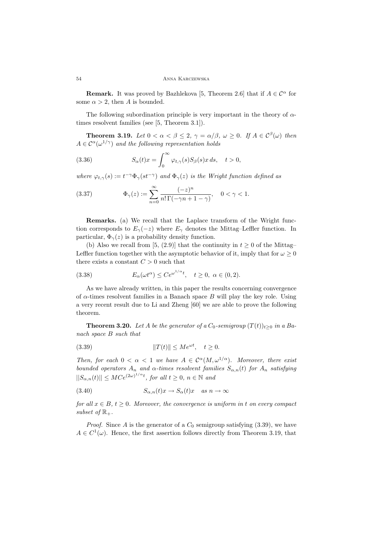**Remark.** It was proved by Bazhlekova [5, Theorem 2.6] that if  $A \in \mathcal{C}^{\alpha}$  for some  $\alpha > 2$ , then *A* is bounded.

The following subordination principle is very important in the theory of *α*times resolvent families (see [5, Theorem 3.1]).

**Theorem 3.19.** *Let*  $0 < \alpha < \beta \leq 2$ ,  $\gamma = \alpha/\beta$ ,  $\omega \geq 0$ . *If*  $A \in C^{\beta}(\omega)$  *then*  $A \in C^{\alpha}(\omega^{1/\gamma})$  *and the following representation holds* 

(3.36) 
$$
S_{\alpha}(t)x = \int_0^{\infty} \varphi_{t,\gamma}(s)S_{\beta}(s)x ds, \quad t > 0,
$$

*where*  $\varphi_{t,\gamma}(s) := t^{-\gamma} \Phi_{\gamma}(st^{-\gamma})$  *and*  $\Phi_{\gamma}(z)$  *is the Wright function defined as* 

(3.37) 
$$
\Phi_{\gamma}(z) := \sum_{n=0}^{\infty} \frac{(-z)^n}{n! \Gamma(-\gamma n + 1 - \gamma)}, \quad 0 < \gamma < 1.
$$

**Remarks.** (a) We recall that the Laplace transform of the Wright function corresponds to  $E_\gamma(-z)$  where  $E_\gamma$  denotes the Mittag–Leffler function. In particular,  $\Phi_{\gamma}(z)$  is a probability density function.

(b) Also we recall from [5, (2.9)] that the continuity in  $t \geq 0$  of the Mittag– Leftler function together with the asymptotic behavior of it, imply that for  $\omega \geq 0$ there exists a constant  $C > 0$  such that

(3.38) 
$$
E_{\alpha}(\omega t^{\alpha}) \le Ce^{\omega^{1/\alpha}t}, \quad t \ge 0, \ \alpha \in (0, 2).
$$

As we have already written, in this paper the results concerning convergence of  $\alpha$ -times resolvent families in a Banach space  $B$  will play the key role. Using a very recent result due to Li and Zheng [60] we are able to prove the following theorem.

**Theorem 3.20.** *Let A be the generator of a*  $C_0$ *-semigroup*  $(T(t))_{t\geq0}$  *in a Banach space B such that*

(3.39) 
$$
||T(t)|| \le Me^{\omega t}, \quad t \ge 0.
$$

*Then, for each*  $0 < \alpha < 1$  *we have*  $A \in C^{\alpha}(M, \omega^{1/\alpha})$ *. Moreover, there exist bounded operators*  $A_n$  *and*  $\alpha$ *-times resolvent families*  $S_{\alpha,n}(t)$  *for*  $A_n$  *satisfying*  $||S_{\alpha,n}(t)|| \leq MC e^{(2\omega)^{1/\alpha}t}$ , for all  $t \geq 0$ ,  $n \in \mathbb{N}$  and

(3.40) 
$$
S_{\alpha,n}(t)x \to S_{\alpha}(t)x \quad \text{as } n \to \infty
$$

*for all*  $x \in B$ ,  $t \geq 0$ *. Moreover, the convergence is uniform in t on every compact subset of*  $\mathbb{R}_+$ .

*Proof.* Since  $A$  is the generator of a  $C_0$  semigroup satisfying  $(3.39)$ , we have  $A \in C^1(\omega)$ . Hence, the first assertion follows directly from Theorem 3.19, that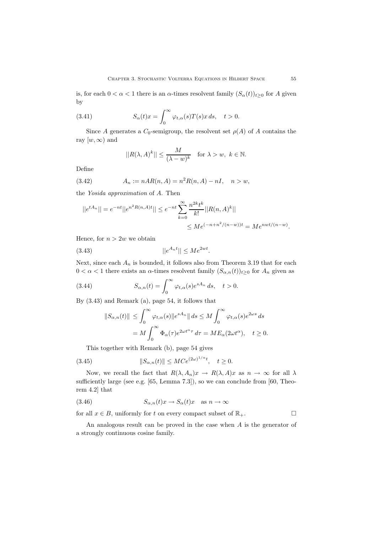is, for each  $0 < \alpha < 1$  there is an  $\alpha$ -times resolvent family  $(S_{\alpha}(t))_{t \geq 0}$  for A given by

(3.41) 
$$
S_{\alpha}(t)x = \int_0^{\infty} \varphi_{t,\alpha}(s)T(s)x ds, \quad t > 0.
$$

Since *A* generates a  $C_0$ -semigroup, the resolvent set  $\rho(A)$  of *A* contains the ray  $[w, \infty)$  and

$$
||R(\lambda,A)^k||\leq \frac{M}{(\lambda-w)^k}\quad\text{for }\lambda>w,\ k\in\mathbb{N}.
$$

Define

(3.42) 
$$
A_n := nAR(n, A) = n^2R(n, A) - nI, \quad n > w,
$$

the *Yosida approximation* of *A*. Then

$$
||e^{tA_n}|| = e^{-nt}||e^{n^2R(n,A)t}|| \le e^{-nt} \sum_{k=0}^{\infty} \frac{n^{2k}t^k}{k!} ||R(n,A)^k||
$$
  

$$
\le Me^{(-n+n^2/(n-w))t} = Me^{nut/(n-w)}.
$$

Hence, for  $n > 2w$  we obtain

$$
||e^{A_n t}|| \le Me^{2wt}.
$$

Next, since each  $A_n$  is bounded, it follows also from Theorem 3.19 that for each  $0 < \alpha < 1$  there exists an  $\alpha$ -times resolvent family  $(S_{\alpha,n}(t))_{t \geq 0}$  for  $A_n$  given as

(3.44) 
$$
S_{\alpha,n}(t) = \int_0^\infty \varphi_{t,\alpha}(s) e^{sA_n} ds, \quad t > 0.
$$

By (3.43) and Remark (a), page 54, it follows that

$$
||S_{\alpha,n}(t)|| \leq \int_0^\infty \varphi_{t,\alpha}(s) ||e^{sA_n}|| ds \leq M \int_0^\infty \varphi_{t,\alpha}(s) e^{2\omega s} ds
$$
  
=  $M \int_0^\infty \Phi_\alpha(\tau) e^{2\omega t^\alpha \tau} d\tau = M E_\alpha(2\omega t^\alpha), \quad t \geq 0.$ 

This together with Remark (b), page 54 gives

(3.45) 
$$
||S_{\alpha,n}(t)|| \leq M C e^{(2\omega)^{1/\alpha}t}, \quad t \geq 0.
$$

Now, we recall the fact that  $R(\lambda, A_n)x \to R(\lambda, A)x$  as  $n \to \infty$  for all  $\lambda$ sufficiently large (see e.g. [65, Lemma 7.3]), so we can conclude from [60, Theorem 4.2] that

(3.46) 
$$
S_{\alpha,n}(t)x \to S_{\alpha}(t)x \quad \text{as } n \to \infty
$$

for all  $x \in B$ , uniformly for *t* on every compact subset of  $\mathbb{R}_+$ .

An analogous result can be proved in the case when *A* is the generator of a strongly continuous cosine family.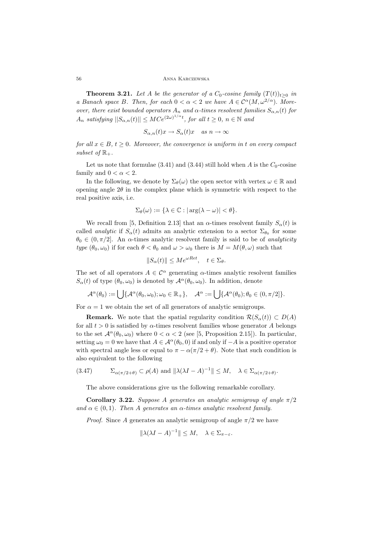56 Anna Karczewska

**Theorem 3.21.** *Let A be the generator of a*  $C_0$ -cosine family  $(T(t))_{t>0}$  *in a Banach space B. Then, for each*  $0 < \alpha < 2$  *we have*  $A \in C^{\alpha}(M, \omega^{2/\alpha})$ *. Moreover, there exist bounded operators*  $A_n$  *and*  $\alpha$ -times resolvent families  $S_{\alpha,n}(t)$  for  $A_n$  *satisfying*  $||S_{\alpha,n}(t)|| \leq MCe^{(2\omega)^{1/\alpha}t}$ , for all  $t \geq 0$ ,  $n \in \mathbb{N}$  and

$$
S_{\alpha,n}(t)x\to S_\alpha(t)x\quad as\ n\to\infty
$$

*for all*  $x \in B$ ,  $t \geq 0$ *. Moreover, the convergence is uniform in t on every compact subset of*  $\mathbb{R}_+$ .

Let us note that formulae  $(3.41)$  and  $(3.44)$  still hold when *A* is the  $C_0$ -cosine family and  $0 < \alpha < 2$ .

In the following, we denote by  $\Sigma_{\theta}(\omega)$  the open sector with vertex  $\omega \in \mathbb{R}$  and opening angle  $2\theta$  in the complex plane which is symmetric with respect to the real positive axis, i.e.

$$
\Sigma_{\theta}(\omega):=\{\lambda\in\mathbb{C}:|\arg(\lambda-\omega)|<\theta\}.
$$

We recall from [5, Definition 2.13] that an  $\alpha$ -times resolvent family  $S_{\alpha}(t)$  is called *analytic* if  $S_\alpha(t)$  admits an analytic extension to a sector  $\Sigma_{\theta_0}$  for some  $\theta_0 \in (0, \pi/2]$ . An *α*-times analytic resolvent family is said to be of *analyticity type*  $(\theta_0, \omega_0)$  if for each  $\theta < \theta_0$  and  $\omega > \omega_0$  there is  $M = M(\theta, \omega)$  such that

$$
||S_{\alpha}(t)|| \le Me^{\omega Ret}, \quad t \in \Sigma_{\theta}.
$$

The set of all operators  $A \in \mathcal{C}^{\alpha}$  generating  $\alpha$ -times analytic resolvent families *S*<sub>*α*</sub>(*t*) of type  $(\theta_0, \omega_0)$  is denoted by  $\mathcal{A}^{\alpha}(\theta_0, \omega_0)$ . In addition, denote

$$
\mathcal{A}^{\alpha}(\theta_0) := \bigcup \{ \mathcal{A}^{\alpha}(\theta_0, \omega_0); \omega_0 \in \mathbb{R}_+ \}, \quad \mathcal{A}^{\alpha} := \bigcup \{ \mathcal{A}^{\alpha}(\theta_0); \theta_0 \in (0, \pi/2] \}.
$$

For  $\alpha = 1$  we obtain the set of all generators of analytic semigroups.

**Remark.** We note that the spatial regularity condition  $\mathcal{R}(S_\alpha(t)) \subset D(A)$ for all  $t > 0$  is satisfied by  $\alpha$ -times resolvent families whose generator *A* belongs to the set  $\mathcal{A}^{\alpha}(\theta_0, \omega_0)$  where  $0 < \alpha < 2$  (see [5, Proposition 2.15]). In particular, setting  $\omega_0 = 0$  we have that  $A \in \mathcal{A}^{\alpha}(\theta_0, 0)$  if and only if  $-A$  is a positive operator with spectral angle less or equal to  $\pi - \alpha(\pi/2 + \theta)$ . Note that such condition is also equivalent to the following

$$
(3.47) \qquad \Sigma_{\alpha(\pi/2+\theta)} \subset \rho(A) \text{ and } \|\lambda(\lambda I - A)^{-1}\| \le M, \quad \lambda \in \Sigma_{\alpha(\pi/2+\theta)}.
$$

The above considerations give us the following remarkable corollary.

**Corollary 3.22.** *Suppose A generates an analytic semigroup of angle*  $\pi/2$  $\alpha$  *and*  $\alpha \in (0,1)$ *. Then A generates an*  $\alpha$ *-times analytic resolvent family.* 

*Proof.* Since *A* generates an analytic semigroup of angle  $\pi/2$  we have

$$
\|\lambda(\lambda I - A)^{-1}\| \le M, \quad \lambda \in \Sigma_{\pi - \varepsilon}.
$$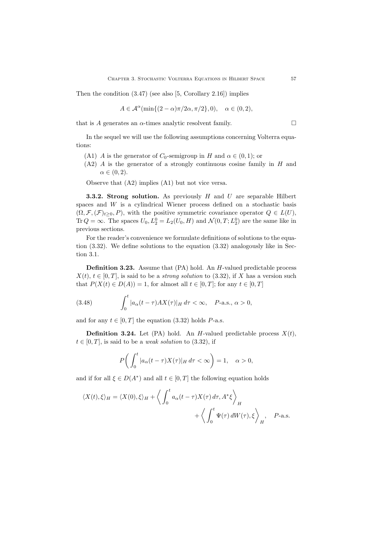Then the condition (3.47) (see also [5, Corollary 2.16]) implies

$$
A\in \mathcal{A}^{\alpha}(\min\{(2-\alpha)\pi/2\alpha,\pi/2\},0),\quad \alpha\in(0,2),
$$

that is *A* generates an  $\alpha$ -times analytic resolvent family.  $\square$ 

In the sequel we will use the following assumptions concerning Volterra equations:

- (A1) *A* is the generator of *C*<sub>0</sub>-semigroup in *H* and  $\alpha \in (0,1)$ ; or
- (A2) *A* is the generator of a strongly continuous cosine family in *H* and  $\alpha \in (0,2)$ .

Observe that (A2) implies (A1) but not vice versa.

**3.3.2. Strong solution.** As previously *H* and *U* are separable Hilbert spaces and *W* is a cylindrical Wiener process defined on a stochastic basis  $(\Omega, \mathcal{F}, (\mathcal{F})_{t>0}, P)$ , with the positive symmetric covariance operator  $Q \in L(U)$ , Tr  $Q = \infty$ . The spaces  $U_0, L_2^0 = L_2(U_0, H)$  and  $\mathcal{N}(0, T; L_2^0)$  are the same like in previous sections.

For the reader's convenience we formulate definitions of solutions to the equation (3.32). We define solutions to the equation (3.32) analogously like in Section 3.1.

**Definition 3.23.** Assume that (PA) hold. An *H*-valued predictable process  $X(t), t \in [0, T]$ , is said to be a *strong solution* to (3.32), if *X* has a version such that  $P(X(t) \in D(A)) = 1$ , for almost all  $t \in [0, T]$ ; for any  $t \in [0, T]$ 

(3.48) 
$$
\int_0^t |a_\alpha(t-\tau)AX(\tau)|_H d\tau < \infty, \quad P\text{-a.s., }\alpha > 0,
$$

and for any  $t \in [0, T]$  the equation (3.32) holds *P*-a.s.

**Definition 3.24.** Let (PA) hold. An *H*-valued predictable process  $X(t)$ ,  $t \in [0, T]$ , is said to be a *weak solution* to  $(3.32)$ , if

$$
P\bigg(\int_0^t |a_\alpha(t-\tau)X(\tau)|_H d\tau < \infty\bigg) = 1, \quad \alpha > 0,
$$

and if for all  $\xi \in D(A^*)$  and all  $t \in [0, T]$  the following equation holds

$$
\langle X(t), \xi \rangle_H = \langle X(0), \xi \rangle_H + \left\langle \int_0^t a_\alpha(t - \tau) X(\tau) d\tau, A^* \xi \right\rangle_H + \left\langle \int_0^t \Psi(\tau) dW(\tau), \xi \right\rangle_H, \quad P\text{-a.s.}
$$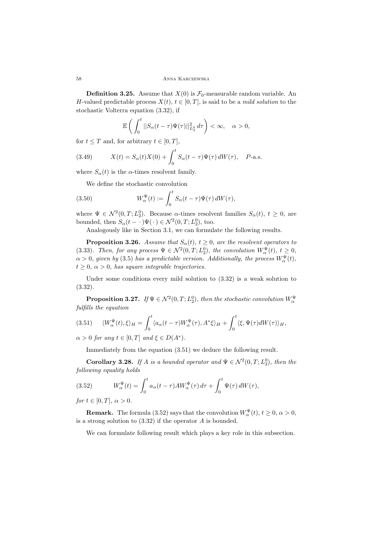**Definition 3.25.** Assume that  $X(0)$  is  $\mathcal{F}_0$ -measurable random variable. An *H*-valued predictable process  $X(t)$ ,  $t \in [0, T]$ , is said to be a *mild solution* to the stochastic Volterra equation (3.32), if

$$
\mathbb{E}\left(\int_0^t||S_{\alpha}(t-\tau)\Psi(\tau)||^2_{L_2^0}d\tau\right)<\infty,\quad \alpha>0,
$$

for  $t \leq T$  and, for arbitrary  $t \in [0, T]$ ,

(3.49) 
$$
X(t) = S_{\alpha}(t)X(0) + \int_0^t S_{\alpha}(t-\tau)\Psi(\tau) dW(\tau), \quad P\text{-a.s.}
$$

where  $S_\alpha(t)$  is the *α*-times resolvent family.

We define the stochastic convolution

(3.50) 
$$
W_{\alpha}^{\Psi}(t) := \int_0^t S_{\alpha}(t-\tau)\Psi(\tau) dW(\tau),
$$

where  $\Psi \in \mathcal{N}^2(0,T;L_2^0)$ . Because *α*-times resolvent families  $S_\alpha(t)$ ,  $t \geq 0$ , are bounded, then  $S_\alpha(t - \cdot) \Psi(\cdot) \in \mathcal{N}^2(0, T; L_2^0)$ , too.

Analogously like in Section 3.1, we can formulate the following results.

**Proposition 3.26.** *Assume that*  $S_\alpha(t)$ *,*  $t \geq 0$ *, are the resolvent operators to* (3.33)*. Then, for any process*  $\Psi \in \mathcal{N}^2(0,T;L_2^0)$ *, the convolution*  $W_\alpha^{\Psi}(t)$ *,*  $t \geq 0$ *,*  $\alpha > 0$ , given by (3.5) has a predictable version. Additionally, the process  $W_{\alpha}^{\Psi}(t)$ ,  $t \geq 0$ ,  $\alpha > 0$ , has square integrable trajectories.

Under some conditions every mild solution to (3.32) is a weak solution to (3.32).

**Proposition 3.27.** *If*  $\Psi \in \mathcal{N}^2(0,T;L_2^0)$ *, then the stochastic convolution*  $W_\alpha^{\Psi}$ *fulfills the equation*

$$
(3.51) \qquad \langle W_{\alpha}^{\Psi}(t), \xi \rangle_{H} = \int_{0}^{t} \langle a_{\alpha}(t-\tau)W_{\alpha}^{\Psi}(\tau), A^{*}\xi \rangle_{H} + \int_{0}^{t} \langle \xi, \Psi(\tau) dW(\tau) \rangle_{H},
$$

 $\alpha > 0$  *for any*  $t \in [0, T]$  *and*  $\xi \in D(A^*)$ *.* 

Immediately from the equation (3.51) we deduce the following result.

**Corollary 3.28.** *If A is a bounded operator and*  $\Psi \in \mathcal{N}^2(0,T; L_2^0)$ *, then the following equality holds*

(3.52) 
$$
W_{\alpha}^{\Psi}(t) = \int_0^t a_{\alpha}(t-\tau)AW_{\alpha}^{\Psi}(\tau) d\tau + \int_0^t \Psi(\tau) dW(\tau),
$$

*for*  $t \in [0, T]$ *,*  $\alpha > 0$ *.* 

**Remark.** The formula (3.52) says that the convolution  $W^{\Psi}_{\alpha}(t)$ ,  $t \ge 0$ ,  $\alpha > 0$ , is a strong solution to (3.32) if the operator *A* is bounded.

We can formulate following result which plays a key role in this subsection.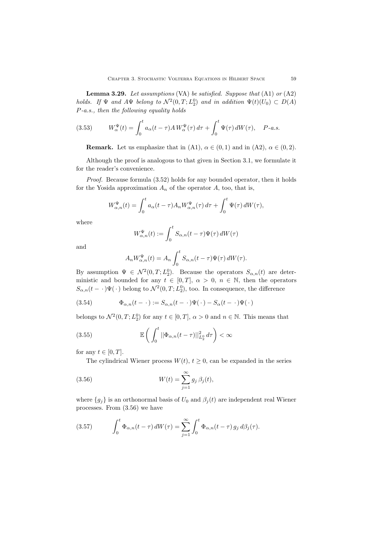**Lemma 3.29.** *Let assumptions* (VA) *be satisfied. Suppose that* (A1) *or* (A2) *holds.* If  $\Psi$  *and*  $A\Psi$  *belong to*  $\mathcal{N}^2(0,T;L_2^0)$  *and in addition*  $\Psi(t)(U_0) \subset D(A)$ *P-a.s., then the following equality holds*

(3.53) 
$$
W_{\alpha}^{\Psi}(t) = \int_0^t a_{\alpha}(t-\tau) A W_{\alpha}^{\Psi}(\tau) d\tau + \int_0^t \Psi(\tau) dW(\tau), \quad P\text{-}a.s.
$$

**Remark.** Let us emphasize that in (A1),  $\alpha \in (0,1)$  and in (A2),  $\alpha \in (0,2)$ .

Although the proof is analogous to that given in Section 3.1, we formulate it for the reader's convenience.

*Proof.* Because formula (3.52) holds for any bounded operator, then it holds for the Yosida approximation  $A_n$  of the operator  $A$ , too, that is,

$$
W_{\alpha,n}^{\Psi}(t) = \int_0^t a_{\alpha}(t-\tau) A_n W_{\alpha,n}^{\Psi}(\tau) d\tau + \int_0^t \Psi(\tau) dW(\tau),
$$

where

$$
W_{\alpha,n}^{\Psi}(t) := \int_0^t S_{\alpha,n}(t-\tau)\Psi(\tau)\,dW(\tau)
$$

and

$$
A_n W_{\alpha,n}^{\Psi}(t) = A_n \int_0^t S_{\alpha,n}(t-\tau)\Psi(\tau) dW(\tau).
$$

By assumption  $\Psi \in \mathcal{N}^2(0,T;L_2^0)$ . Because the operators  $S_{\alpha,n}(t)$  are deterministic and bounded for any  $t \in [0, T]$ ,  $\alpha > 0$ ,  $n \in \mathbb{N}$ , then the operators  $S_{\alpha,n}(t - \cdot) \Psi(\cdot)$  belong to  $\mathcal{N}^2(0,T;L_2^0)$ , too. In consequence, the difference

(3.54) 
$$
\Phi_{\alpha,n}(t-\cdot) := S_{\alpha,n}(t-\cdot)\Psi(\cdot) - S_{\alpha}(t-\cdot)\Psi(\cdot)
$$

belongs to  $\mathcal{N}^2(0,T; L_2^0)$  for any  $t \in [0,T]$ ,  $\alpha > 0$  and  $n \in \mathbb{N}$ . This means that

(3.55) 
$$
\mathbb{E}\left(\int_0^t ||\Phi_{\alpha,n}(t-\tau)||_{L_2^0}^2 d\tau\right) < \infty
$$

for any  $t \in [0, T]$ .

The cylindrical Wiener process  $W(t)$ ,  $t \geq 0$ , can be expanded in the series

(3.56) 
$$
W(t) = \sum_{j=1}^{\infty} g_j \,\beta_j(t),
$$

where  ${g_j}$  is an orthonormal basis of  $U_0$  and  $\beta_j(t)$  are independent real Wiener processes. From (3.56) we have

(3.57) 
$$
\int_0^t \Phi_{\alpha,n}(t-\tau) dW(\tau) = \sum_{j=1}^\infty \int_0^t \Phi_{\alpha,n}(t-\tau) g_j d\beta_j(\tau).
$$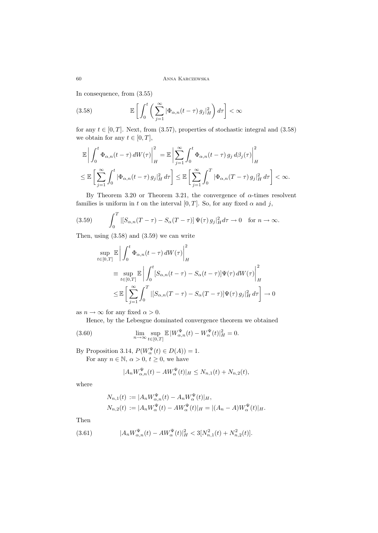In consequence, from (3.55)

(3.58) 
$$
\mathbb{E}\left[\int_0^t \left(\sum_{j=1}^\infty |\Phi_{\alpha,n}(t-\tau) g_j|_H^2\right) d\tau\right] < \infty
$$

for any  $t \in [0, T]$ . Next, from (3.57), properties of stochastic integral and (3.58) we obtain for any  $t \in [0, T]$ ,

$$
\mathbb{E}\left|\int_{0}^{t}\Phi_{\alpha,n}(t-\tau)\,dW(\tau)\right|_{H}^{2} = \mathbb{E}\left|\sum_{j=1}^{\infty}\int_{0}^{t}\Phi_{\alpha,n}(t-\tau)\,g_{j}\,d\beta_{j}(\tau)\right|_{H}^{2}
$$
\n
$$
\leq \mathbb{E}\left[\sum_{j=1}^{\infty}\int_{0}^{t}|\Phi_{\alpha,n}(t-\tau)\,g_{j}|_{H}^{2}\,d\tau\right] \leq \mathbb{E}\left[\sum_{j=1}^{\infty}\int_{0}^{T}|\Phi_{\alpha,n}(T-\tau)\,g_{j}|_{H}^{2}\,d\tau\right] < \infty.
$$

By Theorem 3.20 or Theorem 3.21, the convergence of *α*-times resolvent families is uniform in *t* on the interval [0, T]. So, for any fixed  $\alpha$  and *j*,

(3.59) 
$$
\int_0^T |[S_{\alpha,n}(T-\tau)-S_{\alpha}(T-\tau)] \Psi(\tau) g_j|_H^2 d\tau \to 0 \quad \text{for } n \to \infty.
$$

Then, using (3.58) and (3.59) we can write

$$
\sup_{t \in [0,T]} \mathbb{E} \left| \int_0^t \Phi_{\alpha,n}(t-\tau) dW(\tau) \right|_H^2
$$
\n
$$
\equiv \sup_{t \in [0,T]} \mathbb{E} \left| \int_0^t [S_{\alpha,n}(t-\tau) - S_{\alpha}(t-\tau)] \Psi(\tau) dW(\tau) \right|_H^2
$$
\n
$$
\leq \mathbb{E} \left[ \sum_{j=1}^\infty \int_0^T |[S_{\alpha,n}(T-\tau) - S_{\alpha}(T-\tau)] \Psi(\tau) g_j|_H^2 d\tau \right] \to 0
$$

as  $n \to \infty$  for any fixed  $\alpha > 0$ .

Hence, by the Lebesgue dominated convergence theorem we obtained

(3.60) 
$$
\lim_{n \to \infty} \sup_{t \in [0,T]} \mathbb{E} |W_{\alpha,n}^{\Psi}(t) - W_{\alpha}^{\Psi}(t)|_{H}^{2} = 0.
$$

By Proposition 3.14,  $P(W_{\alpha}^{\Psi}(t) \in D(A)) = 1$ . For any  $n \in \mathbb{N}$ ,  $\alpha > 0$ ,  $t \ge 0$ , we have

$$
|A_n W_{\alpha,n}^{\Psi}(t) - AW_{\alpha}^{\Psi}(t)|_H \le N_{n,1}(t) + N_{n,2}(t),
$$

where

$$
N_{n,1}(t) := |A_n W_{\alpha,n}^{\Psi}(t) - A_n W_{\alpha}^{\Psi}(t)|_H,
$$
  
\n
$$
N_{n,2}(t) := |A_n W_{\alpha}^{\Psi}(t) - A W_{\alpha}^{\Psi}(t)|_H = |(A_n - A) W_{\alpha}^{\Psi}(t)|_H.
$$

Then

(3.61) 
$$
|A_n W_{\alpha,n}^{\Psi}(t) - AW_{\alpha}^{\Psi}(t)|_H^2 < 3[N_{n,1}^2(t) + N_{n,2}^2(t)].
$$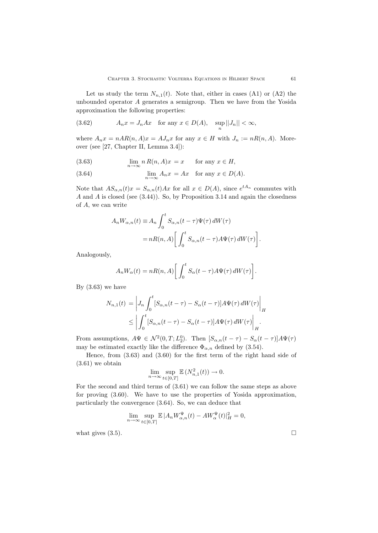Let us study the term  $N_{n,1}(t)$ . Note that, either in cases (A1) or (A2) the unbounded operator *A* generates a semigroup. Then we have from the Yosida approximation the following properties:

(3.62) 
$$
A_n x = J_n A x \quad \text{for any } x \in D(A), \quad \sup_n ||J_n|| < \infty,
$$

where  $A_n x = nAR(n, A)x = A J_n x$  for any  $x \in H$  with  $J_n := nR(n, A)$ . Moreover (see [27, Chapter II, Lemma 3.4]):

(3.63) 
$$
\lim_{n \to \infty} n R(n, A)x = x \quad \text{for any } x \in H,
$$

(3.64) 
$$
\lim_{n \to \infty} A_n x = Ax \text{ for any } x \in D(A).
$$

Note that  $AS_{\alpha,n}(t)x = S_{\alpha,n}(t)Ax$  for all  $x \in D(A)$ , since  $e^{tA_n}$  commutes with *A* and *A* is closed (see (3.44)). So, by Proposition 3.14 and again the closedness of *A*, we can write

$$
A_n W_{\alpha,n}(t) \equiv A_n \int_0^t S_{\alpha,n}(t-\tau) \Psi(\tau) dW(\tau)
$$
  
= 
$$
nR(n,A) \left[ \int_0^t S_{\alpha,n}(t-\tau) A \Psi(\tau) dW(\tau) \right].
$$

Analogously,

$$
A_n W_{\alpha}(t) = nR(n, A) \left[ \int_0^t S_{\alpha}(t - \tau) A \Psi(\tau) dW(\tau) \right].
$$

By  $(3.63)$  we have

$$
N_{n,1}(t) = \left| J_n \int_0^t [S_{\alpha,n}(t-\tau) - S_{\alpha}(t-\tau)] A \Psi(\tau) dW(\tau) \right|_H
$$
  
 
$$
\leq \left| \int_0^t [S_{\alpha,n}(t-\tau) - S_{\alpha}(t-\tau)] A \Psi(\tau) dW(\tau) \right|_H.
$$

From assumptions,  $A\Psi \in \mathcal{N}^2(0,T;L_2^0)$ . Then  $[S_{\alpha,n}(t-\tau)-S_{\alpha}(t-\tau)]A\Psi(\tau)$ may be estimated exactly like the difference  $\Phi_{\alpha,n}$  defined by (3.54).

Hence, from (3.63) and (3.60) for the first term of the right hand side of  $(3.61)$  we obtain

$$
\lim_{n \to \infty} \sup_{t \in [0,T]} \mathbb{E}\left(N_{n,1}^2(t)\right) \to 0.
$$

For the second and third terms of (3.61) we can follow the same steps as above for proving (3.60). We have to use the properties of Yosida approximation, particularly the convergence (3.64). So, we can deduce that

$$
\lim_{n \to \infty} \sup_{t \in [0,T]} \mathbb{E} |A_n W_{\alpha,n}^{\Psi}(t) - A W_{\alpha}^{\Psi}(t)|_H^2 = 0,
$$

what gives  $(3.5)$ .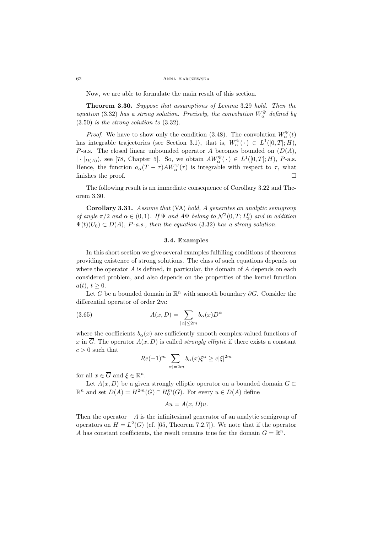#### 62 Anna Karczewska

Now, we are able to formulate the main result of this section.

**Theorem 3.30.** *Suppose that assumptions of Lemma* 3.29 *hold. Then the equation* (3.32) *has a strong solution. Precisely, the convolution*  $W^{\Psi}_{\alpha}$  *defined by* (3.50) *is the strong solution to* (3.32)*.*

*Proof.* We have to show only the condition (3.48). The convolution  $W^{\Psi}_{\alpha}(t)$ has integrable trajectories (see Section 3.1), that is,  $W^{\Psi}_{\alpha}(\cdot) \in L^{1}([0, T]; H)$ , *P*-a.s. The closed linear unbounded operator *A* becomes bounded on (*D*(*A*)*, |*  $\cdot$  *|D*(*A*)), see [78, Chapter 5]. So, we obtain  $AW_{\alpha}^{\Psi}(\cdot) \in L^{1}([0, T]; H)$ , *P*-a.s. Hence, the function  $a_{\alpha}(T - \tau)AW_{\alpha}^{\Psi}(\tau)$  is integrable with respect to  $\tau$ , what finishes the proof.

The following result is an immediate consequence of Corollary 3.22 and Theorem 3.30.

**Corollary 3.31.** *Assume that* (VA) *hold, A generates an analytic semigroup of angle*  $\pi/2$  *and*  $\alpha \in (0,1)$ *. If*  $\Psi$  *and*  $A\Psi$  *belong to*  $\mathcal{N}^2(0,T;L_2^0)$  *and in addition*  $\Psi(t)(U_0) \subset D(A)$ , *P*-a.s., then the equation (3.32) has a strong solution.

## **3.4. Examples**

In this short section we give several examples fulfilling conditions of theorems providing existence of strong solutions. The class of such equations depends on where the operator *A* is defined, in particular, the domain of *A* depends on each considered problem, and also depends on the properties of the kernel function  $a(t), t \geq 0.$ 

Let *G* be a bounded domain in R*<sup>n</sup>* with smooth boundary *∂G*. Consider the differential operator of order 2*m*:

(3.65) 
$$
A(x,D) = \sum_{|\alpha| \le 2m} b_{\alpha}(x)D^{\alpha}
$$

where the coefficients  $b_{\alpha}(x)$  are sufficiently smooth complex-valued functions of *x* in  $\overline{G}$ . The operator  $A(x, D)$  is called *strongly elliptic* if there exists a constant  $c > 0$  such that

$$
Re(-1)^m \sum_{|\alpha|=2m} b_{\alpha}(x)\xi^{\alpha} \ge c|\xi|^{2m}
$$

for all  $x \in \overline{G}$  and  $\xi \in \mathbb{R}^n$ .

Let  $A(x, D)$  be a given strongly elliptic operator on a bounded domain  $G \subset$  $\mathbb{R}^n$  and set *D*(*A*) =  $H^{2m}(G) \cap H_0^m(G)$ . For every *u* ∈ *D*(*A*) define

$$
Au = A(x, D)u.
$$

Then the operator *<sup>−</sup><sup>A</sup>* is the infinitesimal generator of an analytic semigroup of operators on  $H = L^2(G)$  (cf. [65, Theorem 7.2.7]). We note that if the operator *A* has constant coefficients, the result remains true for the domain  $G = \mathbb{R}^n$ .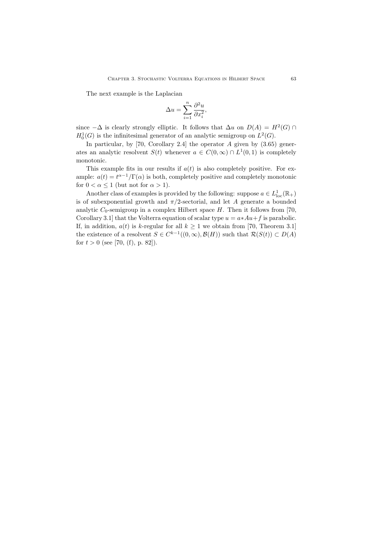The next example is the Laplacian

$$
\Delta u = \sum_{i=1}^{n} \frac{\partial^2 u}{\partial x_i^2},
$$

since  $-\Delta$  is clearly strongly elliptic. It follows that  $\Delta u$  on  $D(A) = H^2(G) \cap$  $H_0^1(G)$  is the infinitesimal generator of an analytic semigroup on  $L^2(G)$ .

In particular, by [70, Corollary 2.4] the operator *A* given by (3.65) generates an analytic resolvent *S*(*t*) whenever  $a \in C(0,\infty) \cap L^1(0,1)$  is completely monotonic.

This example fits in our results if  $a(t)$  is also completely positive. For example:  $a(t) = t^{\alpha-1}/\Gamma(\alpha)$  is both, completely positive and completely monotonic for  $0 < \alpha \leq 1$  (but not for  $\alpha > 1$ ).

Another class of examples is provided by the following: suppose  $a \in L^1_{loc}(\mathbb{R}_+)$ is of subexponential growth and  $\pi/2$ -sectorial, and let *A* generate a bounded analytic  $C_0$ -semigroup in a complex Hilbert space  $H$ . Then it follows from [70, Corollary 3.1] that the Volterra equation of scalar type  $u = a * Au + f$  is parabolic. If, in addition,  $a(t)$  is *k*-regular for all  $k \ge 1$  we obtain from [70, Theorem 3.1] the existence of a resolvent  $S \in C^{k-1}((0,\infty), \mathcal{B}(H))$  such that  $\mathcal{R}(S(t)) \subset D(A)$ for  $t > 0$  (see [70, (f), p. 82]).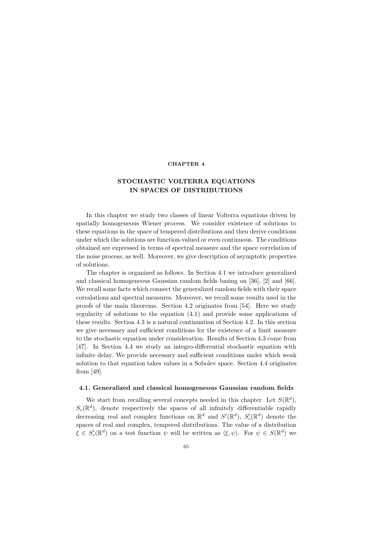## **CHAPTER 4**

# **STOCHASTIC VOLTERRA EQUATIONS IN SPACES OF DISTRIBUTIONS**

In this chapter we study two classes of linear Volterra equations driven by spatially homogeneous Wiener process. We consider existence of solutions to these equations in the space of tempered distributions and then derive conditions under which the solutions are function-valued or even continuous. The conditions obtained are expressed in terms of spectral measure and the space correlation of the noise process, as well. Moreover, we give description of asymptotic properties of solutions.

The chapter is organized as follows. In Section 4.1 we introduce generalized and classical homogeneous Gaussian random fields basing on [36], [2] and [66]. We recall some facts which connect the generalized random fields with their space corralations and spectral measures. Moreover, we recall some results used in the proofs of the main theorems. Section 4.2 originates from [54]. Here we study regularity of solutions to the equation (4.1) and provide some applications of these results. Section 4.3 is a natural continuation of Section 4.2. In this section we give necessary and sufficient conditions for the existence of a limit measure to the stochastic equation under consideration. Results of Section 4.3 come from [47]. In Section 4.4 we study an integro-differential stochastic equation with infinite delay. We provide necessary and sufficient conditions under which weak solution to that equation takes values in a Sobolev space. Section 4.4 originates from [49].

## **4.1. Generalized and classical homogeneous Gaussian random fields**

We start from recalling several concepts needed in this chapter. Let  $S(\mathbb{R}^d)$ ,  $S_c(\mathbb{R}^d)$ , denote respectively the spaces of all infinitely differentiable rapidly decreasing real and complex functions on  $\mathbb{R}^d$  and  $S'(\mathbb{R}^d)$ ,  $S'_c(\mathbb{R}^d)$  denote the spaces of real and complex, tempered distributions. The value of a distribution  $\xi \in S'_c(\mathbb{R}^d)$  on a test function  $\psi$  will be written as  $\langle \xi, \psi \rangle$ . For  $\psi \in S(\mathbb{R}^d)$  we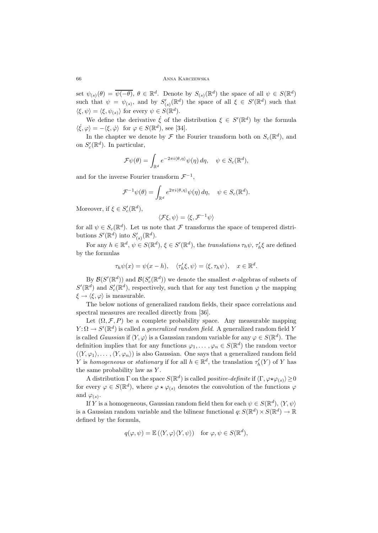set  $\psi_{(s)}(\theta) = \overline{\psi(-\theta)}$ ,  $\theta \in \mathbb{R}^d$ . Denote by  $S_{(s)}(\mathbb{R}^d)$  the space of all  $\psi \in S(\mathbb{R}^d)$ such that  $\psi = \psi_{(s)}$ , and by  $S'_{(s)}(\mathbb{R}^d)$  the space of all  $\xi \in S'(\mathbb{R}^d)$  such that  $\langle \xi, \psi \rangle = \langle \xi, \psi_{(s)} \rangle$  for every  $\psi \in S(\mathbb{R}^d)$ .

We define the derivative  $\dot{\xi}$  of the distribution  $\xi \in S'(\mathbb{R}^d)$  by the formula  $\langle \dot{\xi}, \varphi \rangle = -\langle \xi, \dot{\varphi} \rangle$  for  $\varphi \in S(\mathbb{R}^d)$ , see [34].

In the chapter we denote by  $\mathcal F$  the Fourier transform both on  $S_c(\mathbb{R}^d)$ , and on  $S_c'(\mathbb{R}^d)$ . In particular,

$$
\mathcal{F}\psi(\theta) = \int_{\mathbb{R}^d} e^{-2\pi i \langle \theta, \eta \rangle} \psi(\eta) d\eta, \quad \psi \in S_c(\mathbb{R}^d),
$$

and for the inverse Fourier transform  $\mathcal{F}^{-1}$ ,

$$
\mathcal{F}^{-1}\psi(\theta) = \int_{\mathbb{R}^d} e^{2\pi i \langle \theta, \eta \rangle} \psi(\eta) d\eta, \quad \psi \in S_c(\mathbb{R}^d).
$$

Moreover, if  $\xi \in S_c'(\mathbb{R}^d)$ ,

$$
\langle \mathcal{F}\xi,\psi\rangle=\langle \xi,\mathcal{F}^{-1}\psi\rangle
$$

for all  $\psi \in S_c(\mathbb{R}^d)$ . Let us note that *F* transforms the space of tempered distributions  $S'(\mathbb{R}^d)$  into  $S'_{(s)}(\mathbb{R}^d)$ .

For any  $h \in \mathbb{R}^d$ ,  $\psi \in S(\mathbb{R}^d)$ ,  $\xi \in S'(\mathbb{R}^d)$ , the *translations*  $\tau_h \psi$ ,  $\tau'_h \xi$  are defined by the formulas

$$
\tau_h \psi(x) = \psi(x - h), \quad \langle \tau_h' \xi, \psi \rangle = \langle \xi, \tau_h \psi \rangle, \quad x \in \mathbb{R}^d.
$$

 $\mathcal{B}(\mathcal{S}'(\mathbb{R}^d))$  and  $\mathcal{B}(\mathcal{S}'_{c}(\mathbb{R}^d))$  we denote the smallest *σ*-algebras of subsets of  $S'(\mathbb{R}^d)$  and  $S'_{c}(\mathbb{R}^d)$ , respectively, such that for any test function  $\varphi$  the mapping  $\xi \rightarrow \langle \xi, \varphi \rangle$  is measurable.

The below notions of generalized random fields, their space correlations and spectral measures are recalled directly from [36].

Let  $(\Omega, \mathcal{F}, P)$  be a complete probability space. Any measurable mapping  $Y: \Omega \to S'(\mathbb{R}^d)$  is called a *generalized random field*. A generalized random field *Y* is called *Gaussian* if  $\langle Y, \varphi \rangle$  is a Gaussian random variable for any  $\varphi \in S(\mathbb{R}^d)$ . The definition implies that for any functions  $\varphi_1, \ldots, \varphi_n \in S(\mathbb{R}^d)$  the random vector  $(\langle Y, \varphi_1 \rangle, \ldots, \langle Y, \varphi_n \rangle)$  is also Gaussian. One says that a generalized random field *Y* is *homogeneous* or *stationary* if for all  $h \in \mathbb{R}^d$ , the translation  $\tau'_h(Y)$  of *Y* has the same probability law as *Y* .

A distribution  $\Gamma$  on the space  $S(\mathbb{R}^d)$  is called *positive-definite* if  $\langle \Gamma, \varphi \star \varphi_{(s)} \rangle \ge 0$ for every  $\varphi \in S(\mathbb{R}^d)$ , where  $\varphi \star \varphi_{(s)}$  denotes the convolution of the functions  $\varphi$ and  $\varphi(s)$ .

If *Y* is a homogeneous, Gaussian random field then for each  $\psi \in S(\mathbb{R}^d)$ ,  $\langle Y, \psi \rangle$ is a Gaussian random variable and the bilinear functional  $q: S(\mathbb{R}^d) \times S(\mathbb{R}^d) \to \mathbb{R}$ defined by the formula,

$$
q(\varphi, \psi) = \mathbb{E}(\langle Y, \varphi \rangle \langle Y, \psi \rangle) \quad \text{for } \varphi, \psi \in S(\mathbb{R}^d),
$$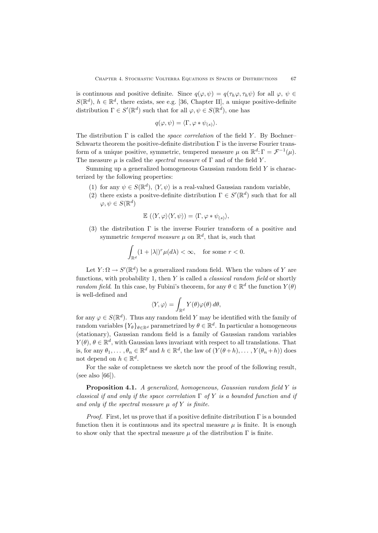is continuous and positive definite. Since  $q(\varphi, \psi) = q(\tau_h \varphi, \tau_h \psi)$  for all  $\varphi, \psi \in$  $S(\mathbb{R}^d)$ ,  $h \in \mathbb{R}^d$ , there exists, see e.g. [36, Chapter II], a unique positive-definite distribution  $\Gamma \in S'(\mathbb{R}^d)$  such that for all  $\varphi, \psi \in S(\mathbb{R}^d)$ , one has

$$
q(\varphi,\psi)=\langle \Gamma,\varphi\ast\psi_{(s)}\rangle.
$$

The distribution Γ is called the *space correlation* of the field *Y* . By Bochner– Schwartz theorem the positive-definite distribution Γ is the inverse Fourier transform of a unique positive, symmetric, tempered measure  $\mu$  on  $\mathbb{R}^d$ :  $\Gamma = \mathcal{F}^{-1}(\mu)$ . The measure  $\mu$  is called the *spectral measure* of  $\Gamma$  and of the field *Y*.

Summing up a generalized homogeneous Gaussian random field *Y* is characterized by the following properties:

- (1) for any  $\psi \in S(\mathbb{R}^d)$ ,  $\langle Y, \psi \rangle$  is a real-valued Gaussian random variable,
- (2) there exists a positve-definite distribution  $\Gamma \in S'(\mathbb{R}^d)$  such that for all  $\varphi, \psi \in S(\mathbb{R}^d)$

$$
\mathbb{E}(\langle Y,\varphi\rangle\langle Y,\psi\rangle)=\langle\Gamma,\varphi*\psi_{(s)}\rangle,
$$

(3) the distribution  $\Gamma$  is the inverse Fourier transform of a positive and symmetric *tempered measure*  $\mu$  on  $\mathbb{R}^d$ , that is, such that

$$
\int_{\mathbb{R}^d} (1+|\lambda|)^r \mu(d\lambda) < \infty, \quad \text{for some } r < 0.
$$

Let  $Y: \Omega \to S'(\mathbb{R}^d)$  be a generalized random field. When the values of *Y* are functions, with probability 1, then *Y* is called a *classical random field* or shortly *random field*. In this case, by Fubini's theorem, for any  $\theta \in \mathbb{R}^d$  the function  $Y(\theta)$ is well-defined and

$$
\langle Y, \varphi \rangle = \int_{\mathbb{R}^d} Y(\theta) \varphi(\theta) d\theta,
$$

for any  $\varphi \in S(\mathbb{R}^d)$ . Thus any random field *Y* may be identified with the family of random variables  ${Y_{\theta}}_{\theta \in \mathbb{R}^d}$  parametrized by  $\theta \in \mathbb{R}^d$ . In particular a homogeneous (stationary), Gaussian random field is a family of Gaussian random variables  $Y(\theta)$ ,  $\theta \in \mathbb{R}^d$ , with Gaussian laws invariant with respect to all translations. That is, for any  $\theta_1, \ldots, \theta_n \in \mathbb{R}^d$  and  $h \in \mathbb{R}^d$ , the law of  $(Y(\theta + h), \ldots, Y(\theta_n + h))$  does not depend on  $h \in \mathbb{R}^d$ .

For the sake of completness we sketch now the proof of the following result, (see also [66]).

**Proposition 4.1.** *A generalized, homogeneous, Gaussian random field Y is classical if and only if the space correlation* Γ *of Y is a bounded function and if* and only if the spectral measure  $\mu$  of  $Y$  is finite.

*Proof.* First, let us prove that if a positive definite distribution  $\Gamma$  is a bounded function then it is continuous and its spectral measure  $\mu$  is finite. It is enough to show only that the spectral measure  $\mu$  of the distribution  $\Gamma$  is finite.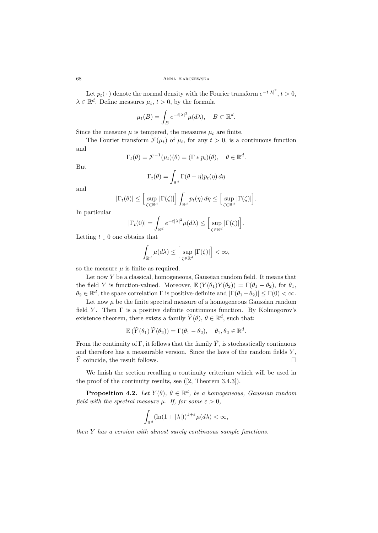Let  $p_t(\cdot)$  denote the normal density with the Fourier transform  $e^{-t|\lambda|^2}$ ,  $t > 0$ ,  $\lambda \in \mathbb{R}^d$ . Define measures  $\mu_t$ ,  $t > 0$ , by the formula

$$
\mu_t(B) = \int_B e^{-t|\lambda|^2} \mu(d\lambda), \quad B \subset \mathbb{R}^d.
$$

Since the measure  $\mu$  is tempered, the measures  $\mu_t$  are finite.

The Fourier transform  $\mathcal{F}(\mu_t)$  of  $\mu_t$ , for any  $t > 0$ , is a continuous function and

$$
\Gamma_t(\theta) = \mathcal{F}^{-1}(\mu_t)(\theta) = (\Gamma * p_t)(\theta), \quad \theta \in \mathbb{R}^d.
$$

But

$$
\Gamma_t(\theta) = \int_{\mathbb{R}^d} \Gamma(\theta - \eta) p_t(\eta) d\eta
$$

and

$$
|\Gamma_t(\theta)| \leq \left[\sup_{\zeta \in \mathbb{R}^d} |\Gamma(\zeta)|\right] \int_{\mathbb{R}^d} p_t(\eta) d\eta \leq \left[\sup_{\zeta \in \mathbb{R}^d} |\Gamma(\zeta)|\right].
$$

In particular

$$
|\Gamma_t(0)| = \int_{\mathbb{R}^d} e^{-t|\lambda|^2} \mu(d\lambda) \leq \Big[\sup_{\zeta \in \mathbb{R}^d} |\Gamma(\zeta)|\Big].
$$

Letting *<sup>t</sup> <sup>↓</sup>* 0 one obtains that

$$
\int_{\mathbb{R}^d} \mu(d\lambda) \le \Big[ \sup_{\zeta \in \mathbb{R}^d} |\Gamma(\zeta)| \Big] < \infty,
$$

so the measure  $\mu$  is finite as required.

Let now *Y* be a classical, homogeneous, Gaussian random field. It means that the field *Y* is function-valued. Moreover,  $\mathbb{E}(Y(\theta_1)Y(\theta_2)) = \Gamma(\theta_1 - \theta_2)$ , for  $\theta_1$ ,  $\theta_2 \in \mathbb{R}^d$ , the space correlation  $\Gamma$  is positive-definite and  $|\Gamma(\theta_1 - \theta_2)| \leq \Gamma(0) < \infty$ .

Let now  $\mu$  be the finite spectral measure of a homogeneous Gaussian random field *Y* . Then Γ is a positive definite continuous function. By Kolmogorov's existence theorem, there exists a family  $\widetilde{Y}(\theta)$ ,  $\theta \in \mathbb{R}^d$ , such that:

$$
\mathbb{E}(\widetilde{Y}(\theta_1)\widetilde{Y}(\theta_2)) = \Gamma(\theta_1 - \theta_2), \quad \theta_1, \theta_2 \in \mathbb{R}^d.
$$

From the continuity of Γ, it follows that the family  $\widetilde{Y}$ , is stochastically continuous and therefore has a measurable version. Since the laws of the random fields *Y* , *Y* coincide, the result follows. □

We finish the section recalling a continuity criterium which will be used in the proof of the continuity results, see ([2, Theorem 3.4.3]).

**Proposition 4.2.** *Let*  $Y(\theta)$ *,*  $\theta \in \mathbb{R}^d$ *, be a homogeneous, Gaussian random field with the spectral measure*  $\mu$ *. If, for some*  $\varepsilon > 0$ *,* 

$$
\int_{\mathbb{R}^d} (\ln(1+|\lambda|))^{1+\varepsilon} \mu(d\lambda) < \infty,
$$

*then Y has a version with almost surely continuous sample functions.*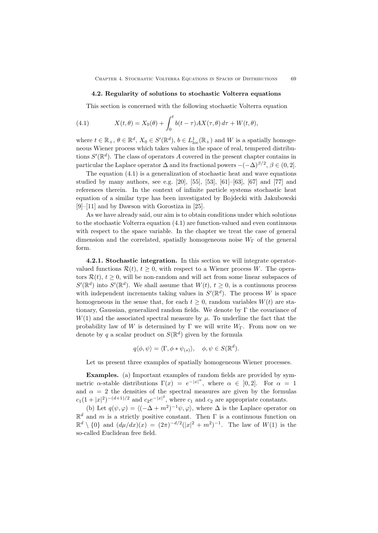#### **4.2. Regularity of solutions to stochastic Volterra equations**

This section is concerned with the following stochastic Volterra equation

(4.1) 
$$
X(t, \theta) = X_0(\theta) + \int_0^t b(t - \tau) A X(\tau, \theta) d\tau + W(t, \theta),
$$

where  $t \in \mathbb{R}_+$ ,  $\theta \in \mathbb{R}^d$ ,  $X_0 \in S'(\mathbb{R}^d)$ ,  $b \in L^1_{loc}(\mathbb{R}_+)$  and W is a spatially homogeneous Wiener process which takes values in the space of real, tempered distributions  $S'(\mathbb{R}^d)$ . The class of operators *A* covered in the present chapter contains in particular the Laplace operator  $\Delta$  and its fractional powers  $-(-\Delta)^{\beta/2}$ ,  $\beta \in (0, 2]$ .

The equation (4.1) is a generalization of stochastic heat and wave equations studied by many authors, see e.g.  $[20]$ ,  $[55]$ ,  $[53]$ ,  $[61]$ – $[63]$ ,  $[67]$  and  $[77]$  and references therein. In the context of infinite particle systems stochastic heat equation of a similar type has been investigated by Bojdecki with Jakubowski [9]–[11] and by Dawson with Gorostiza in [25].

As we have already said, our aim is to obtain conditions under which solutions to the stochastic Volterra equation (4.1) are function-valued and even continuous with respect to the space variable. In the chapter we treat the case of general dimension and the correlated, spatially homogeneous noise  $W_{\Gamma}$  of the general form.

**4.2.1. Stochastic integration.** In this section we will integrate operatorvalued functions  $\mathcal{R}(t)$ ,  $t \geq 0$ , with respect to a Wiener process *W*. The operators  $\mathcal{R}(t)$ ,  $t \geq 0$ , will be non-random and will act from some linear subspaces of  $S'(\mathbb{R}^d)$  into  $S'(\mathbb{R}^d)$ . We shall assume that  $W(t)$ ,  $t \geq 0$ , is a continuous process with independent increments taking values in  $S'(\mathbb{R}^d)$ . The process *W* is space homogeneous in the sense that, for each  $t \geq 0$ , random variables  $W(t)$  are stationary, Gaussian, generalized random fields. We denote by  $\Gamma$  the covariance of  $W(1)$  and the associated spectral measure by  $\mu$ . To underline the fact that the probability law of *W* is determined by Γ we will write *W*Γ. From now on we denote by *q* a scalar product on  $S(\mathbb{R}^d)$  given by the formula

$$
q\langle \phi, \psi \rangle = \langle \Gamma, \phi * \psi_{(s)} \rangle, \quad \phi, \psi \in S(\mathbb{R}^d).
$$

Let us present three examples of spatially homogeneous Wiener processes.

**Examples.** (a) Important examples of random fields are provided by symmetric *α*-stable distributions  $\Gamma(x) = e^{-|x|^{\alpha}}$ , where  $\alpha \in [0,2]$ . For  $\alpha = 1$ and  $\alpha = 2$  the densities of the spectral measures are given by the formulas  $c_1(1+|x|^2)^{-(d+1)/2}$  and  $c_2e^{-|x|^2}$ , where  $c_1$  and  $c_2$  are appropriate constants.

(b) Let  $q(\psi, \varphi) = \langle (-\Delta + m^2)^{-1} \psi, \varphi \rangle$ , where  $\Delta$  is the Laplace operator on  $\mathbb{R}^d$  and *m* is a strictly positive constant. Then  $\Gamma$  is a continuous function on  $\mathbb{R}^d \setminus \{0\}$  and  $(d\mu/dx)(x) = (2\pi)^{-d/2}(|x|^2 + m^2)^{-1}$ . The law of  $W(1)$  is the so-called Euclidean free field.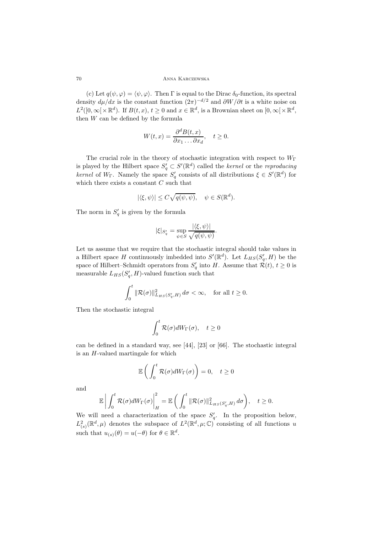(c) Let  $q(\psi, \varphi) = \langle \psi, \varphi \rangle$ . Then  $\Gamma$  is equal to the Dirac  $\delta_0$ -function, its spectral density  $d\mu/dx$  is the constant function  $(2\pi)^{-d/2}$  and  $\partial W/\partial t$  is a white noise on  $L^2([0,\infty[\times \mathbb{R}^d])$ . If  $B(t,x), t \geq 0$  and  $x \in \mathbb{R}^d$ , is a Brownian sheet on  $[0,\infty[\times \mathbb{R}^d]$ , then *W* can be defined by the formula

$$
W(t,x) = \frac{\partial^d B(t,x)}{\partial x_1 \dots \partial x_d}, \quad t \ge 0.
$$

The crucial role in the theory of stochastic integration with respect to *W*<sup>Γ</sup> is played by the Hilbert space  $S'_q \subset S'(\mathbb{R}^d)$  called the *kernel* or the *reproducing kernel* of  $W_{\Gamma}$ . Namely the space  $S'_{q}$  consists of all distributions  $\xi \in S'(\mathbb{R}^d)$  for which there exists a constant *C* such that

$$
|\langle \xi, \psi \rangle| \le C\sqrt{q(\psi, \psi)}, \quad \psi \in S(\mathbb{R}^d).
$$

The norm in  $S_q$  is given by the formula

$$
|\xi|_{S'_q}=\sup_{\psi\in S}\frac{|\langle \xi,\psi\rangle|}{\sqrt{q(\psi,\psi)}}.
$$

Let us assume that we require that the stochastic integral should take values in a Hilbert space *H* continuously imbedded into  $S'(\mathbb{R}^d)$ . Let  $L_{HS}(S'_{\sigma}, H)$  be the space of Hilbert–Schmidt operators from  $S'_{q}$  into *H*. Assume that  $\mathcal{R}(t)$ ,  $t \geq 0$  is measurable  $L_{HS}(S'_a, H)$ -valued function such that

$$
\int_0^t \|\mathcal{R}(\sigma)\|_{L_{HS}(S_q',H)}^2 d\sigma < \infty, \quad \text{for all } t \ge 0.
$$

Then the stochastic integral

$$
\int_0^t \mathcal{R}(\sigma)dW_{\Gamma}(\sigma), \quad t \ge 0
$$

can be defined in a standard way, see [44], [23] or [66]. The stochastic integral is an *H*-valued martingale for which

$$
\mathbb{E}\left(\int_0^t \mathcal{R}(\sigma)dW_{\Gamma}(\sigma)\right) = 0, \quad t \ge 0
$$

and

$$
\mathbb{E}\left|\int_0^t \mathcal{R}(\sigma)dW_{\Gamma}(\sigma)\right|_H^2 = \mathbb{E}\left(\int_0^t \|\mathcal{R}(\sigma)\|_{L_{HS}(S_q',H)}^2 d\sigma\right), \quad t \geq 0.
$$

We will need a characterization of the space  $S'_a$ . In the proposition below,  $L^2_{(s)}(\mathbb{R}^d, \mu)$  denotes the subspace of  $L^2(\mathbb{R}^d, \mu; \mathbb{C})$  consisting of all functions *u* such that  $u_{(s)}(\theta) = u(-\theta)$  for  $\theta \in \mathbb{R}^d$ .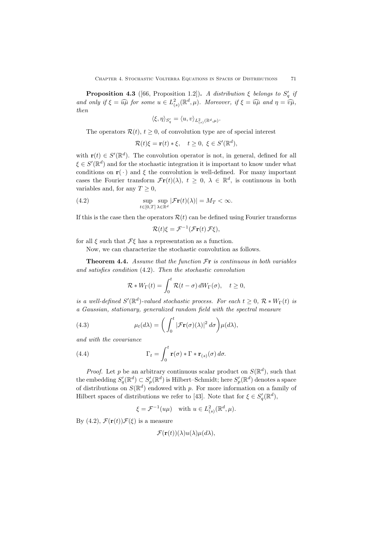**Proposition 4.3** ([66, Proposition 1.2]). *A distribution*  $\xi$  *belongs to*  $S'_a$  *if and only if*  $\xi = \widehat{u\mu}$  *for some*  $u \in L^2_{(s)}(\mathbb{R}^d, \mu)$ *. Moreover, if*  $\xi = \widehat{u\mu}$  *and*  $\eta = \widehat{v\mu}$ *,* then *then*

$$
\langle \xi, \eta \rangle_{S'_q} = \langle u, v \rangle_{L^2_{(s)}(\mathbb{R}^d, \mu)}.
$$

The operators  $\mathcal{R}(t)$ ,  $t \geq 0$ , of convolution type are of special interest

$$
\mathcal{R}(t)\xi = \mathbf{r}(t) * \xi, \quad t \ge 0, \ \xi \in S'(\mathbb{R}^d),
$$

with  $\mathbf{r}(t) \in S'(\mathbb{R}^d)$ . The convolution operator is not, in general, defined for all  $\xi \in S'(\mathbb{R}^d)$  and for the stochastic integration it is important to know under what conditions on  $\mathbf{r}(\cdot)$  and  $\xi$  the convolution is well-defined. For many important cases the Fourier transform  $\mathcal{F}$ **r**(*t*)( $\lambda$ ),  $t \geq 0$ ,  $\lambda \in \mathbb{R}^d$ , is continuous in both variables and, for any  $T \geq 0$ ,

(4.2) 
$$
\sup_{t\in[0,T]}\sup_{\lambda\in\mathbb{R}^d}|\mathcal{F}\mathbf{r}(t)(\lambda)|=M_T<\infty.
$$

If this is the case then the operators  $\mathcal{R}(t)$  can be defined using Fourier transforms

$$
\mathcal{R}(t)\xi = \mathcal{F}^{-1}(\mathcal{F}\mathbf{r}(t)\,\mathcal{F}\xi),
$$

for all *<sup>ξ</sup>* such that *<sup>F</sup><sup>ξ</sup>* has a representation as a function.

Now, we can characterize the stochastic convolution as follows.

**Theorem 4.4.** *Assume that the function F***r** *is continuous in both variables and satisfies condition* (4.2)*. Then the stochastic convolution*

$$
\mathcal{R} * W_{\Gamma}(t) = \int_0^t \mathcal{R}(t - \sigma) dW_{\Gamma}(\sigma), \quad t \ge 0,
$$

*is a well-defined*  $S'(\mathbb{R}^d)$ *-valued stochastic process. For each*  $t \geq 0$ ,  $\mathcal{R} * W_{\Gamma}(t)$  *is a Gaussian, stationary, generalized random field with the spectral measure*

(4.3) 
$$
\mu_t(d\lambda) = \left(\int_0^t |\mathcal{F}\mathbf{r}(\sigma)(\lambda)|^2 d\sigma\right) \mu(d\lambda),
$$

*and with the covariance*

(4.4) 
$$
\Gamma_t = \int_0^t \mathbf{r}(\sigma) * \Gamma * \mathbf{r}_{(s)}(\sigma) d\sigma.
$$

*Proof.* Let *p* be an arbitrary continuous scalar product on  $S(\mathbb{R}^d)$ , such that the embedding  $S'_q(\mathbb{R}^d) \subset S'_p(\mathbb{R}^d)$  is Hilbert–Schmidt; here  $S'_p(\mathbb{R}^d)$  denotes a space of distributions on  $S(\mathbb{R}^d)$  endowed with *p*. For more information on a family of Hilbert spaces of distributions we refer to [43]. Note that for  $\xi \in S_q'(\mathbb{R}^d)$ ,

 $\xi = \mathcal{F}^{-1}(u\mu)$  with  $u \in L^2_{(s)}(\mathbb{R}^d, \mu)$ *.* 

By (4.2),  $\mathcal{F}(\mathbf{r}(t))\mathcal{F}(\xi)$  is a measure

$$
\mathcal{F}(\mathbf{r}(t))(\lambda)u(\lambda)\mu(d\lambda),
$$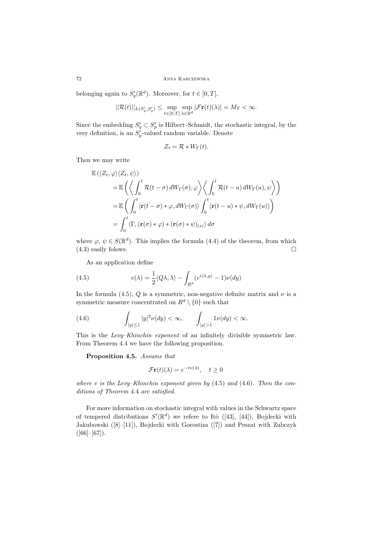belonging again to  $S'_q(\mathbb{R}^d)$ . Moreover, for  $t \in [0, T]$ ,

$$
||\mathcal{R}(t)||_{L(S'_q, S'_q)} \leq \sup_{t\in [0,T]}\sup_{\lambda\in \mathbb{R}^d} |\mathcal{F}\mathbf{r}(t)(\lambda)| = M_T < \infty.
$$

Since the embedding  $S'_q \subset S'_p$  is Hilbert–Schmidt, the stochastic integral, by the very definition, is an  $S_p'$ -valued random variable. Denote

$$
Z_t = \mathcal{R} * W_{\Gamma}(t).
$$

Then we may write

$$
\mathbb{E}(\langle Z_t, \varphi \rangle \langle Z_t, \psi \rangle) \n= \mathbb{E} \left( \left\langle \int_0^t \mathcal{R}(t - \sigma) dW_{\Gamma}(\sigma), \varphi \right\rangle \left\langle \int_0^t \mathcal{R}(t - u) dW_{\Gamma}(u), \psi \right\rangle \right) \n= \mathbb{E} \left( \int_0^t \langle \mathbf{r}(t - \sigma) * \varphi, dW_{\Gamma}(\sigma) \rangle \int_0^t \langle \mathbf{r}(t - u) * \psi, dW_{\Gamma}(u) \rangle \right) \n= \int_0^t \langle \Gamma, (\mathbf{r}(\sigma) * \varphi) * (\mathbf{r}(\sigma) * \psi)_{(s)} \rangle d\sigma
$$

where  $\varphi, \psi \in S(\mathbb{R}^d)$ . This implies the formula (4.4) of the theorem, from which (4.3) easily folows. (4.3) easily folows.

As an application define

(4.5) 
$$
v(\lambda) = \frac{1}{2} \langle Q\lambda, \lambda \rangle - \int_{R^d} (e^{i\langle \lambda, y \rangle} - 1) \nu(dy)
$$

In the formula (4.5),  $Q$  is a symmetric, non-negative definite matrix and  $\nu$  is a symmetric measure concentrated on  $R^d \setminus \{0\}$  such that

(4.6) 
$$
\int_{|y| \le 1} |y|^2 \nu(dy) < \infty, \qquad \int_{|y| > 1} 1 \nu(dy) < \infty.
$$

This is the *Levy–Khinchin exponent* of an infinitely divisible symmetric law. From Theorem 4.4 we have the following proposition.

**Proposition 4.5.** *Assume that*

$$
\mathcal{F}\mathbf{r}(t)(\lambda) = e^{-tv(\lambda)}, \quad t \ge 0
$$

*where v is the Levy–Khinchin exponent given by* (4.5) *and* (4.6)*. Then the conditions of Theorem* 4.4 *are satisfied.*

For more information on stochastic integral with values in the Schwartz space of tempered distributions  $S'(\mathbb{R}^d)$  we refere to Itô ([43], [44]), Bojdecki with Jakubowski ([8]–[11]), Bojdecki with Gorostiza ([7]) and Peszat with Zabczyk  $([66]–[67]).$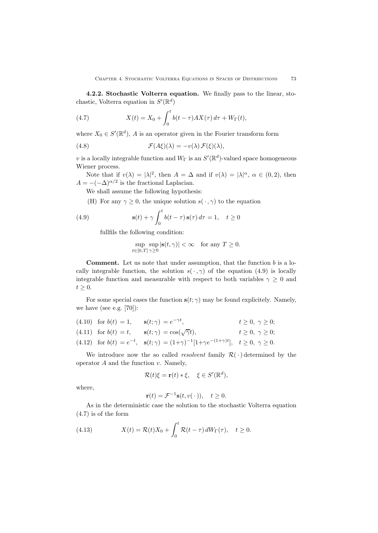**4.2.2. Stochastic Volterra equation.** We finally pass to the linear, stochastic, Volterra equation in  $S'(\mathbb{R}^d)$ 

(4.7) 
$$
X(t) = X_0 + \int_0^t b(t - \tau) A X(\tau) d\tau + W_{\Gamma}(t),
$$

where  $X_0 \in S'(\mathbb{R}^d)$ , *A* is an operator given in the Fourier transform form

(4.8) 
$$
\mathcal{F}(A\xi)(\lambda) = -v(\lambda)\,\mathcal{F}(\xi)(\lambda),
$$

*v* is a locally integrable function and  $W_{\Gamma}$  is an  $S'(\mathbb{R}^d)$ -valued space homogeneous Wiener process.

Note that if  $v(\lambda) = |\lambda|^2$ , then  $A = \Delta$  and if  $v(\lambda) = |\lambda|^{\alpha}$ ,  $\alpha \in (0, 2)$ , then  $A = -(-\Delta)^{\alpha/2}$  is the fractional Laplacian.

We shall assume the following hypothesis:

(H) For any  $\gamma \geq 0$ , the unique solution  $s(\cdot, \gamma)$  to the equation

(4.9) 
$$
\mathbf{s}(t) + \gamma \int_0^t b(t-\tau) \,\mathbf{s}(\tau) \,d\tau = 1, \quad t \ge 0
$$

fullfils the following condition:

$$
\sup_{t \in [0,T]} \sup_{\gamma \ge 0} |\mathbf{s}(t,\gamma)| < \infty \quad \text{for any } T \ge 0.
$$

**Comment.** Let us note that under assumption, that the function *b* is a locally integrable function, the solution  $s(\cdot, \gamma)$  of the equation (4.9) is locally integrable function and measurable with respect to both variables  $\gamma \geq 0$  and  $t \geq 0$ .

For some special cases the function  $s(t; \gamma)$  may be found explicitely. Namely, we have (see e.g. [70]):

|  | (4.10) for $b(t) = 1$ , $\mathbf{s}(t; \gamma) = e^{-\gamma t}$ ,                                                                 | $t \geq 0, \ \gamma \geq 0;$ |
|--|-----------------------------------------------------------------------------------------------------------------------------------|------------------------------|
|  | (4.11) for $b(t) = t$ , $\mathbf{s}(t; \gamma) = \cos(\sqrt{\gamma}t)$ ,                                                          | $t \geq 0, \ \gamma \geq 0;$ |
|  | (4.12) for $b(t) = e^{-t}$ , $\mathbf{s}(t; \gamma) = (1+\gamma)^{-1}[1+\gamma e^{-(1+\gamma)t}], \quad t \ge 0, \ \gamma \ge 0.$ |                              |

We introduce now the so called *resolvent* family  $\mathcal{R}(\cdot)$  determined by the operator *A* and the function *v*. Namely,

$$
\mathcal{R}(t)\xi = \mathbf{r}(t) * \xi, \quad \xi \in S'(\mathbb{R}^d),
$$

where,

$$
\mathbf{r}(t) = \mathcal{F}^{-1}\mathbf{s}(t, v(\,\cdot\,)), \quad t \ge 0.
$$

As in the deterministic case the solution to the stochastic Volterra equation (4.7) is of the form

(4.13) 
$$
X(t) = \mathcal{R}(t)X_0 + \int_0^t \mathcal{R}(t-\tau) dW_\Gamma(\tau), \quad t \ge 0.
$$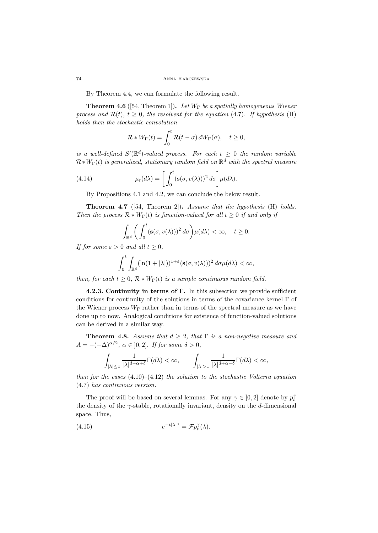By Theorem 4.4, we can formulate the following result.

**Theorem 4.6** ([54, Theorem 1])**.** *Let W*<sup>Γ</sup> *be a spatially homogeneous Wiener process and*  $\mathcal{R}(t)$ *,*  $t \geq 0$ *, the resolvent for the equation* (4.7)*. If hypothesis* (H) *holds then the stochastic convolution*

$$
\mathcal{R} * W_{\Gamma}(t) = \int_0^t \mathcal{R}(t - \sigma) dW_{\Gamma}(\sigma), \quad t \ge 0,
$$

*is a well-defined*  $S'(\mathbb{R}^d)$ -valued process. For each  $t \geq 0$  the random variable *R∗W*Γ(*t*) *is generalized, stationary random field on* <sup>R</sup>*<sup>d</sup> with the spectral measure*

(4.14) 
$$
\mu_t(d\lambda) = \left[ \int_0^t (\mathbf{s}(\sigma, v(\lambda)))^2 d\sigma \right] \mu(d\lambda).
$$

By Propositions 4.1 and 4.2, we can conclude the below result.

**Theorem 4.7** ([54, Theorem 2])**.** *Assume that the hypothesis* (H) *holds. Then the process*  $\mathcal{R} * W_{\Gamma}(t)$  *is function-valued for all*  $t \geq 0$  *if and only if* 

$$
\int_{\mathbb{R}^d} \left( \int_0^t (\mathbf{s}(\sigma, v(\lambda)))^2 d\sigma \right) \mu(d\lambda) < \infty, \quad t \ge 0.
$$

*If for some*  $\varepsilon > 0$  *and all*  $t > 0$ *,* 

$$
\int_0^t \int_{\mathbb{R}^d} (\ln(1+|\lambda|))^{1+\varepsilon} (\mathbf{s}(\sigma, v(\lambda)))^2 d\sigma \mu(d\lambda) < \infty,
$$

*then, for each*  $t \geq 0$ ,  $\mathcal{R} * W_{\Gamma}(t)$  *is a sample continuous random field.* 

**4.2.3. Continuity in terms of** Γ**.** In this subsection we provide sufficient conditions for continuity of the solutions in terms of the covariance kernel Γ of the Wiener process  $W_{\Gamma}$  rather than in terms of the spectral measure as we have done up to now. Analogical conditions for existence of function-valued solutions can be derived in a similar way.

**Theorem 4.8.** *Assume that*  $d \geq 2$ *, that*  $\Gamma$  *is a non-negative measure and A* =  $-(-\Delta)^{\alpha/2}$ ,  $\alpha \in [0,2]$ *. If for some*  $\delta > 0$ *,* 

$$
\int_{|\lambda|\leq 1}\frac{1}{|\lambda|^{d-\alpha+\delta}}\Gamma(d\lambda)<\infty,\qquad \int_{|\lambda|> 1}\frac{1}{|\lambda|^{d+\alpha-\delta}}\Gamma(d\lambda)<\infty,
$$

*then for the cases* (4.10)–(4.12) *the solution to the stochastic Volterra equation* (4.7) *has continuous version.*

The proof will be based on several lemmas. For any  $\gamma \in [0,2]$  denote by  $p_t^{\gamma}$ the density of the *γ*-stable, rotationally invariant, density on the *d*-dimensional space. Thus,

(4.15) 
$$
e^{-t|\lambda|^\gamma} = \mathcal{F} p_t^\gamma(\lambda).
$$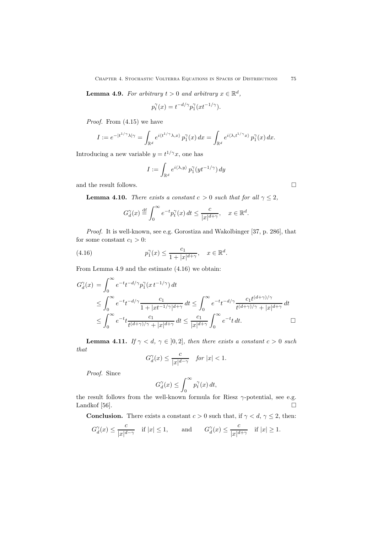**Lemma 4.9.** *For arbitrary*  $t > 0$  *and arbitrary*  $x \in \mathbb{R}^d$ ,

$$
p_t^{\gamma}(x) = t^{-d/\gamma} p_1^{\gamma}(x t^{-1/\gamma}).
$$

*Proof.* From (4.15) we have

$$
I := e^{-|t^{1/\gamma}\lambda|\gamma} = \int_{\mathbb{R}^d} e^{i\langle t^{1/\gamma}\lambda, x\rangle} p_1^{\gamma}(x) dx = \int_{\mathbb{R}^d} e^{i\langle \lambda, t^{1/\gamma}x\rangle} p_1^{\gamma}(x) dx.
$$

Introducing a new variable  $y = t^{1/\gamma}x$ , one has

$$
I := \int_{\mathbb{R}^d} e^{i \langle \lambda, y \rangle} p_1^{\gamma} (y t^{-1/\gamma}) \, dy
$$

and the result follows.  $\hfill \square$ 

**Lemma 4.10.** *There exists a constant*  $c > 0$  *such that for all*  $\gamma \leq 2$ *,* 

$$
G_d^\gamma(x) \stackrel{\mathrm{df}}{=} \int_0^\infty e^{-t} p_t^\gamma(x) \, dt \leq \frac{c}{|x|^{d+\gamma}}, \quad x \in \mathbb{R}^d.
$$

*Proof.* It is well-known, see e.g. Gorostiza and Wakolbinger [37, p. 286], that for some constant  $c_1 > 0$ :

(4.16) 
$$
p_1^{\gamma}(x) \le \frac{c_1}{1+|x|^{d+\gamma}}, \quad x \in \mathbb{R}^d.
$$

From Lemma 4.9 and the estimate (4.16) we obtain:

$$
G_d^{\gamma}(x) = \int_0^{\infty} e^{-t} t^{-d/\gamma} p_1^{\gamma}(x t^{-1/\gamma}) dt
$$
  
\n
$$
\leq \int_0^{\infty} e^{-t} t^{-d/\gamma} \frac{c_1}{1 + |xt^{-1/\gamma}|^{d+\gamma}} dt \leq \int_0^{\infty} e^{-t} t^{-d/\gamma} \frac{c_1 t^{(d+\gamma)/\gamma}}{t^{(d+\gamma)/\gamma} + |x|^{d+\gamma}} dt
$$
  
\n
$$
\leq \int_0^{\infty} e^{-t} t \frac{c_1}{t^{(d+\gamma)/\gamma} + |x|^{d+\gamma}} dt \leq \frac{c_1}{|x|^{d+\gamma}} \int_0^{\infty} e^{-t} t dt.
$$

**Lemma 4.11.** *If*  $\gamma < d$ ,  $\gamma \in [0,2]$ *, then there exists a constant*  $c > 0$  *such that*

$$
G_d^{\gamma}(x) \le \frac{c}{|x|^{d-\gamma}} \quad \text{for } |x| < 1.
$$

*Proof.* Since

$$
G_d^{\gamma}(x) \le \int_0^{\infty} p_t^{\gamma}(x) dt,
$$

the result follows from the well-known formula for Riesz *γ*-potential, see e.g. Landkof [56].  $\Box$ 

**Conclusion.** There exists a constant  $c > 0$  such that, if  $\gamma < d$ ,  $\gamma \leq 2$ , then:

$$
G_d^{\gamma}(x)\leq \frac{c}{|x|^{d-\gamma}}\quad \text{if}\ |x|\leq 1, \qquad \text{and}\qquad G_d^{\gamma}(x)\leq \frac{c}{|x|^{d+\gamma}}\quad \text{if}\ |x|\geq 1.
$$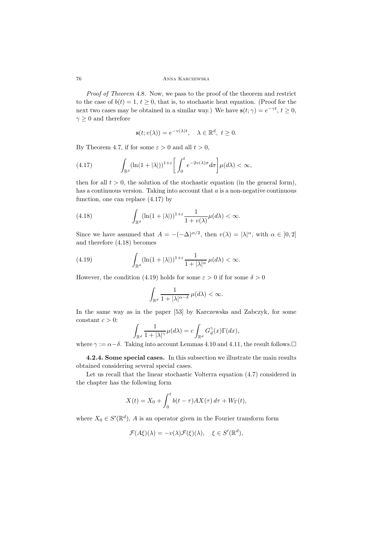*Proof of Theorem* 4.8*.* Now, we pass to the proof of the theorem and restrict to the case of  $b(t) = 1, t \geq 0$ , that is, to stochastic heat equation. (Proof for the next two cases may be obtained in a similar way.) We have  $\mathbf{s}(t; \gamma) = e^{-\gamma t}, t \geq 0$ ,  $\gamma \geq 0$  and therefore

$$
\mathbf{s}(t; v(\lambda)) = e^{-v(\lambda)t}, \quad \lambda \in \mathbb{R}^d, \ t \ge 0.
$$

By Theorem 4.7, if for some  $\varepsilon > 0$  and all  $t > 0$ ,

(4.17) 
$$
\int_{\mathbb{R}^d} (\ln(1+|\lambda|))^{1+\varepsilon} \left[ \int_0^t e^{-2v(\lambda)\sigma} d\sigma \right] \mu(d\lambda) < \infty,
$$

then for all  $t > 0$ , the solution of the stochastic equation (in the general form), has a continuous version. Taking into account that *a* is a non-negative continuous function, one can replace (4.17) by

(4.18) 
$$
\int_{\mathbb{R}^d} (\ln(1+|\lambda|))^{1+\varepsilon} \frac{1}{1+v(\lambda)} \mu(d\lambda) < \infty.
$$

Since we have assumed that  $A = -(-\Delta)^{\alpha/2}$ , then  $v(\lambda) = |\lambda|^{\alpha}$ , with  $\alpha \in [0, 2]$ and therefore (4.18) becomes

(4.19) 
$$
\int_{\mathbb{R}^d} (\ln(1+|\lambda|))^{1+\varepsilon} \frac{1}{1+|\lambda|^{\alpha}} \,\mu(d\lambda) < \infty.
$$

However, the condition (4.19) holds for some  $\varepsilon > 0$  if for some  $\delta > 0$ 

$$
\int_{\mathbb{R}^d}\frac{1}{1+|\lambda|^{\alpha-\delta}}\,\mu(d\lambda)<\infty.
$$

In the same way as in the paper [53] by Karczewska and Zabczyk, for some constant  $c > 0$ :

$$
\int_{\mathbb{R}^d} \frac{1}{1+|\lambda|^\gamma} \mu(d\lambda) = c \int_{\mathbb{R}^d} G_d^{\gamma}(x) \Gamma(dx),
$$

where  $\gamma := \alpha - \delta$ . Taking into account Lemmas 4.10 and 4.11, the result follows.

**4.2.4. Some special cases.** In this subsection we illustrate the main results obtained considering several special cases.

Let us recall that the linear stochastic Volterra equation (4.7) considered in the chapter has the following form

$$
X(t) = X_0 + \int_0^t b(t - \tau) A X(\tau) d\tau + W_{\Gamma}(t),
$$

where  $X_0 \in S'(\mathbb{R}^d)$ , *A* is an operator given in the Fourier transform form

$$
\mathcal{F}(A\xi)(\lambda) = -v(\lambda)\mathcal{F}(\xi)(\lambda), \quad \xi \in S'(\mathbb{R}^d),
$$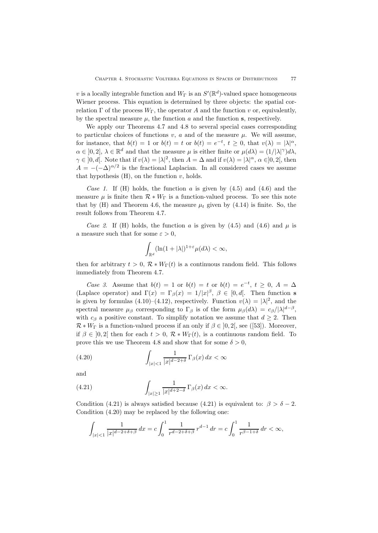*v* is a locally integrable function and  $W_{\Gamma}$  is an  $S'(\mathbb{R}^d)$ -valued space homogeneous Wiener process. This equation is determined by three objects: the spatial correlation  $\Gamma$  of the process  $W_{\Gamma}$ , the operator *A* and the function *v* or, equivalently, by the spectral measure  $\mu$ , the function  $a$  and the function  $s$ , respectively.

We apply our Theorems 4.7 and 4.8 to several special cases corresponding to particular choices of functions  $v, a$  and of the measure  $\mu$ . We will assume, for instance, that  $b(t) = 1$  or  $b(t) = t$  or  $b(t) = e^{-t}$ ,  $t \ge 0$ , that  $v(\lambda) = |\lambda|^{\alpha}$ ,  $\alpha \in [0, 2], \lambda \in \mathbb{R}^d$  and that the measure  $\mu$  is either finite or  $\mu(d\lambda) = (1/|\lambda|^{\gamma})d\lambda$ ,  $\gamma \in [0, d]$ . Note that if  $v(\lambda) = |\lambda|^2$ , then  $A = \Delta$  and if  $v(\lambda) = |\lambda|^{\alpha}, \alpha \in ]0, 2[$ , then  $A = -(-\Delta)^{\alpha/2}$  is the fractional Laplacian. In all considered cases we assume that hypothesis (H), on the function *v*, holds.

*Case 1*. If (H) holds, the function *a* is given by (4.5) and (4.6) and the measure  $\mu$  is finite then  $\mathcal{R} * W_{\Gamma}$  is a function-valued process. To see this note that by  $(H)$  and Theorem 4.6, the measure  $\mu_t$  given by  $(4.14)$  is finite. So, the result follows from Theorem 4.7.

*Case 2.* If (H) holds, the function *a* is given by (4.5) and (4.6) and  $\mu$  is a measure such that for some  $\varepsilon > 0$ ,

$$
\int_{\mathbb{R}^d} (\ln(1+|\lambda|)^{1+\varepsilon} \mu(d\lambda) < \infty,
$$

then for arbitrary  $t > 0$ ,  $\mathcal{R} * W_{\Gamma}(t)$  is a continuous random field. This follows immediately from Theorem 4.7.

*Case 3*. Assume that  $b(t) = 1$  or  $b(t) = t$  or  $b(t) = e^{-t}$ ,  $t \ge 0$ ,  $A = \Delta$ (Laplace operator) and  $\Gamma(x) = \Gamma_{\beta}(x) = 1/|x|^{\beta}, \ \beta \in [0, d].$  Then function **s** is given by formulas (4.10)–(4.12), respectively. Function  $v(\lambda) = |\lambda|^2$ , and the spectral measure  $\mu_{\beta}$  corresponding to  $\Gamma_{\beta}$  is of the form  $\mu_{\beta}(d\lambda) = c_{\beta}/|\lambda|^{d-\beta}$ , with  $c_{\beta}$  a positive constant. To simplify notation we assume that  $d \geq 2$ . Then  $\mathcal{R} * W_{\Gamma}$  is a function-valued process if an only if  $\beta \in ]0,2[$ , see ([53]). Moreover, if  $\beta \in [0,2]$  then for each  $t > 0$ ,  $\mathcal{R} * W_{\Gamma}(t)$ , is a continuous random field. To prove this we use Theorem 4.8 and show that for some  $\delta > 0$ ,

(4.20) 
$$
\int_{|x|<1} \frac{1}{|x|^{d-2+\delta}} \Gamma_{\beta}(x) dx < \infty
$$

and

(4.21) 
$$
\int_{|x|\geq 1} \frac{1}{|x|^{d+2-\delta}} \Gamma_{\beta}(x) dx < \infty.
$$

Condition (4.21) is always satisfied because (4.21) is equivalent to:  $\beta > \delta - 2$ . Condition (4.20) may be replaced by the following one:

$$
\int_{|x| < 1} \frac{1}{|x|^{d-2+\delta+\beta}} \, dx = c \int_0^1 \frac{1}{r^{d-2+\delta+\beta}} \, r^{d-1} \, dr = c \int_0^1 \frac{1}{r^{\beta-1+\delta}} \, dr < \infty,
$$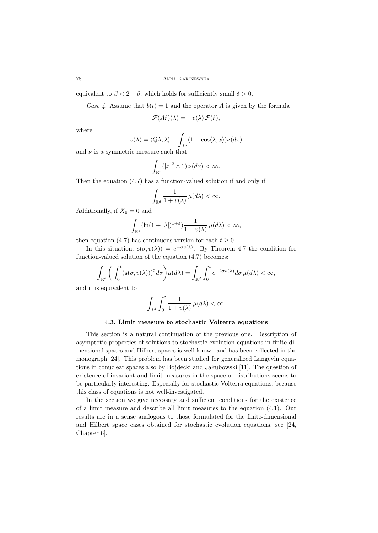equivalent to  $\beta < 2 - \delta$ , which holds for sufficiently small  $\delta > 0$ .

*Case 4.* Assume that  $b(t) = 1$  and the operator *A* is given by the formula

$$
\mathcal{F}(A\xi)(\lambda) = -v(\lambda)\,\mathcal{F}(\xi),
$$

where

$$
v(\lambda) = \langle Q\lambda, \lambda \rangle + \int_{\mathbb{R}^d} (1 - \cos\langle \lambda, x \rangle) \nu(dx)
$$

and  $\nu$  is a symmetric measure such that

$$
\int_{\mathbb{R}^d} (|x|^2 \wedge 1) \nu(dx) < \infty.
$$

Then the equation (4.7) has a function-valued solution if and only if

$$
\int_{\mathbb{R}^d}\frac{1}{1+v(\lambda)}\,\mu(d\lambda)<\infty.
$$

Additionally, if  $X_0 = 0$  and

$$
\int_{\mathbb{R}^d} (\ln(1+|\lambda|)^{1+\varepsilon}) \frac{1}{1+v(\lambda)} \, \mu(d\lambda) < \infty,
$$

then equation (4.7) has continuous version for each  $t \geq 0$ .

In this situation,  $\mathbf{s}(\sigma, v(\lambda)) = e^{-\sigma v(\lambda)}$ . By Theorem 4.7 the condition for function-valued solution of the equation (4.7) becomes:

$$
\int_{\mathbb{R}^d} \bigg( \int_0^t (\mathbf{s}(\sigma, v(\lambda)))^2 d\sigma \bigg) \mu(d\lambda) = \int_{\mathbb{R}^d} \int_0^t e^{-2\sigma v(\lambda)} d\sigma \, \mu(d\lambda) < \infty,
$$

and it is equivalent to

$$
\int_{\mathbb{R}^d}\int_0^t \frac{1}{1+v(\lambda)}\,\mu(d\lambda)<\infty.
$$

### **4.3. Limit measure to stochastic Volterra equations**

This section is a natural continuation of the previous one. Description of asymptotic properties of solutions to stochastic evolution equations in finite dimensional spaces and Hilbert spaces is well-known and has been collected in the monograph [24]. This problem has been studied for generalized Langevin equations in conuclear spaces also by Bojdecki and Jakubowski [11]. The question of existence of invariant and limit measures in the space of distributions seems to be particularly interesting. Especially for stochastic Volterra equations, because this class of equations is not well-investigated.

In the section we give necessary and sufficient conditions for the existence of a limit measure and describe all limit measures to the equation (4.1). Our results are in a sense analogous to those formulated for the finite-dimensional and Hilbert space cases obtained for stochastic evolution equations, see [24, Chapter 6].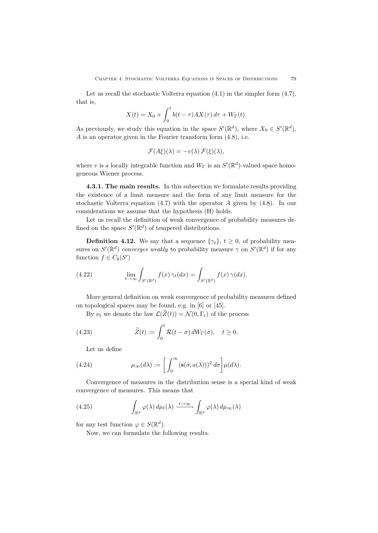Let us recall the stochastic Volterra equation  $(4.1)$  in the simpler form  $(4.7)$ , that is,

$$
X(t) = X_0 + \int_0^t b(t - \tau) A X(\tau) d\tau + W_{\Gamma}(t).
$$

As previously, we study this equation in the space  $S'(\mathbb{R}^d)$ , where  $X_0 \in S'(\mathbb{R}^d)$ , *A* is an operator given in the Fourier transform form (4.8), i.e.

$$
\mathcal{F}(A\xi)(\lambda) = -v(\lambda)\,\mathcal{F}(\xi)(\lambda),
$$

where *v* is a locally integrable function and  $W_{\Gamma}$  is an  $S'(\mathbb{R}^d)$ -valued space homogeneous Wiener process.

**4.3.1. The main results.** In this subsection we formulate results providing the existence of a limit measure and the form of any limit measure for the stochastic Volterra equation (4.7) with the operator *A* given by (4.8). In our considerations we assume that the hypothesis (H) holds.

Let us recall the definition of weak convergence of probability measures defined on the space  $S'(\mathbb{R}^d)$  of tempered distributions.

**Definition 4.12.** We say that a sequence  $\{\gamma_t\}$ ,  $t \geq 0$ , of probability measures on  $S'(\mathbb{R}^d)$  *converges weakly* to probability measure  $\gamma$  on  $S'(\mathbb{R}^d)$  if for any function  $f \in C_b(S')$ 

(4.22) 
$$
\lim_{t \to \infty} \int_{S'(\mathbb{R}^d)} f(x) \gamma_t(dx) = \int_{S'(\mathbb{R}^d)} f(x) \gamma(dx).
$$

More general definition on weak convergence of probability measures defined on topological spaces may be found, e.g. in [6] or [45].

By  $\nu_t$  we denote the law  $\mathcal{L}(\widetilde{Z}(t)) = \mathcal{N}(0, \Gamma_t)$  of the process

(4.23) 
$$
\widetilde{Z}(t) := \int_0^t \mathcal{R}(t - \sigma) dW_\Gamma(\sigma), \quad t \ge 0.
$$

Let us define

(4.24) 
$$
\mu_{\infty}(d\lambda) := \left[ \int_0^{\infty} (\mathbf{s}(\sigma, a(\lambda)))^2 d\sigma \right] \mu(d\lambda).
$$

Convergence of measures in the distribution sense is a special kind of weak convergence of measures. This means that

(4.25) 
$$
\int_{\mathbb{R}^d} \varphi(\lambda) d\mu_t(\lambda) \xrightarrow{t \to \infty} \int_{\mathbb{R}^d} \varphi(\lambda) d\mu_{\infty}(\lambda)
$$

for any test function  $\varphi \in S(\mathbb{R}^d)$ .

Now, we can formulate the following results.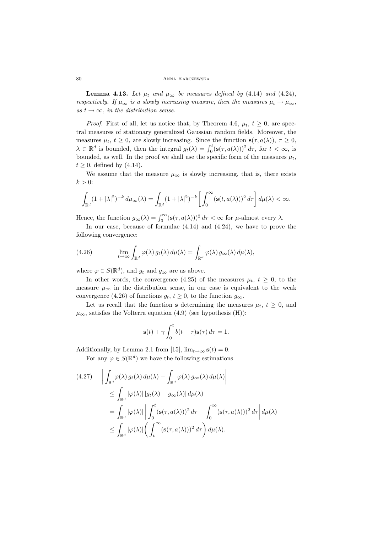**Lemma 4.13.** Let  $\mu_t$  and  $\mu_\infty$  be measures defined by (4.14) and (4.24), *respectively. If*  $\mu_{\infty}$  *is a slowly increasing measure, then the measures*  $\mu_t \to \mu_{\infty}$ ,  $as t \rightarrow \infty$ *, in the distribution sense.* 

*Proof.* First of all, let us notice that, by Theorem 4.6,  $\mu_t$ ,  $t \geq 0$ , are spectral measures of stationary generalized Gaussian random fields. Moreover, the measures  $\mu_t$ ,  $t \geq 0$ , are slowly increasing. Since the function  $\mathbf{s}(\tau, a(\lambda))$ ,  $\tau \geq 0$ ,  $\lambda \in \mathbb{R}^d$  is bounded, then the integral  $g_t(\lambda) = \int_0^t (\mathbf{s}(\tau, a(\lambda)))^2 d\tau$ , for  $t < \infty$ , is bounded, as well. In the proof we shall use the specific form of the measures  $\mu_t$ ,  $t \geq 0$ , defined by  $(4.14)$ .

We assume that the measure  $\mu_{\infty}$  is slowly increasing, that is, there exists  $k > 0$ :

$$
\int_{\mathbb{R}^d} (1+|\lambda|^2)^{-k} d\mu_{\infty}(\lambda) = \int_{\mathbb{R}^d} (1+|\lambda|^2)^{-k} \left[ \int_0^{\infty} (\mathbf{s}(t, a(\lambda)))^2 d\tau \right] d\mu(\lambda) < \infty.
$$

Hence, the function  $g_{\infty}(\lambda) = \int_0^{\infty} (\mathbf{s}(\tau, a(\lambda)))^2 d\tau < \infty$  for  $\mu$ -almost every  $\lambda$ .

In our case, because of formulae (4.14) and (4.24), we have to prove the following convergence:

(4.26) 
$$
\lim_{t \to \infty} \int_{\mathbb{R}^d} \varphi(\lambda) g_t(\lambda) d\mu(\lambda) = \int_{\mathbb{R}^d} \varphi(\lambda) g_\infty(\lambda) d\mu(\lambda),
$$

where  $\varphi \in S(\mathbb{R}^d)$ , and  $g_t$  and  $g_\infty$  are as above.

In other words, the convergence (4.25) of the measures  $\mu_t$ ,  $t \geq 0$ , to the measure  $\mu_{\infty}$  in the distribution sense, in our case is equivalent to the weak convergence (4.26) of functions  $g_t$ ,  $t \geq 0$ , to the function  $g_\infty$ .

Let us recall that the function **s** determining the measures  $\mu_t$ ,  $t \geq 0$ , and  $\mu_{\infty}$ , satisfies the Volterra equation (4.9) (see hypothesis (H)):

$$
\mathbf{s}(t) + \gamma \int_0^t b(t - \tau) \mathbf{s}(\tau) d\tau = 1.
$$

Additionally, by Lemma 2.1 from [15],  $\lim_{t\to\infty}$  **s**(*t*) = 0.

For any  $\varphi \in S(\mathbb{R}^d)$  we have the following estimations

$$
(4.27) \quad \left| \int_{\mathbb{R}^d} \varphi(\lambda) g_t(\lambda) d\mu(\lambda) - \int_{\mathbb{R}^d} \varphi(\lambda) g_{\infty}(\lambda) d\mu(\lambda) \right| \right|
$$
  

$$
\leq \int_{\mathbb{R}^d} |\varphi(\lambda)| |g_t(\lambda) - g_{\infty}(\lambda)| d\mu(\lambda)
$$
  

$$
= \int_{\mathbb{R}^d} |\varphi(\lambda)| \left| \int_0^t (s(\tau, a(\lambda)))^2 d\tau - \int_0^\infty (s(\tau, a(\lambda)))^2 d\tau \right| d\mu(\lambda)
$$
  

$$
\leq \int_{\mathbb{R}^d} |\varphi(\lambda)| \left( \int_t^\infty (s(\tau, a(\lambda)))^2 d\tau \right) d\mu(\lambda).
$$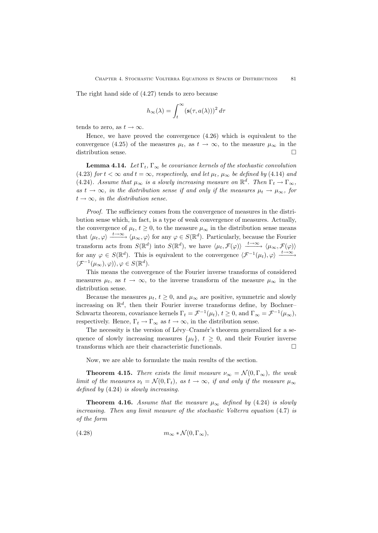The right hand side of (4.27) tends to zero because

$$
h_{\infty}(\lambda) = \int_t^{\infty} (\mathbf{s}(\tau, a(\lambda)))^2 d\tau
$$

tends to zero, as  $t \to \infty$ .

Hence, we have proved the convergence (4.26) which is equivalent to the convergence (4.25) of the measures  $\mu_t$ , as  $t \to \infty$ , to the measure  $\mu_\infty$  in the distribution sense.

**Lemma 4.14.** *Let*  $\Gamma_t$ ,  $\Gamma_\infty$  *be covariance kernels of the stochastic convolution* (4.23) *for*  $t < \infty$  *and*  $t = \infty$ *, respectively, and let*  $\mu_t$ *,*  $\mu_\infty$  *be defined by* (4.14) *and* (4.24)*.* Assume that  $\mu_{\infty}$  is a slowly increasing measure on  $\mathbb{R}^d$ . Then  $\Gamma_t \to \Gamma_{\infty}$ ,  $as t \rightarrow \infty$ , in the distribution sense if and only if the measures  $\mu_t \rightarrow \mu_\infty$ , for  $t \rightarrow \infty$ *, in the distribution sense.* 

*Proof.* The sufficiency comes from the convergence of measures in the distribution sense which, in fact, is a type of weak convergence of measures. Actually, the convergence of  $\mu_t$ ,  $t \geq 0$ , to the measure  $\mu_\infty$  in the distribution sense means that  $\langle \mu_t, \varphi \rangle \xrightarrow{t \to \infty} \langle \mu_\infty, \varphi \rangle$  for any  $\varphi \in S(\mathbb{R}^d)$ . Particularly, because the Fourier transform acts from  $S(\mathbb{R}^d)$  into  $S(\mathbb{R}^d)$ , we have  $\langle \mu_t, \mathcal{F}(\varphi) \rangle \xrightarrow{t \to \infty} \langle \mu_\infty, \mathcal{F}(\varphi) \rangle$ for any  $\varphi \in S(\mathbb{R}^d)$ . This is equivalent to the convergence  $\langle \mathcal{F}^{-1}(\mu_t), \varphi \rangle \xrightarrow{t \to \infty}$  $\langle \mathcal{F}^{-1}(\mu_{\infty}), \varphi) \rangle, \varphi \in S(\mathbb{R}^d).$ 

This means the convergence of the Fourier inverse transforms of considered measures  $\mu_t$ , as  $t \to \infty$ , to the inverse transform of the measure  $\mu_\infty$  in the distribution sense.

Because the measures  $\mu_t$ ,  $t \geq 0$ , and  $\mu_\infty$  are positive, symmetric and slowly increasing on  $\mathbb{R}^d$ , then their Fourier inverse transforms define, by Bochner– Schwartz theorem, covariance kernels  $\Gamma_t = \mathcal{F}^{-1}(\mu_t)$ ,  $t \geq 0$ , and  $\Gamma_\infty = \mathcal{F}^{-1}(\mu_\infty)$ , respectively. Hence,  $\Gamma_t \to \Gamma_\infty$  as  $t \to \infty,$  in the distribution sense.

The necessity is the version of Lévy–Cramér's theorem generalized for a sequence of slowly increasing measures  $\{\mu_t\}$ ,  $t \geq 0$ , and their Fourier inverse transforms which are their characteristic functionals. transforms which are their characteristic functionals.

Now, we are able to formulate the main results of the section.

**Theorem 4.15.** *There exists the limit measure*  $\nu_{\infty} = \mathcal{N}(0, \Gamma_{\infty})$ *, the weak limit of the measures*  $\nu_t = \mathcal{N}(0, \Gamma_t)$ , as  $t \to \infty$ , if and only if the measure  $\mu_\infty$ *defined by* (4.24) *is slowly increasing.*

**Theorem 4.16.** *Assume that the measure*  $\mu_{\infty}$  *defined by* (4.24) *is slowly increasing. Then any limit measure of the stochastic Volterra equation* (4.7) *is of the form*

(4.28) 
$$
m_{\infty} * \mathcal{N}(0, \Gamma_{\infty}),
$$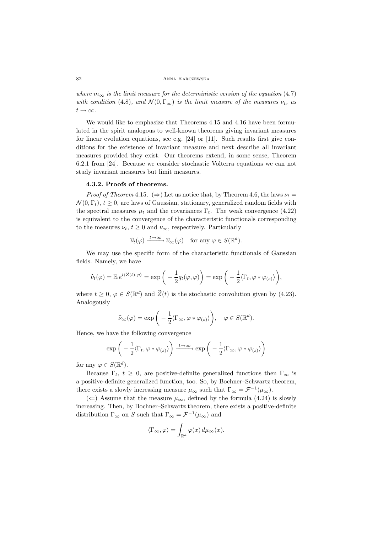*where*  $m_{\infty}$  *is the limit measure for the deterministic version of the equation* (4.7) *with condition* (4.8)*, and*  $\mathcal{N}(0, \Gamma_{\infty})$  *is the limit measure of the measures*  $\nu_t$ *, as*  $t \rightarrow \infty$ *.* 

We would like to emphasize that Theorems 4.15 and 4.16 have been formulated in the spirit analogous to well-known theorems giving invariant measures for linear evolution equations, see e.g. [24] or [11]. Such results first give conditions for the existence of invariant measure and next describe all invariant measures provided they exist. Our theorems extend, in some sense, Theorem 6.2.1 from [24]. Because we consider stochastic Volterra equations we can not study invariant measures but limit measures.

### **4.3.2. Proofs of theorems.**

*Proof of Theorem* 4.15*.* ( $\Rightarrow$ ) Let us notice that, by Theorem 4.6, the laws  $\nu_t =$  $\mathcal{N}(0,\Gamma_t), t \geq 0$ , are laws of Gaussian, stationary, generalized random fields with the spectral measures  $\mu_t$  and the covariances  $\Gamma_t$ . The weak convergence (4.22) is equivalent to the convergence of the characteristic functionals corresponding to the measures  $\nu_t$ ,  $t \geq 0$  and  $\nu_\infty$ , respectively. Particularly

$$
\widehat{\nu}_t(\varphi) \xrightarrow{t \to \infty} \widehat{\nu}_{\infty}(\varphi) \quad \text{for any } \varphi \in S(\mathbb{R}^d).
$$

We may use the specific form of the characteristic functionals of Gaussian fields. Namely, we have

$$
\widehat{\nu}_t(\varphi) = \mathbb{E} e^{i\langle \widetilde{Z}(t), \varphi \rangle} = \exp\bigg(-\frac{1}{2}q_t(\varphi, \varphi)\bigg) = \exp\bigg(-\frac{1}{2}\langle \Gamma_t, \varphi * \varphi_{(s)} \rangle \bigg),
$$

where  $t \geq 0$ ,  $\varphi \in S(\mathbb{R}^d)$  and  $\widetilde{Z}(t)$  is the stochastic convolution given by (4.23). Analogously

$$
\widehat{\nu}_{\infty}(\varphi) = \exp\bigg(-\frac{1}{2}\langle\Gamma_{\infty}, \varphi * \varphi_{(s)}\rangle\bigg), \quad \varphi \in S(\mathbb{R}^{d}).
$$

Hence, we have the following convergence

$$
\exp\bigg(-\frac{1}{2}\langle\Gamma_t,\varphi*\varphi_{(s)}\rangle\bigg)\xrightarrow{t\to\infty}\exp\bigg(-\frac{1}{2}\langle\Gamma_\infty,\varphi*\varphi_{(s)}\rangle\bigg)
$$

for any  $\varphi \in S(\mathbb{R}^d)$ .

Because  $\Gamma_t$ ,  $t \geq 0$ , are positive-definite generalized functions then  $\Gamma_\infty$  is a positive-definite generalized function, too. So, by Bochner–Schwartz theorem, there exists a slowly increasing measure  $\mu_{\infty}$  such that  $\Gamma_{\infty} = \mathcal{F}^{-1}(\mu_{\infty})$ .

(*⇐*) Assume that the measure *<sup>µ</sup>∞*, defined by the formula (4.24) is slowly increasing. Then, by Bochner–Schwartz theorem, there exists a positive-definite distribution  $\Gamma_{\infty}$  on *S* such that  $\Gamma_{\infty} = \mathcal{F}^{-1}(\mu_{\infty})$  and

$$
\langle \Gamma_{\infty}, \varphi \rangle = \int_{\mathbb{R}^d} \varphi(x) \, d\mu_{\infty}(x).
$$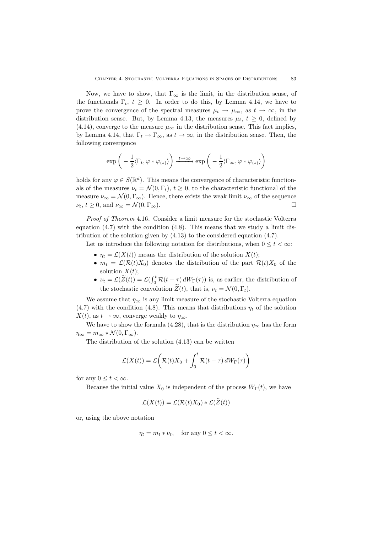Now, we have to show, that  $\Gamma_\infty$  is the limit, in the distribution sense, of the functionals  $\Gamma_t$ ,  $t \geq 0$ . In order to do this, by Lemma 4.14, we have to prove the convergence of the spectral measures  $\mu_t \to \mu_\infty$ , as  $t \to \infty$ , in the distribution sense. But, by Lemma 4.13, the measures  $\mu_t$ ,  $t \geq 0$ , defined by (4.14), converge to the measure  $\mu_{\infty}$  in the distribution sense. This fact implies, by Lemma 4.14, that  $\Gamma_t \to \Gamma_\infty$ , as  $t \to \infty$ , in the distribution sense. Then, the following convergence

$$
\exp\bigg(-\frac{1}{2}\langle\Gamma_t,\varphi*\varphi_{(s)}\rangle\bigg)\xrightarrow{t\to\infty}\exp\bigg(-\frac{1}{2}\langle\Gamma_\infty,\varphi*\varphi_{(s)}\rangle\bigg)
$$

holds for any  $\varphi \in S(\mathbb{R}^d)$ . This means the convergence of characteristic functionals of the measures  $\nu_t = \mathcal{N}(0, \Gamma_t), t \geq 0$ , to the characteristic functional of the measure  $\nu_{\infty} = \mathcal{N}(0, \Gamma_{\infty})$ . Hence, there exists the weak limit  $\nu_{\infty}$  of the sequence  $\nu_t, t \geq 0$ , and  $\nu_\infty = \mathcal{N}(0, \Gamma_\infty)$ .

*Proof of Theorem* 4.16*.* Consider a limit measure for the stochastic Volterra equation  $(4.7)$  with the condition  $(4.8)$ . This means that we study a limit distribution of the solution given by (4.13) to the considered equation (4.7).

Let us introduce the following notation for distributions, when  $0 \leq t < \infty$ :

- $\eta_t = \mathcal{L}(X(t))$  means the distribution of the solution  $X(t)$ ;
- $m_t = \mathcal{L}(\mathcal{R}(t)X_0)$  denotes the distribution of the part  $\mathcal{R}(t)X_0$  of the solution  $X(t)$ ;
- $\nu_t = \mathcal{L}(\widetilde{Z}(t)) = \mathcal{L}(\int_0^t \mathcal{R}(t-\tau) dW_{\Gamma}(\tau))$  is, as earlier, the distribution of the stochastic convolution  $\widetilde{Z}(t)$ , that is,  $\nu_t = \mathcal{N}(0, \Gamma_t)$ .

We assume that  $\eta_{\infty}$  is any limit measure of the stochastic Volterra equation (4.7) with the condition (4.8). This means that distributions  $\eta_t$  of the solution  $X(t)$ , as  $t \to \infty$ , converge weakly to  $\eta_{\infty}$ .

We have to show the formula (4.28), that is the distribution  $\eta_{\infty}$  has the form  $\eta_{\infty} = m_{\infty} * \mathcal{N}(0, \Gamma_{\infty}).$ 

The distribution of the solution (4.13) can be written

$$
\mathcal{L}(X(t)) = \mathcal{L}\left(\mathcal{R}(t)X_0 + \int_0^t \mathcal{R}(t-\tau) dW_{\Gamma}(\tau)\right)
$$

for any  $0 \leq t < \infty$ .

Because the initial value  $X_0$  is independent of the process  $W_{\Gamma}(t)$ , we have

$$
\mathcal{L}(X(t)) = \mathcal{L}(\mathcal{R}(t)X_0) * \mathcal{L}(\widetilde{Z}(t))
$$

or, using the above notation

$$
\eta_t = m_t * \nu_t, \quad \text{for any } 0 \le t < \infty.
$$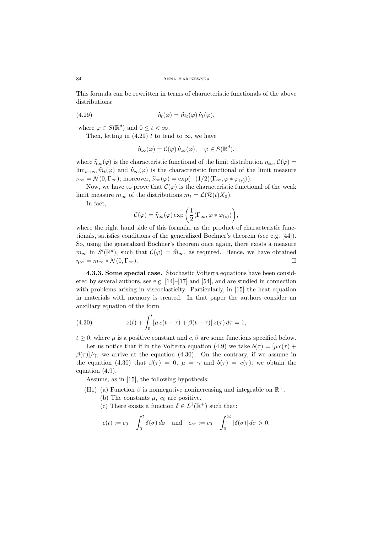This formula can be rewritten in terms of characteristic functionals of the above distributions:

(4.29) 
$$
\widehat{\eta}_t(\varphi) = \widehat{m}_t(\varphi) \,\widehat{\nu}_t(\varphi),
$$

where  $\varphi \in S(\mathbb{R}^d)$  and  $0 \le t < \infty$ .

Then, letting in (4.29) *t* to tend to  $\infty$ , we have

$$
\widehat{\eta}_{\infty}(\varphi) = \mathcal{C}(\varphi)\,\widehat{\nu}_{\infty}(\varphi), \quad \varphi \in S(\mathbb{R}^d),
$$

where  $\hat{\eta}_{\infty}(\varphi)$  is the characteristic functional of the limit distribution  $\eta_{\infty}$ ,  $\mathcal{C}(\varphi)$  =  $\lim_{t\to\infty} \hat{m}_t(\varphi)$  and  $\hat{\nu}_\infty(\varphi)$  is the characteristic functional of the limit measure  $\nu_{\infty} = \mathcal{N}(0, \Gamma_{\infty})$ ; moreover,  $\hat{\nu}_{\infty}(\varphi) = \exp(-(1/2)(\Gamma_{\infty}, \varphi * \varphi_{(s)})).$ 

Now, we have to prove that  $\mathcal{C}(\varphi)$  is the characteristic functional of the weak limit measure  $m_{\infty}$  of the distributions  $m_t = \mathcal{L}(\mathcal{R}(t)X_0)$ .

In fact,

$$
\mathcal{C}(\varphi) = \widehat{\eta}_{\infty}(\varphi) \exp\bigg(\frac{1}{2} \langle \Gamma_{\infty}, \varphi * \varphi_{(s)} \rangle \bigg),\,
$$

where the right hand side of this formula, as the product of characteristic functionals, satisfies conditions of the generalized Bochner's theorem (see e.g. [44]). So, using the generalized Bochner's theorem once again, there exists a measure  $m_{\infty}$  in  $S'(\mathbb{R}^d)$ , such that  $\mathcal{C}(\varphi) = \hat{m}_{\infty}$ , as required. Hence, we have obtained  $\eta_{\infty} = m_{\infty} * \mathcal{N}(0, \Gamma_{\infty}).$ 

**4.3.3. Some special case.** Stochastic Volterra equations have been considered by several authors, see e.g. [14]–[17] and [54], and are studied in connection with problems arising in viscoelasticity. Particularly, in [15] the heat equation in materials with memory is treated. In that paper the authors consider an auxiliary equation of the form

(4.30) 
$$
z(t) + \int_0^t [\mu c(t-\tau) + \beta(t-\tau)] z(\tau) d\tau = 1,
$$

 $t \geq 0$ , where  $\mu$  is a positive constant and *c*,  $\beta$  are some functions specified below.

Let us notice that if in the Volterra equation (4.9) we take  $b(\tau)=[\mu c(\tau)+\sigma]$  $\beta(\tau)/\gamma$ , we arrive at the equation (4.30). On the contrary, if we assume in the equation (4.30) that  $\beta(\tau) = 0$ ,  $\mu = \gamma$  and  $b(\tau) = c(\tau)$ , we obtain the equation (4.9).

Assume, as in [15], the following hypothesis:

- (H1) (a) Function  $\beta$  is nonnegative nonincreasing and integrable on  $\mathbb{R}^+$ .
	- (b) The constants  $\mu$ ,  $c_0$  are positive.
	- (c) There exists a function  $\delta \in L^1(\mathbb{R}^+)$  such that:

$$
c(t) := c_0 - \int_0^t \delta(\sigma) d\sigma \quad \text{and} \quad c_\infty := c_0 - \int_0^\infty |\delta(\sigma)| d\sigma > 0.
$$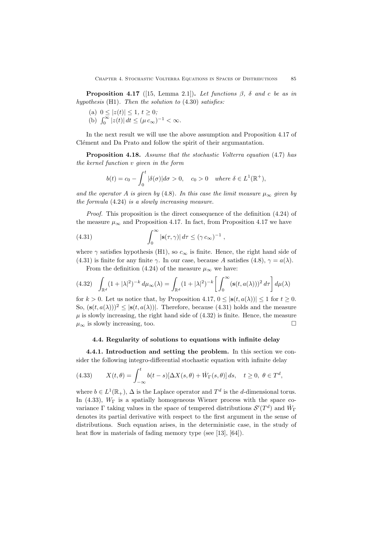**Proposition 4.17** ([15, Lemma 2.1]). Let functions  $\beta$ ,  $\delta$  and  $c$  be as in *hypothesis* (H1)*. Then the solution to* (4.30) *satisfies:*

(a) 
$$
0 \le |z(t)| \le 1, t \ge 0;
$$

(b)  $\int_0^\infty |z(t)| dt \le (\mu c_\infty)^{-1} < \infty$ .

In the next result we will use the above assumption and Proposition 4.17 of Clément and Da Prato and follow the spirit of their argumantation.

**Proposition 4.18.** *Assume that the stochastic Volterra equation* (4.7) *has the kernel function v given in the form*

$$
b(t) = c_0 - \int_0^t |\delta(\sigma)| d\sigma > 0, \quad c_0 > 0 \quad \text{where } \delta \in L^1(\mathbb{R}^+),
$$

*and the operator A is given by* (4.8)*. In this case the limit measure*  $\mu_{\infty}$  *given by the formula* (4.24) *is a slowly increasing measure.*

*Proof.* This proposition is the direct consequence of the definition (4.24) of the measure  $\mu_{\infty}$  and Proposition 4.17. In fact, from Proposition 4.17 we have

(4.31) 
$$
\int_0^\infty |\mathbf{s}(\tau,\gamma)| d\tau \le (\gamma c_\infty)^{-1},
$$

where  $\gamma$  satisfies hypothesis (H1), so  $c_{\infty}$  is finite. Hence, the right hand side of (4.31) is finite for any finite *γ*. In our case, because *A* satisfies (4.8),  $\gamma = a(\lambda)$ .

From the definition (4.24) of the measure  $\mu_{\infty}$  we have:

$$
(4.32)\quad \int_{\mathbb{R}^d} (1+|\lambda|^2)^{-k} d\mu_{\infty}(\lambda) = \int_{\mathbb{R}^d} (1+|\lambda|^2)^{-k} \left[ \int_0^{\infty} (\mathbf{s}(t, a(\lambda)))^2 d\tau \right] d\mu(\lambda)
$$

for  $k > 0$ . Let us notice that, by Proposition 4.17,  $0 \leq |\mathbf{s}(t, a(\lambda))| \leq 1$  for  $t \geq 0$ . So,  $(\mathbf{s}(t, a(\lambda)))^2 \leq |\mathbf{s}(t, a(\lambda))|$ . Therefore, because (4.31) holds and the measure  $\mu$  is slowly increasing, the right hand side of  $(4.32)$  is finite. Hence, the measure  $\mu_{\infty}$  is slowly increasing, too.

## **4.4. Regularity of solutions to equations with infinite delay**

**4.4.1. Introduction and setting the problem.** In this section we consider the following integro-differential stochastic equation with infinite delay

(4.33) 
$$
X(t,\theta) = \int_{-\infty}^{t} b(t-s)[\Delta X(s,\theta) + \dot{W}_{\Gamma}(s,\theta)] ds, \quad t \ge 0, \ \theta \in T^d,
$$

where  $b \in L^1(\mathbb{R}_+)$ ,  $\Delta$  is the Laplace operator and  $T^d$  is the *d*-dimensional torus. In (4.33),  $W_{\Gamma}$  is a spatially homogeneous Wiener process with the space covariance  $\Gamma$  taking values in the space of tempered distributions  $\mathcal{S}'(T^d)$  and  $\dot{W}_{\Gamma}$ denotes its partial derivative with respect to the first argument in the sense of distributions. Such equation arises, in the deterministic case, in the study of heat flow in materials of fading memory type (see [13], [64]).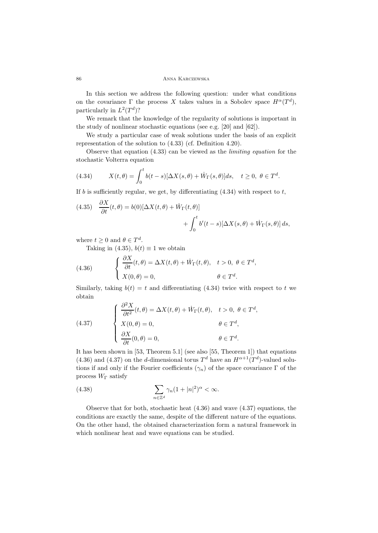In this section we address the following question: under what conditions on the covariance  $\Gamma$  the process *X* takes values in a Sobolev space  $H^{\alpha}(T^d)$ , particularly in  $L^2(T^d)$ ?

We remark that the knowledge of the regularity of solutions is important in the study of nonlinear stochastic equations (see e.g. [20] and [62]).

We study a particular case of weak solutions under the basis of an explicit representation of the solution to (4.33) (cf. Definition 4.20).

Observe that equation (4.33) can be viewed as the *limiting equation* for the stochastic Volterra equation

(4.34) 
$$
X(t,\theta) = \int_0^t b(t-s)[\Delta X(s,\theta) + \dot{W}_{\Gamma}(s,\theta)]ds, \quad t \ge 0, \ \theta \in T^d.
$$

If  $b$  is sufficiently regular, we get, by differentiating  $(4.34)$  with respect to  $t$ ,

(4.35) 
$$
\frac{\partial X}{\partial t}(t, \theta) = b(0)[\Delta X(t, \theta) + \dot{W}_{\Gamma}(t, \theta)] + \int_0^t b'(t - s)[\Delta X(s, \theta) + \dot{W}_{\Gamma}(s, \theta)] ds,
$$

where  $t \geq 0$  and  $\theta \in T^d$ .

Taking in (4.35),  $b(t) \equiv 1$  we obtain

(4.36) 
$$
\begin{cases} \frac{\partial X}{\partial t}(t,\theta) = \Delta X(t,\theta) + \dot{W}_{\Gamma}(t,\theta), & t > 0, \ \theta \in T^d, \\ X(0,\theta) = 0, & \theta \in T^d. \end{cases}
$$

Similarly, taking  $b(t) = t$  and differentiating (4.34) twice with respect to *t* we obtain

(4.37) 
$$
\begin{cases} \frac{\partial^2 X}{\partial t^2}(t,\theta) = \Delta X(t,\theta) + \dot{W}_{\Gamma}(t,\theta), & t > 0, \ \theta \in T^d, \\ X(0,\theta) = 0, & \theta \in T^d, \\ \frac{\partial X}{\partial t}(0,\theta) = 0, & \theta \in T^d. \end{cases}
$$

It has been shown in [53, Theorem 5.1] (see also [55, Theorem 1]) that equations (4.36) and (4.37) on the *d*-dimensional torus  $T<sup>d</sup>$  have an  $H<sup>\alpha+1</sup>(T<sup>d</sup>)$ -valued solutions if and only if the Fourier coefficients  $(\gamma_n)$  of the space covariance  $\Gamma$  of the process *W*<sup>Γ</sup> satisfy

(4.38) 
$$
\sum_{n\in\mathbb{Z}^d} \gamma_n (1+|n|^2)^{\alpha} < \infty.
$$

Observe that for both, stochastic heat (4.36) and wave (4.37) equations, the conditions are exactly the same, despite of the different nature of the equations. On the other hand, the obtained characterization form a natural framework in which nonlinear heat and wave equations can be studied.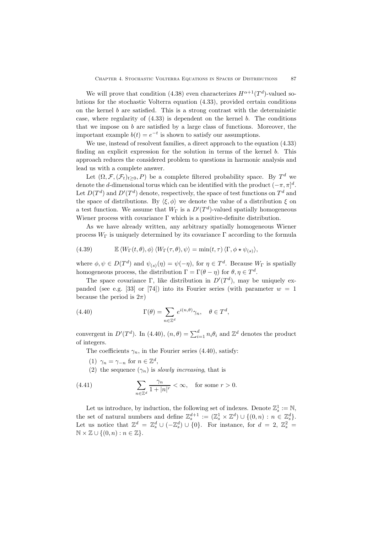We will prove that condition (4.38) even characterizes  $H^{\alpha+1}(T^d)$ -valued solutions for the stochastic Volterra equation (4.33), provided certain conditions on the kernel *b* are satisfied. This is a strong contrast with the deterministic case, where regularity of (4.33) is dependent on the kernel *b*. The conditions that we impose on *b* are satisfied by a large class of functions. Moreover, the important example  $b(t) = e^{-t}$  is shown to satisfy our assumptions.

We use, instead of resolvent families, a direct approach to the equation (4.33) finding an explicit expression for the solution in terms of the kernel *b*. This approach reduces the considered problem to questions in harmonic analysis and lead us with a complete answer.

Let  $(\Omega, \mathcal{F}, (\mathcal{F}_t)_{t>0}, P)$  be a complete filtered probability space. By  $T^d$  we denote the *d*-dimensional torus which can be identified with the product  $(-\pi, \pi]^d$ . Let  $D(T^d)$  and  $D'(T^d)$  denote, respectively, the space of test functions on  $T^d$  and the space of distributions. By  $\langle \xi, \phi \rangle$  we denote the value of a distribution  $\xi$  on a test function. We assume that  $W_{\Gamma}$  is a  $D'(T^d)$ -valued spatially homogeneous Wiener process with covariance  $\Gamma$  which is a positive-definite distribution.

As we have already written, any arbitrary spatially homogeneous Wiener process  $W_{\Gamma}$  is uniquely determined by its covariance  $\Gamma$  according to the formula

(4.39) 
$$
\mathbb{E} \langle W_{\Gamma}(t,\theta), \phi \rangle \langle W_{\Gamma}(\tau,\theta), \psi \rangle = \min(t,\tau) \langle \Gamma, \phi \star \psi_{(s)} \rangle,
$$

where  $\phi, \psi \in D(T^d)$  and  $\psi_{(s)}(\eta) = \psi(-\eta)$ , for  $\eta \in T^d$ . Because  $W_{\Gamma}$  is spatially homogeneous process, the distribution  $\Gamma = \Gamma(\theta - \eta)$  for  $\theta, \eta \in T^d$ .

The space covariance Γ, like distribution in  $D'(T^d)$ , may be uniquely expanded (see e.g. [33] or [74]) into its Fourier series (with parameter  $w = 1$ because the period is  $2\pi$ )

(4.40) 
$$
\Gamma(\theta) = \sum_{n \in \mathbb{Z}^d} e^{i(n,\theta)} \gamma_n, \quad \theta \in T^d,
$$

convergent in  $D'(T^d)$ . In (4.40),  $(n, \theta) = \sum_{i=1}^d n_i \theta_i$  and  $\mathbb{Z}^d$  denotes the product of integers.

The coefficients  $\gamma_n$ , in the Fourier series (4.40), satisfy:

(1)  $\gamma_n = \gamma_{-n}$  for  $n \in \mathbb{Z}^d$ ,

(2) the sequence  $(\gamma_n)$  is *slowly increasing*, that is

(4.41) 
$$
\sum_{n \in \mathbb{Z}^d} \frac{\gamma_n}{1+|n|^r} < \infty, \quad \text{for some } r > 0.
$$

Let us introduce, by induction, the following set of indexes. Denote  $\mathbb{Z}_s^1 := \mathbb{N}$ , the set of natural numbers and define  $\mathbb{Z}_s^{d+1} := (\mathbb{Z}_s^1 \times \mathbb{Z}^d) \cup \{(0, n) : n \in \mathbb{Z}_s^d\}.$ <br>Let us notice that  $\mathbb{Z}^d = \mathbb{Z}_s^d \cup (-\mathbb{Z}_s^d) \cup \{0\}.$  For instance, for  $d = 2, \mathbb{Z}_s^2 =$ <sup>N</sup> *<sup>×</sup>* <sup>Z</sup> *∪ {*(0*, n*) : *<sup>n</sup> <sup>∈</sup>* <sup>Z</sup>*}*.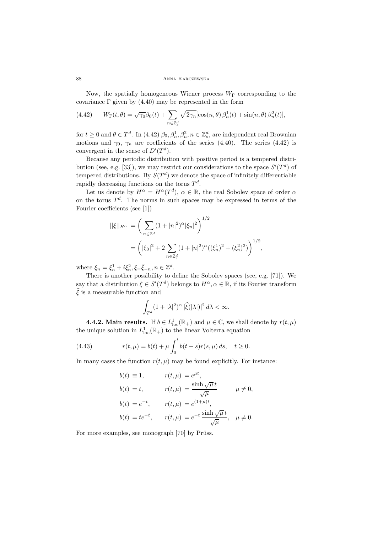Now, the spatially homogeneous Wiener process  $W<sub>Γ</sub>$  corresponding to the covariance  $\Gamma$  given by (4.40) may be represented in the form

(4.42) 
$$
W_{\Gamma}(t,\theta) = \sqrt{\gamma_0} \beta_0(t) + \sum_{n \in \mathbb{Z}_s^d} \sqrt{2\gamma_n} [\cos(n,\theta) \beta_n^1(t) + \sin(n,\theta) \beta_n^2(t)],
$$

for  $t \geq 0$  and  $\theta \in T^d$ . In (4.42)  $\beta_0, \beta_n^1, \beta_n^2, n \in \mathbb{Z}_s^d$ , are independent real Brownian motions and  $\gamma_0$ ,  $\gamma_n$  are coefficients of the series (4.40). The series (4.42) is convergent in the sense of  $D'(T^d)$ .

Because any periodic distribution with positive period is a tempered distribution (see, e.g. [33]), we may restrict our considerations to the space  $S'(T^d)$  of tempered distributions. By  $S(T^d)$  we denote the space of infinitely differentiable rapidly decreasing functions on the torus  $T^d$ .

Let us denote by  $H^{\alpha} = H^{\alpha}(T^d)$ ,  $\alpha \in \mathbb{R}$ , the real Sobolev space of order  $\alpha$ on the torus  $T<sup>d</sup>$ . The norms in such spaces may be expressed in terms of the Fourier coefficients (see [1])

$$
||\xi||_{H^{\alpha}} = \left(\sum_{n \in \mathbb{Z}^d} (1+|n|^2)^{\alpha} |\xi_n|^2\right)^{1/2}
$$
  
=  $\left(|\xi_0|^2 + 2 \sum_{n \in \mathbb{Z}_s^d} (1+|n|^2)^{\alpha} ((\xi_n^1)^2 + (\xi_n^2)^2)\right)^{1/2},$ 

where  $\xi_n = \xi_n^1 + i\xi_n^2, \xi = \bar{\xi}_{-n}, n \in \mathbb{Z}^d$ .

There is another possibility to define the Sobolev spaces (see, e.g. [71]). We say that a distribution  $\xi \in S'(T^d)$  belongs to  $H^{\alpha}, \alpha \in \mathbb{R}$ , if its Fourier transform  $\hat{\xi}$  is a measurable function and

$$
\int_{T^d} (1+|\lambda|^2)^\alpha |\widehat{\xi}(|\lambda|)|^2 d\lambda < \infty.
$$

**4.4.2. Main results.** If  $b \in L^1_{loc}(\mathbb{R}_+)$  and  $\mu \in \mathbb{C}$ , we shall denote by  $r(t, \mu)$ the unique solution in  $L^1_{loc}(\mathbb{R}_+)$  to the linear Volterra equation

(4.43) 
$$
r(t,\mu) = b(t) + \mu \int_0^t b(t-s)r(s,\mu) ds, \quad t \ge 0.
$$

In many cases the function  $r(t, \mu)$  may be found explicitly. For instance:

$$
b(t) \equiv 1, \qquad r(t,\mu) = e^{\mu t},
$$
  
\n
$$
b(t) = t, \qquad r(t,\mu) = \frac{\sinh \sqrt{\mu} t}{\sqrt{\mu}} \qquad \mu \neq 0,
$$
  
\n
$$
b(t) = e^{-t}, \qquad r(t,\mu) = e^{(1+\mu)t},
$$
  
\n
$$
b(t) = te^{-t}, \qquad r(t,\mu) = e^{-t} \frac{\sinh \sqrt{\mu} t}{\sqrt{\mu}}, \quad \mu \neq 0.
$$

For more examples, see monograph  $[70]$  by Prüss.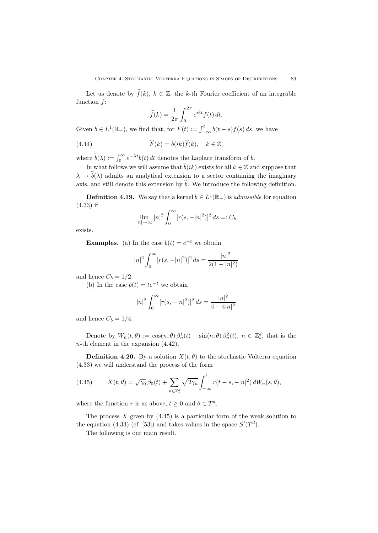Let us denote by  $\widehat{f}(k)$ ,  $k \in \mathbb{Z}$ , the *k*-th Fourier coefficient of an integrable function *f*:

$$
\widehat{f}(k) = \frac{1}{2\pi} \int_0^{2\pi} e^{ikt} f(t) dt.
$$

Given  $b \in L^1(\mathbb{R}_+)$ , we find that, for  $F(t) := \int_{-\infty}^t b(t-s)f(s) ds$ , we have

(4.44) 
$$
\widehat{F}(k) = \widetilde{b}(ik)\widehat{f}(k), \quad k \in \mathbb{Z},
$$

where  $\tilde{b}(\lambda) := \int_0^\infty e^{-\lambda t} b(t) dt$  denotes the Laplace transform of *b*.

In what follows we will assume that  $\tilde{b}(ik)$  exists for all  $k \in \mathbb{Z}$  and suppose that  $\lambda \to \tilde{b}(\lambda)$  admits an analytical extension to a sector containing the imaginary axis, and still denote this extension by  $\tilde{b}$ . We introduce the following definition.

**Definition 4.19.** We say that a kernel  $b \in L^1(\mathbb{R}_+)$  is *admissible* for equation (4.33) if

$$
\lim_{|n| \to \infty} |n|^2 \int_0^\infty [r(s, -|n|^2)]^2 ds =: C_b
$$

exists.

**Examples.** (a) In the case  $b(t) = e^{-t}$  we obtain

$$
|n|^2 \int_0^\infty [r(s, -|n|^2)]^2 ds = \frac{-|n|^2}{2(1 - |n|^2)}
$$

and hence  $C_b = 1/2$ .

(b) In the case  $b(t) = te^{-t}$  we obtain

$$
|n|^2 \int_0^\infty [r(s, -|n|^2)]^2 ds = \frac{|n|^2}{4 + 4|n|^2}
$$

and hence  $C_b = 1/4$ .

Denote by  $W_n(t, \theta) := \cos(n, \theta) \beta_n^1(t) + \sin(n, \theta) \beta_n^2(t)$ ,  $n \in \mathbb{Z}_s^d$ , that is the *n*-th element in the expansion (4.42).

**Definition 4.20.** By a solution  $X(t, \theta)$  to the stochastic Volterra equation (4.33) we will understand the process of the form

(4.45) 
$$
X(t,\theta) = \sqrt{\gamma_0} \,\beta_0(t) + \sum_{n \in \mathbb{Z}_s^d} \sqrt{2\gamma_n} \int_{-\infty}^t r(t-s,-|n|^2) \, dW_n(s,\theta),
$$

where the function *r* is as above,  $t \geq 0$  and  $\theta \in T^d$ .

The process  $X$  given by  $(4.45)$  is a particular form of the weak solution to the equation (4.33) (cf. [53]) and takes values in the space  $S'(T^d)$ .

The following is our main result.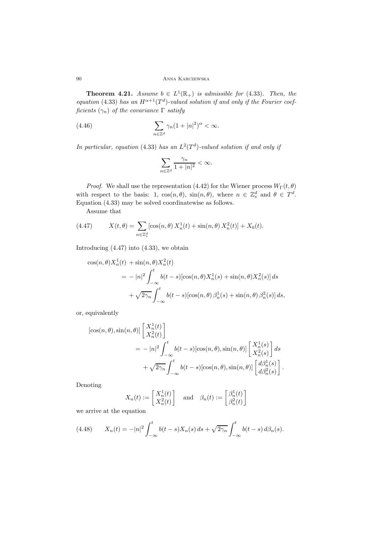**Theorem 4.21.** *Assume*  $b \in L^1(\mathbb{R}_+)$  *is admissible for* (4.33)*. Then, the equation* (4.33) *has an*  $H^{\alpha+1}(T^d)$ *-valued solution if and only if the Fourier coefficients*  $(\gamma_n)$  *of the covariance*  $\Gamma$  *satisfy* 

(4.46) 
$$
\sum_{n\in\mathbb{Z}^d} \gamma_n (1+|n|^2)^\alpha < \infty.
$$

*In particular, equation* (4.33) *has an*  $L^2(T^d)$ *-valued solution if and only if* 

$$
\sum_{n\in\mathbb{Z}^d}\frac{\gamma_n}{1+|n|^2}<\infty.
$$

*Proof.* We shall use the representation (4.42) for the Wiener process  $W_{\Gamma}(t, \theta)$ with respect to the basis: 1,  $\cos(n, \theta)$ ,  $\sin(n, \theta)$ , where  $n \in \mathbb{Z}_s^d$  and  $\theta \in T^d$ . Equation (4.33) may be solved coordinatewise as follows.

Assume that

(4.47) 
$$
X(t,\theta) = \sum_{n \in \mathbb{Z}_s^d} [\cos(n,\theta) X_n^1(t) + \sin(n,\theta) X_n^2(t)] + X_0(t).
$$

Introducing (4.47) into (4.33), we obtain

$$
\cos(n, \theta) X_n^1(t) + \sin(n, \theta) X_n^2(t)
$$
  
=  $- |n|^2 \int_{-\infty}^t b(t-s) [\cos(n, \theta) X_n^1(s) + \sin(n, \theta) X_n^2(s)] ds$   
 $+ \sqrt{2\gamma_n} \int_{-\infty}^t b(t-s) [\cos(n, \theta) \beta_n^1(s) + \sin(n, \theta) \beta_n^2(s)] ds$ ,

or, equivalently

$$
\begin{aligned} \left[\cos(n,\theta),\sin(n,\theta)\right] \begin{bmatrix} X_n^1(t) \\ X_n^2(t) \end{bmatrix} \\ &= -|n|^2 \int_{-\infty}^t b(t-s) [\cos(n,\theta),\sin(n,\theta)] \begin{bmatrix} X_n^1(s) \\ X_n^2(s) \end{bmatrix} ds \\ &+ \sqrt{2\gamma_n} \int_{-\infty}^t b(t-s) [\cos(n,\theta),\sin(n,\theta)] \begin{bmatrix} d\beta_n^1(s) \\ d\beta_n^2(s) \end{bmatrix} . \end{aligned}
$$

Denoting

$$
X_n(t) := \begin{bmatrix} X_n^1(t) \\ X_n^2(t) \end{bmatrix} \quad \text{and} \quad \beta_n(t) := \begin{bmatrix} \beta_n^1(t) \\ \beta_n^2(t) \end{bmatrix}
$$

we arrive at the equation

(4.48) 
$$
X_n(t) = -|n|^2 \int_{-\infty}^t b(t-s)X_n(s) ds + \sqrt{2\gamma_n} \int_{-\infty}^t b(t-s) d\beta_n(s).
$$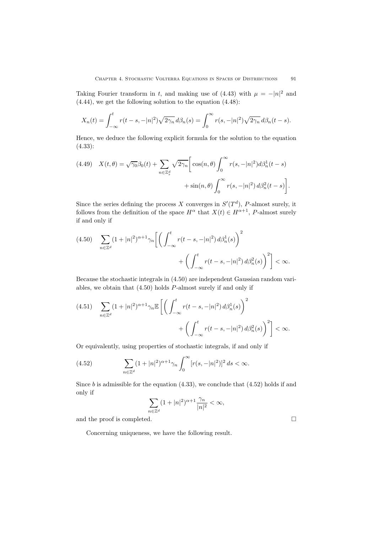Taking Fourier transform in *t*, and making use of (4.43) with  $\mu = -|n|^2$  and (4.44), we get the following solution to the equation (4.48):

$$
X_n(t) = \int_{-\infty}^t r(t - s, -|n|^2) \sqrt{2\gamma_n} d\beta_n(s) = \int_0^{\infty} r(s, -|n|^2) \sqrt{2\gamma_n} d\beta_n(t - s).
$$

Hence, we deduce the following explicit formula for the solution to the equation (4.33):

(4.49) 
$$
X(t,\theta) = \sqrt{\gamma_0} \beta_0(t) + \sum_{n \in \mathbb{Z}_s^d} \sqrt{2\gamma_n} \left[ \cos(n,\theta) \int_0^\infty r(s,-|n|^2) d\beta_n^1(t-s) + \sin(n,\theta) \int_0^\infty r(s,-|n|^2) d\beta_n^2(t-s) \right].
$$

Since the series defining the process *X* converges in  $S'(T^d)$ , *P*-almost surely, it follows from the definition of the space  $H^{\alpha}$  that  $X(t) \in H^{\alpha+1}$ , *P*-almost surely if and only if

$$
(4.50) \quad \sum_{n \in \mathbb{Z}^d} (1+|n|^2)^{\alpha+1} \gamma_n \bigg[ \bigg( \int_{-\infty}^t r(t-s,-|n|^2) \, d\beta_n^1(s) \bigg)^2 + \bigg( \int_{-\infty}^t r(t-s,-|n|^2) \, d\beta_n^2(s) \bigg)^2 \bigg] < \infty.
$$

Because the stochastic integrals in (4.50) are independent Gaussian random variables, we obtain that (4.50) holds *P*-almost surely if and only if

$$
(4.51) \quad \sum_{n \in \mathbb{Z}^d} (1+|n|^2)^{\alpha+1} \gamma_n \mathbb{E}\left[ \left( \int_{-\infty}^t r(t-s,-|n|^2) \, d\beta_n^1(s) \right)^2 + \left( \int_{-\infty}^t r(t-s,-|n|^2) \, d\beta_n^2(s) \right)^2 \right] < \infty.
$$

Or equivalently, using properties of stochastic integrals, if and only if

(4.52) 
$$
\sum_{n \in \mathbb{Z}^d} (1+|n|^2)^{\alpha+1} \gamma_n \int_0^\infty [r(s,-|n|^2)]^2 ds < \infty.
$$

Since *b* is admissible for the equation  $(4.33)$ , we conclude that  $(4.52)$  holds if and only if

$$
\sum_{n\in\mathbb{Z}^d} (1+|n|^2)^{\alpha+1} \frac{\gamma_n}{|n|^2} < \infty,
$$

and the proof is completed.  $\Box$ 

Concerning uniqueness, we have the following result.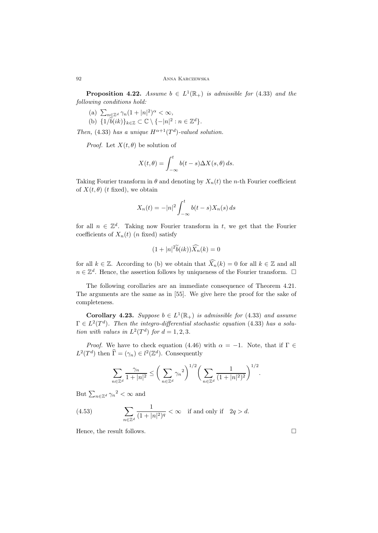**Proposition 4.22.** *Assume*  $b \in L^1(\mathbb{R}_+)$  *is admissible for* (4.33) *and the following conditions hold:*

- $\sum_{n\in\mathbb{Z}^d} \gamma_n (1+|n|^2)^\alpha < \infty,$
- (b)  $\{1/\widetilde{b}(ik)\}_{k\in\mathbb{Z}} \subset \mathbb{C} \setminus \{-|n|^2 : n \in \mathbb{Z}^d\}.$

*Then,* (4.33) *has a unique*  $H^{\alpha+1}(T^d)$ *-valued solution.* 

*Proof.* Let  $X(t, \theta)$  be solution of

$$
X(t,\theta) = \int_{-\infty}^{t} b(t-s)\Delta X(s,\theta) ds.
$$

Taking Fourier transform in  $\theta$  and denoting by  $X_n(t)$  the *n*-th Fourier coefficient of  $X(t, \theta)$  (*t* fixed), we obtain

$$
X_n(t) = -|n|^2 \int_{-\infty}^t b(t-s)X_n(s) ds
$$

for all  $n \in \mathbb{Z}^d$ . Taking now Fourier transform in *t*, we get that the Fourier coefficients of  $X_n(t)$  (*n* fixed) satisfy

$$
(1+|n|^2\widetilde{b}(ik))\widehat{X}_n(k)=0
$$

for all  $k \in \mathbb{Z}$ . According to (b) we obtain that  $\widehat{X}_n(k) = 0$  for all  $k \in \mathbb{Z}$  and all *n* ∈  $\mathbb{Z}^d$ . Hence, the assertion follows by uniqueness of the Fourier transform.  $\Box$ 

The following corollaries are an immediate consequence of Theorem 4.21. The arguments are the same as in [55]. We give here the proof for the sake of completeness.

**Corollary 4.23.** *Suppose*  $b \in L^1(\mathbb{R}_+)$  *is admissible for* (4.33) *and assume*  $\Gamma \in L^2(T^d)$ . Then the integro-differential stochastic equation (4.33) has a solu*tion with values in*  $L^2(T^d)$  *for*  $d = 1, 2, 3$ *.* 

*Proof.* We have to check equation (4.46) with  $\alpha = -1$ . Note, that if  $\Gamma \in$  $L^2(T^d)$  then  $\widehat{\Gamma} = (\gamma_n) \in l^2(\mathbb{Z}^d)$ . Consequently

$$
\sum_{n \in \mathbb{Z}^d} \frac{\gamma_n}{1+|n|^2} \le \bigg(\sum_{n \in \mathbb{Z}^d} \gamma_n^2\bigg)^{1/2} \bigg(\sum_{n \in \mathbb{Z}^d} \frac{1}{(1+|n|^2)^2}\bigg)^{1/2}.
$$

But  $\sum_{n \in \mathbb{Z}^d} \gamma_n^2 < \infty$  and

(4.53) 
$$
\sum_{n\in\mathbb{Z}^d} \frac{1}{(1+|n|^2)^q} < \infty \quad \text{if and only if} \quad 2q > d.
$$

Hence, the result follows.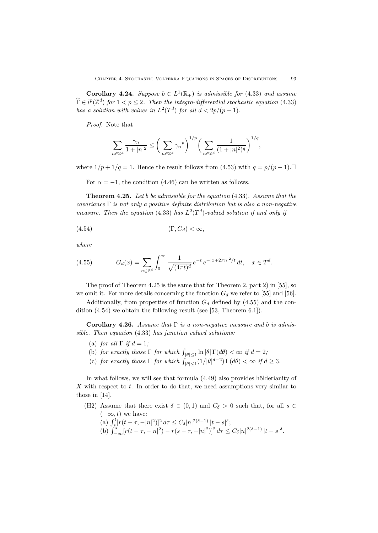**Corollary 4.24.** *Suppose*  $b \in L^1(\mathbb{R}_+)$  *is admissible for* (4.33) *and assume*  $\widehat{\Gamma} \in l^p(\mathbb{Z}^d)$  for  $1 < p \leq 2$ . Then the integro-differential stochastic equation (4.33) *has a solution with values in*  $L^2(T^d)$  *for all*  $d < 2p/(p-1)$ *.* 

*Proof.* Note that

$$
\sum_{n\in\mathbb{Z}^d}\frac{\gamma_n}{1+|n|^2}\leq\bigg(\sum_{n\in\mathbb{Z}^d}\gamma_n{}^p\bigg)^{1/p}\bigg(\sum_{n\in\mathbb{Z}^d}\frac{1}{(1+|n|^2)^q}\bigg)^{1/q},
$$

where  $1/p + 1/q = 1$ . Hence the result follows from (4.53) with  $q = p/(p-1)$ .

For  $\alpha = -1$ , the condition (4.46) can be written as follows.

**Theorem 4.25.** *Let b be admissible for the equation* (4.33)*. Assume that the covariance* Γ *is not only a positive definite distribution but is also a non-negative measure. Then the equation* (4.33) *has*  $L^2(T^d)$ *-valued solution if and only if* 

$$
(4.54) \t\t (\Gamma, G_d) < \infty,
$$

*where*

(4.55) 
$$
G_d(x) = \sum_{n \in \mathbb{Z}^d} \int_0^\infty \frac{1}{\sqrt{(4\pi t)^d}} e^{-t} e^{-|x + 2\pi n|^2/t} dt, \quad x \in T^d.
$$

The proof of Theorem 4.25 is the same that for Theorem 2, part 2) in [55], so we omit it. For more details concerning the function  $G_d$  we refer to [55] and [56].

Additionally, from properties of function  $G_d$  defined by  $(4.55)$  and the condition (4.54) we obtain the following result (see [53, Theorem 6.1]).

**Corollary 4.26.** *Assume that* Γ *is a non-negative measure and b is admissible. Then equation* (4.33) *has function valued solutions:*

- (a) *for all*  $\Gamma$  *if*  $d = 1$ *;*
- (b) *for exactly those*  $\Gamma$  *for which*  $\int_{|\theta| \le 1} \ln |\theta| \Gamma(d\theta) < \infty$  *if*  $d = 2$ ;
- (c) *for exactly those*  $\Gamma$  *for which*  $\int_{|\theta| \leq 1}^{|\theta|} (1/|\theta|^{d-2}) \Gamma(d\theta) < \infty$  if  $d \geq 3$ .

In what follows, we will see that formula  $(4.49)$  also provides hölderianity of *X* with respect to *t*. In order to do that, we need assumptions very similar to those in [14].

- (H2) Assume that there exist  $\delta \in (0,1)$  and  $C_{\delta} > 0$  such that, for all  $s \in$ (*−∞, t*) we have:
	- (a)  $\int_{s_1}^{t} [r(t-\tau, -|n|^2)]^2 d\tau \leq C_{\delta} |n|^{2(\delta-1)} |t-s|^{\delta};$
	- (b)  $\int_{-\infty}^{s} [r(t-\tau, -|n|^2) r(s-\tau, -|n|^2)]^2 d\tau \le C_\delta |n|^{2(\delta-1)} |t-s|^\delta.$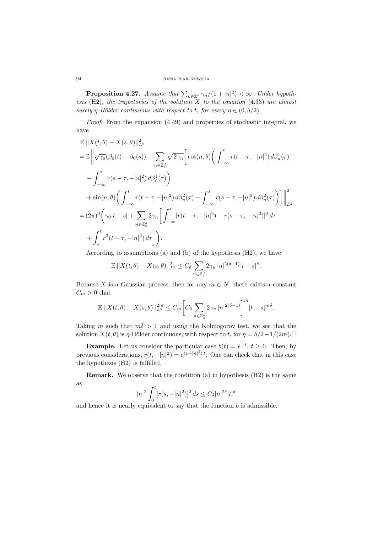**Proposition 4.27.** *Assume that*  $\sum_{n \in \mathbb{Z}^d} \gamma_n/(1+|n|^2) < \infty$ *. Under hypothesis* (H2)*, the trajectories of the solution X to the equation* (4.33) *are almost surely*  $\eta$ -*Hölder continuous with respect to t, for every*  $\eta \in (0, \delta/2)$ *.* 

*Proof.* From the expansion (4.49) and properties of stochastic integral, we have

$$
\mathbb{E} ||X(t,\theta) - X(s,\theta)||_{L^2}^2
$$
\n
$$
= \mathbb{E} \left\| \sqrt{\gamma_0} (\beta_0(t) - \beta_0(s)) + \sum_{n \in \mathbb{Z}_s^d} \sqrt{2\gamma_n} \left[ \cos(n,\theta) \left( \int_{-\infty}^t r(t-\tau, -|n|^2) d\beta_n^1(\tau) \right) \right.\right.\n- \int_{-\infty}^s r(s-\tau, -|n|^2) d\beta_n^1(\tau) \right\}
$$
\n
$$
+ \sin(n,\theta) \left( \int_{-\infty}^t r(t-\tau, -|n|^2) d\beta_n^2(\tau) - \int_{-\infty}^s r(s-\tau, -|n|^2) d\beta_n^2(\tau) \right) \right\|_{L^2}^2
$$
\n
$$
= (2\pi)^d \left( \gamma_0 |t-s| + \sum_{n \in \mathbb{Z}_s^d} 2\gamma_n \left[ \int_{-\infty}^s [r(t-\tau, -|n|^2) - r(s-\tau, -|n|^2)]^2 d\tau \right.\right.
$$
\n
$$
+ \int_s^t r^2(t-\tau, -|n|^2) d\tau \right].
$$

According to assumptions (a) and (b) of the hypothesis (H2), we have

$$
\mathbb{E} \left\| X(t,\theta) - X(s,\theta) \right\|_{L^2}^2 \leq C_\delta \sum_{n \in \mathbb{Z}_s^d} 2\gamma_n |n|^{2(\delta-1)} |t-s|^\delta.
$$

Because *X* is a Gaussian process, then for any  $m \in N$ , there exists a constant  $C_m > 0$  that

$$
\mathbb{E} \left| |X(t,\theta) - X(s,\theta)| \right|_{L^2}^{2m} \leq C_m \left[ C_\delta \sum_{n \in \mathbb{Z}_s^d} 2\gamma_n |n|^{2(\delta-1)} \right]^m |t-s|^{m\delta}.
$$

Taking *m* such that  $m\delta > 1$  and using the Kolmogorov test, we see that the solution *X*(*t*,  $\theta$ ) is *η*-Hölder continuous, with respect to *t*, for  $\eta = \delta/2 - 1/(2m)$ .

**Example.** Let us consider the particular case  $b(t) = e^{-t}$ ,  $t \ge 0$ . Then, by previous considerations,  $r(t, -|n|^2) = e^{(1-|n|^2)t}$ . One can check that in this case the hypothesis (H2) is fulfilled.

**Remark.** We observe that the condition (a) in hypothesis (H2) is the same as

$$
|n|^2\int_0^t[r(s,-|n|^2)]^2\,ds\leq C_\delta|n|^{2\delta}|t|^\delta
$$

 $J_0$ <br>and hence it is nearly equivalent to say that the function *b* is admissible.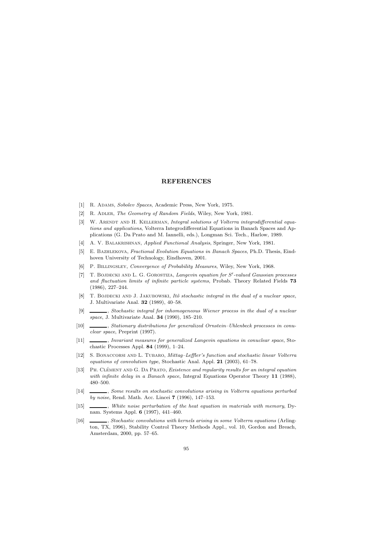## **REFERENCES**

- [1] R. Adams, *Sobolev Spaces*, Academic Press, New York, 1975.
- [2] R. Adler, *The Geometry of Random Fields*, Wiley, New York, 1981.
- [3] W. ARENDT AND H. KELLERMAN, *Integral solutions of Volterra integrodifferential equations and applications*, Volterra Integrodifferential Equations in Banach Spaces and Applications (G. Da Prato and M. Iannelli, eds.), Longman Sci. Tech., Harlow, 1989.
- [4] A. V. Balakrishnan, *Applied Functional Analysis*, Springer, New York, 1981.
- [5] E. Bazhlekova, *Fractional Evolution Equations in Banach Spaces*, Ph.D. Thesis, Eindhoven University of Technology, Eindhoven, 2001.
- [6] P. Billingsley, *Convergence of Probability Measures*, Wiley, New York, 1968.
- [7] T. Bojdecki and L. G. Gorostiza, *Langevin equation for S -valued Gaussian processes and fluctuation limits of infinite particle systems*, Probab. Theory Related Fields **73** (1986), 227–244.
- [8] T. BOJDECKI AND J. JAKUBOWSKI, *Itô stochastic integral in the dual of a nuclear space*, J. Multivariate Anal. **32** (1989), 40–58.
- [9] , *Stochastic integral for inhomogeneous Wiener process in the dual of a nuclear space*, J. Multivariate Anal. **34** (1990), 185–210.
- [10] , *Stationary distributions for generalized Ornstein–Uhlenbeck processes in conuclear space*, Preprint (1997).
- [11] , *Invariant measures for generalized Langevin equations in conuclear space*, Stochastic Processes Appl. **84** (1999), 1–24.
- [12] S. Bonaccorsi and L. Tubaro, *Mittag–Leffler's function and stochastic linear Volterra equations of convolution type*, Stochastic Anal. Appl. **21** (2003), 61–78.
- [13] PH. CLÉMENT AND G. DA PRATO, *Existence and regularity results for an integral equation with infinite delay in a Banach space*, Integral Equations Operator Theory **11** (1988), 480–500.
- [14] , *Some results on stochastic convolutions arising in Volterra equations perturbed by noise*, Rend. Math. Acc. Lincei **7** (1996), 147–153.
- [15] , *White noise perturbation of the heat equation in materials with memory*, Dynam. Systems Appl. **6** (1997), 441–460.
- [16] , *Stochastic convolutions with kernels arising in some Volterra equations* (Arlington, TX, 1996), Stability Control Theory Methods Appl., vol. 10, Gordon and Breach, Amsterdam, 2000, pp. 57–65.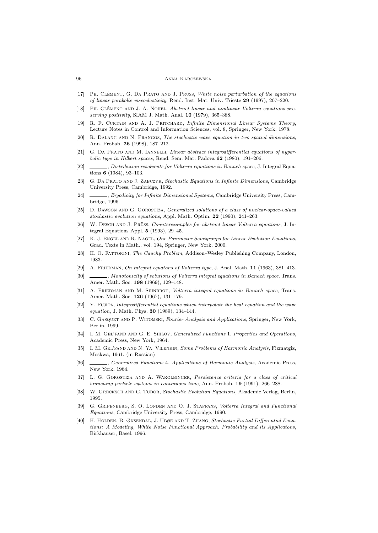- [17] PH. CLÉMENT, G. DA PRATO AND J. PRÜSS, White noise perturbation of the equations *of linear parabolic viscoelasticity*, Rend. Inst. Mat. Univ. Trieste **29** (1997), 207–220.
- [18] PH. CLÉMENT AND J. A. NOHEL, *Abstract linear and nonlinear Volterra equations preserving positivity*, SIAM J. Math. Anal. **10** (1979), 365–388.
- [19] R. F. Curtain and A. J. Pritchard, *Infinite Dimensional Linear Systems Theory*, Lecture Notes in Control and Information Sciences, vol. 8, Springer, New York, 1978.
- [20] R. Dalang and N. Frangos, *The stochastic wave equation in two spatial dimensions*, Ann. Probab. **26** (1998), 187–212.
- [21] G. Da Prato and M. Iannelli, *Linear abstract integrodifferential equations of hyperbolic type in Hilbert spaces*, Rend. Sem. Mat. Padova **62** (1980), 191–206.
- [22] , *Distribution resolvents for Volterra equations in Banach space*, J. Integral Equations **6** (1984), 93–103.
- [23] G. Da Prato and J. Zabczyk, *Stochastic Equations in Infinite Dimensions*, Cambridge University Press, Cambridge, 1992.
- [24] , *Ergodicity for Infinite Dimensional Systems*, Cambridge University Press, Cambridge, 1996.
- [25] D. Dawson and G. Gorostiza, *Generalized solutions of a class of nuclear-space-valued stochastic evolution equations*, Appl. Math. Optim. **22** (1990), 241–263.
- [26] W. DESCH AND J. PRUSS, *Counterexamples for abstract linear Volterra equations*, J. Integral Equations Appl. **5** (1993), 29–45.
- [27] K. J. Engel and R. Nagel, *One Parameter Semigroups for Linear Evolution Equations*, Grad. Texts in Math., vol. 194, Springer, New York, 2000.
- [28] H. O. FATTORINI, *The Cauchy Problem*, Addison–Wesley Publishing Company, London, 1983.
- [29] A. Friedman, *On integral equatons of Volterra type*, J. Anal. Math. **11** (1963), 381–413.
- [30] , *Monotonicity of solutions of Volterra integral equations in Banach space*, Trans. Amer. Math. Soc. **198** (1969), 129–148.
- [31] A. Friedman and M. Shinbrot, *Volterra integral equations in Banach space*, Trans. Amer. Math. Soc. **126** (1967), 131–179.
- [32] Y. Fujita, *Integrodifferential equations which interpolate the heat equation and the wave equation*, J. Math. Phys. **30** (1989), 134–144.
- [33] C. Gasquet and P. Witomski, *Fourier Analysis and Applications*, Springer, New York, Berlin, 1999.
- [34] I. M. GEL'FAND AND G. E. SHILOV, *Generalized Functions* 1. Properties and Operations, Academic Press, New York, 1964.
- [35] I. M. Gel'fand and N. Ya. Vilenkin, *Some Problems of Harmonic Analysis*, Fizmatgiz, Moskwa, 1961. (in Russian)
- [36] , *Generalized Functions* 4*. Applications of Harmonic Analysis*, Academic Press, New York, 1964.
- [37] L. G. Gorostiza and A. Wakolbinger, *Persistence criteria for a class of critical branching particle systems in continuous time*, Ann. Probab. **19** (1991), 266–288.
- [38] W. Grecksch and C. Tudor, *Stochastic Evolution Equations*, Akademie Verlag, Berlin, 1995.
- [39] G. Gripenberg, S. O. Londen and O. J. Staffans, *Volterra Integral and Functional Equations*, Cambridge University Press, Cambridge, 1990.
- [40] H. Holden, B. Øksendal, J. Ubøe and T. Zhang, *Stochastic Partial Differential Equations: A Modeling, White Noise Functional Approach. Probability and its Applicatons*, Birkhäuser, Basel, 1996.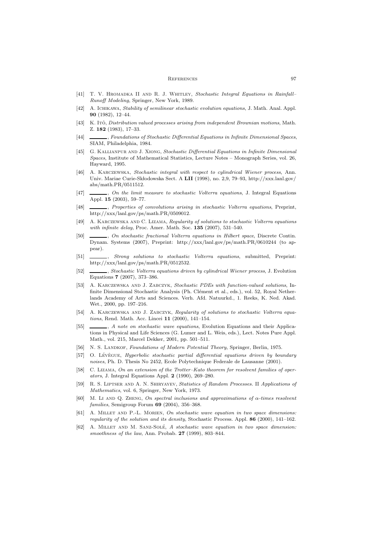#### REFERENCES 97

- [41] T. V. Hromadka II and R. J. Whitley, *Stochastic Integral Equations in Rainfall– Runoff Modeling*, Springer, New York, 1989.
- [42] A. Ichikawa, *Stability of semilinear stochastic evolution equations*, J. Math. Anal. Appl. **90** (1982), 12–44.
- [43] K. Itô, *Distribution valued processes arising from independent Brownian motions*, Math. Z. **182** (1983), 17–33.
- [44] , *Foundations of Stochastic Differential Equations in Infinite Dimensional Spaces*, SIAM, Philadelphia, 1984.
- [45] G. Kallianpur and J. Xiong, *Stochastic Differential Equations in Infinite Dimensional Spaces*, Institute of Mathematical Statistics, Lecture Notes – Monograph Series, vol. 26, Hayward, 1995.
- [46] A. Karczewska, *Stochastic integral with respect to cylindrical Wiener process*, Ann. Univ. Mariae Curie-Skłodowska Sect. A LII (1998), no. 2,9, 79–93, http://xxx.lanl.gov/ abs/math.PR/0511512.
- [47] , *On the limit measure to stochastic Volterra equations*, J. Integral Equations Appl. **15** (2003), 59–77.
- [48] , *Properties of convolutions arising in stochastic Volterra equations*, Preprint, http://xxx/lanl.gov/ps/math.PR/0509012.
- [49] A. Karczewska and C. Lizama, *Regularity of solutions to stochastic Volterra equations with infinite delay*, Proc. Amer. Math. Soc. **135** (2007), 531–540.
- [50] , *On stochastic fractional Volterra equations in Hilbert space*, Discrete Contin. Dynam. Systems (2007), Preprint: http://xxx/lanl.gov/ps/math.PR/0610244 (to appear).
- [51] , *Strong solutions to stochastic Volterra equations*, submitted, Preprint: http://xxx/lanl.gov/ps/math.PR/0512532.
- [52] , *Stochastic Volterra equations driven by cylindrical Wiener process*, J. Evolution Equations **7** (2007), 373–386.
- [53] A. Karczewska and J. Zabczyk, *Stochastic PDEs with function-valued solutions*, Infinite Dimensional Stochastic Analysis (Ph. Clément et al., eds.), vol. 52, Royal Netherlands Academy of Arts and Sciences. Verh. Afd. Natuurkd., 1. Reeks, K. Ned. Akad. Wet., 2000, pp. 197–216.
- [54] A. Karczewska and J. Zabczyk, *Regularity of solutions to stochastic Volterra equations*, Rend. Math. Acc. Lincei **11** (2000), 141–154.
- [55] , *A note on stochastic wave equations*, Evolution Equations and their Applications in Physical and Life Sciences (G. Lumer and L. Weis, eds.), Lect. Notes Pure Appl. Math., vol. 215, Marcel Dekker, 2001, pp. 501–511.
- [56] N. S. LANDKOF, *Foundations of Modern Potential Theory*, Springer, Berlin, 1975.
- [57] O. LÉVÊGUE, *Hyperbolic stochastic partial differential equations driven by boundary noises*, Ph. D. Thesis No 2452, Ecole Polytechnique Federale de Lausanne (2001).
- [58] C. Lizama, *On an extension of the Trotter–Kato theorem for resolvent families of operators*, J. Integral Equations Appl. **2** (1990), 269–280.
- [59] R. S. Liptser and A. N. Shiryayev, *Statistics of Random Processes.* II *Applications of Mathematics*, vol. 6, Springer, New York, 1973.
- [60] M. Li and Q. Zheng, *On spectral inclusions and approximations of α-times resolvent families*, Semigroup Forum **69** (2004), 356–368.
- [61] A. Millet and P.-L. Morien, *On stochastic wave equation in two space dimensions: regularity of the solution and its density*, Stochastic Process. Appl. **86** (2000), 141–162.
- [62] A. MILLET AND M. SANZ-SOLÉ, A stochastic wave equation in two space dimension: *smoothness of the law*, Ann. Probab. **27** (1999), 803–844.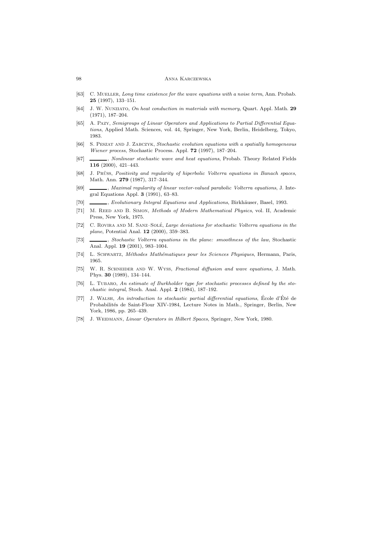- [63] C. Mueller, *Long time existence for the wave equations with a noise term*, Ann. Probab. **25** (1997), 133–151.
- [64] J. W. Nunziato, *On heat conduction in materials with memory*, Quart. Appl. Math. **29** (1971), 187–204.
- [65] A. Pazy, *Semigroups of Linear Operators and Applications to Partial Differential Equations*, Applied Math. Sciences, vol. 44, Springer, New York, Berlin, Heidelberg, Tokyo, 1983.
- [66] S. Peszat and J. Zabczyk, *Stochastic evolution equations with a spatially homogeneous Wiener process*, Stochastic Process. Appl. **72** (1997), 187–204.
- [67] , *Nonlinear stochastic wave and heat equations*, Probab. Theory Related Fields **116** (2000), 421–443.
- [68] J. Prüss, *Positivity and regularity of hiperbolic Volterra equations in Banach spaces*, Math. Ann. **279** (1987), 317–344.
- [69] , *Maximal regularity of linear vector-valued parabolic Volterra equations*, J. Integral Equations Appl. **3** (1991), 63–83.
- [70] , *Evolutionary Integral Equations and Applications*, Birkhäuser, Basel, 1993.
- [71] M. Reed and B. Simon, *Methods of Modern Mathematical Physics*, vol. II, Academic Press, New York, 1975.
- [72] C. ROVIRA AND M. SANZ-SOLÉ, *Large deviations for stochastic Volterra equations in the plane*, Potential Anal. **12** (2000), 359–383.
- [73] , *Stochastic Volterra equations in the plane: smoothness of the law*, Stochastic Anal. Appl. **19** (2001), 983–1004.
- [74] L. Schwartz, *M´ethodes Math´ematiques pour les Sciences Physiques*, Hermann, Paris, 1965.
- [75] W. R. Schneider and W. Wyss, *Fractional diffusion and wave equations*, J. Math. Phys. **30** (1989), 134–144.
- [76] L. TUBARO, An estimate of Burkholder type for stochastic processes defined by the sto*chastic integral*, Stoch. Anal. Appl. **2** (1984), 187–192.
- [77] J. WALSH, *An introduction to stochastic partial differential equations*, École d'Été de Probabilités de Saint-Flour XIV-1984, Lecture Notes in Math., Springer, Berlin, New York, 1986, pp. 265–439.
- [78] J. WEIDMANN, *Linear Operators in Hilbert Spaces*, Springer, New York, 1980.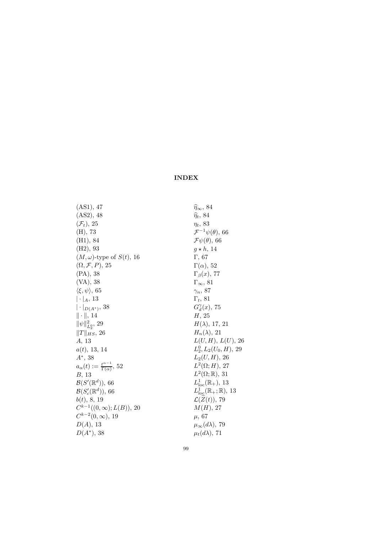# **INDEX**

(AS1), 47 (AS2), 48 (*F<sup>t</sup>*), 25 (H), 73 (H1), 84 (H2), 93  $(M, \omega)$ -type of  $S(t)$ , 16  $(\Omega, \mathcal{F}, P)$ , 25 (PA), 38 (VA), 38 *ξ,ψ-*, 65 *|·|<sup>A</sup>*, 13 *|·|<sup>D</sup>*(*A∗*), 38  $\|\cdot\|,\,14$  $\|\psi\|_{L^0_2}^2$ , 29  $||T||_{HS}$ , 26 *A*, 13 *a*(*t*), 13, 14 *A∗*, 38  $a_{\alpha}(t) := \frac{t^{\alpha-1}}{\Gamma(\alpha)}, 52$ *B*, 13  $\mathcal{B}(S'(\mathbb{R}^d)), 66$  $\mathcal{B}(S'_c(\mathbb{R}^d)),$  66 *b*(*t*), 8, 19  $C^{k-1}((0, \infty); L(B))$ , 20  $C^{k-2}(0, \infty)$ , 19 *D*(*A*), 13 *D*(*A∗*), 38

*<sup>η</sup><sup>∞</sup>*, 84 *<sup>η</sup><sup>t</sup>*, 84 *ηt*, 83 *<sup>F</sup><sup>−</sup>*<sup>1</sup>*ψ*(*θ*), 66 *<sup>F</sup>ψ*(*θ*), 66  $g \star h$ , 14 Γ, 67 Γ(*α*), 52 Γ*β*(*x*), 77 <sup>Γ</sup>*∞*, 81 *γn*, 87 Γ*t*, 81  $G_d^{\gamma}(x)$ , 75 *H*, 25 *H*(*λ*), 17, 21  $H_n(\lambda)$ , 21  $L(U, H)$ ,  $L(U)$ , 26  $L_2^0, L_2(U_0, H)$ , 29 *L*2(*U, H*), 26  $L^2(\Omega; H)$ , 27  $L^2(\Omega;\mathbb{R}), 31$  $L^1_{\text{loc}}(\mathbb{R}_+), 13$  $L^1_{\text{loc}}(\mathbb{R}_+;\mathbb{R}), 13$  $\mathcal{L}(\widetilde{Z}(t)),$  79 *M*(*H*), 27 *µ*, 67  $\mu_{\infty}(d\lambda)$ , 79  $\mu_t(d\lambda)$ , 71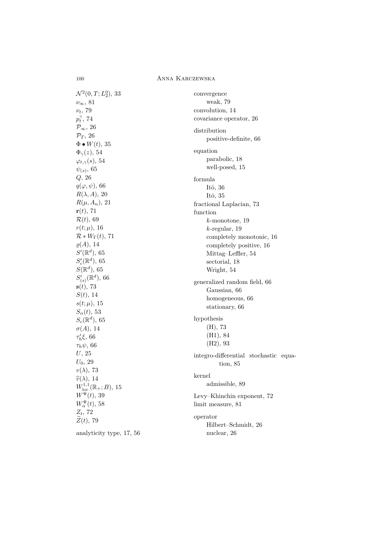$\mathcal{N}^2(0,T;L_2^0),$  33 *<sup>ν</sup>∞*, 81 *νt*, 79  $p_t^\gamma, \, 74$ *<sup>P</sup>∞*, 26 *<sup>P</sup><sup>T</sup>* , 26  $\Phi \bullet W(t)$ , 35  $\Phi_{\gamma}(z)$ , 54  $\varphi_{t,\gamma}(s)$ , 54  $ψ$ <sub>(s)</sub>, 65 *Q*, 26  $q(\varphi, \psi)$ , 66  $R(\lambda, A)$ , 20  $R(\mu, A_n)$ , 21 **r**(*t*), 71 *<sup>R</sup>*(*t*), 69  $r(t; \mu)$ , 16  $\mathcal{R} * W_{\Gamma}(t)$ , 71  $\rho(A)$ , 14  $S'(\mathbb{R}^d)$ , 65  $S_c'(\mathbb{R}^d)$ , 65  $S(\mathbb{R}^d)$ , 65  $S'_{(s)}(\mathbb{R}^d)$ , 66 **s**(*t*), 73 *S*(*t*), 14  $s(t; \mu)$ , 15 *Sα*(*t*), 53  $S_c(\mathbb{R}^d)$ , 65  $\sigma(A)$ , 14 *τ- <sup>h</sup>ξ*, 66 *τhψ*, 66 *U*, 25 *U*0, 29 *v*(*λ*), 73  $\hat{v}(\lambda)$ , 14  $W^{1,1}_{\text{loc}}(\mathbb{R}_+;B)$ , 15  $W^{\Psi}(t)$ , 39  $W_\alpha^{\Psi}(t)$ , 58  $Z_t$ , 72  $\widetilde{Z}(t)$ , 79 analyticity type, 17, 56

convergence weak, 79 convolution, 14 covariance operator, 26 distribution positive-definite, 66 equation parabolic, 18 well-posed, 15 formula Itô, 36 Itô, 35 fractional Laplacian, 73 function *k*-monotone, 19 *k*-regular, 19 completely monotonic, 16 completely positive, 16 Mittag–Leffler, 54 sectorial, 18 Wright, 54 generalized random field, 66 Gaussian, 66 homogeneous, 66 stationary, 66 hypothesis (H), 73 (H1), 84 (H2), 93 integro-differential stochastic equation, 85 kernel admissible, 89 Levy–Khinchin exponent, 72 limit measure, 81 operator Hilbert–Schmidt, 26 nuclear, 26